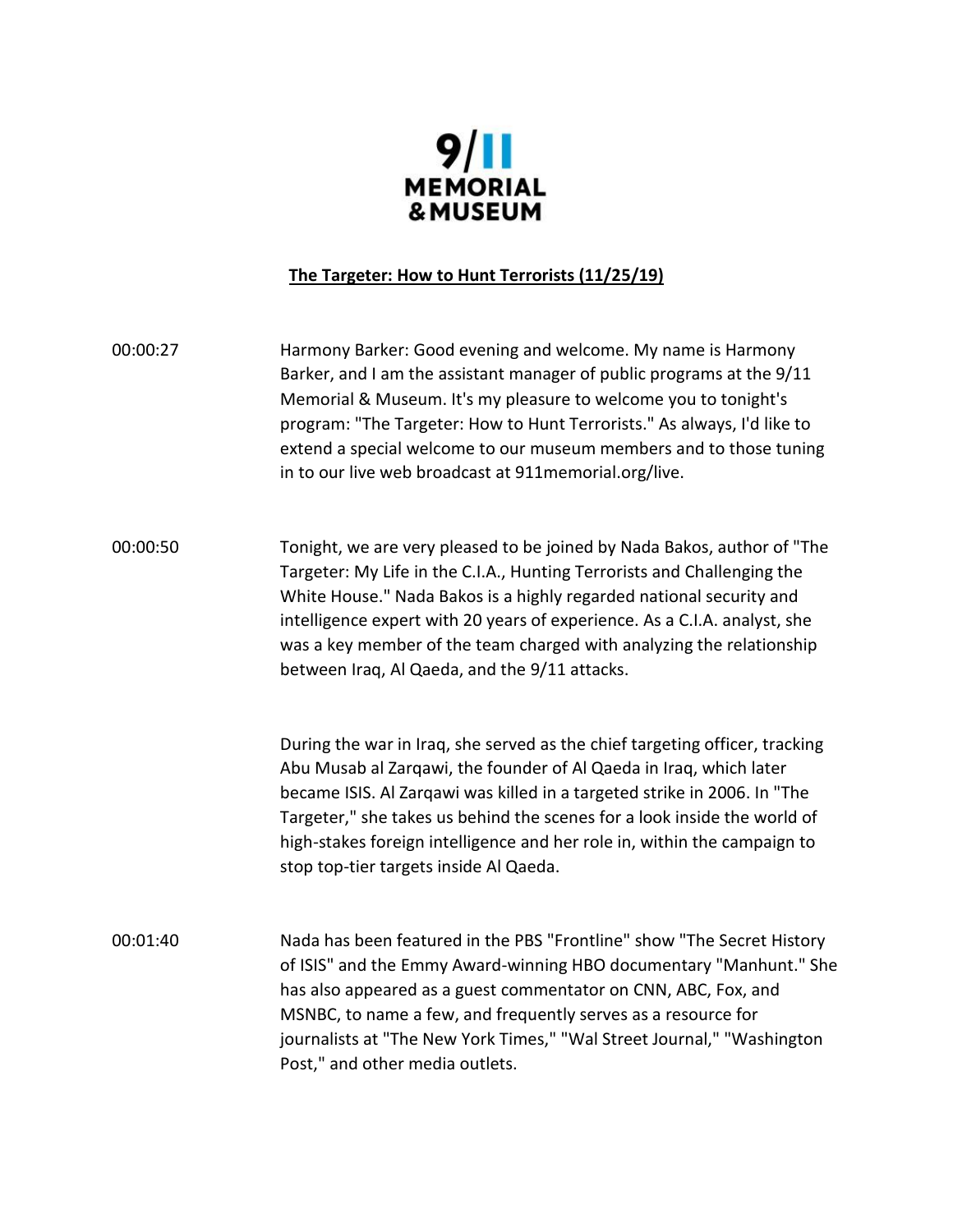

## **The Targeter: How to Hunt Terrorists (11/25/19)**

00:00:27 Harmony Barker: Good evening and welcome. My name is Harmony Barker, and I am the assistant manager of public programs at the 9/11 Memorial & Museum. It's my pleasure to welcome you to tonight's program: "The Targeter: How to Hunt Terrorists." As always, I'd like to extend a special welcome to our museum members and to those tuning in to our live web broadcast at 911memorial.org/live.

00:00:50 Tonight, we are very pleased to be joined by Nada Bakos, author of "The Targeter: My Life in the C.I.A., Hunting Terrorists and Challenging the White House." Nada Bakos is a highly regarded national security and intelligence expert with 20 years of experience. As a C.I.A. analyst, she was a key member of the team charged with analyzing the relationship between Iraq, Al Qaeda, and the 9/11 attacks.

> During the war in Iraq, she served as the chief targeting officer, tracking Abu Musab al Zarqawi, the founder of Al Qaeda in Iraq, which later became ISIS. Al Zarqawi was killed in a targeted strike in 2006. In "The Targeter," she takes us behind the scenes for a look inside the world of high-stakes foreign intelligence and her role in, within the campaign to stop top-tier targets inside Al Qaeda.

00:01:40 Nada has been featured in the PBS "Frontline" show "The Secret History of ISIS" and the Emmy Award-winning HBO documentary "Manhunt." She has also appeared as a guest commentator on CNN, ABC, Fox, and MSNBC, to name a few, and frequently serves as a resource for journalists at "The New York Times," "Wal Street Journal," "Washington Post," and other media outlets.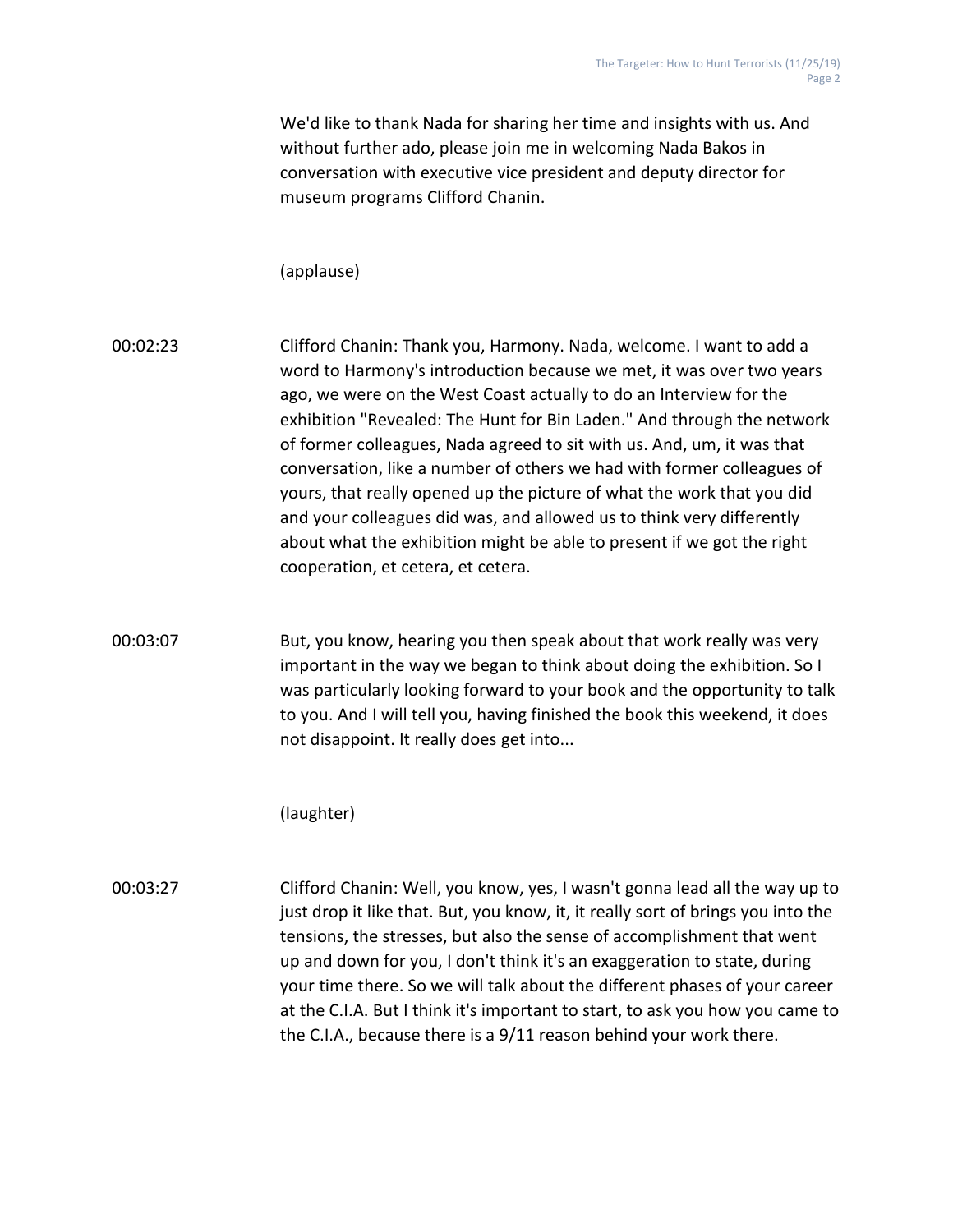We'd like to thank Nada for sharing her time and insights with us. And without further ado, please join me in welcoming Nada Bakos in conversation with executive vice president and deputy director for museum programs Clifford Chanin.

## (applause)

00:02:23 Clifford Chanin: Thank you, Harmony. Nada, welcome. I want to add a word to Harmony's introduction because we met, it was over two years ago, we were on the West Coast actually to do an Interview for the exhibition "Revealed: The Hunt for Bin Laden." And through the network of former colleagues, Nada agreed to sit with us. And, um, it was that conversation, like a number of others we had with former colleagues of yours, that really opened up the picture of what the work that you did and your colleagues did was, and allowed us to think very differently about what the exhibition might be able to present if we got the right cooperation, et cetera, et cetera.

00:03:07 But, you know, hearing you then speak about that work really was very important in the way we began to think about doing the exhibition. So I was particularly looking forward to your book and the opportunity to talk to you. And I will tell you, having finished the book this weekend, it does not disappoint. It really does get into...

(laughter)

00:03:27 Clifford Chanin: Well, you know, yes, I wasn't gonna lead all the way up to just drop it like that. But, you know, it, it really sort of brings you into the tensions, the stresses, but also the sense of accomplishment that went up and down for you, I don't think it's an exaggeration to state, during your time there. So we will talk about the different phases of your career at the C.I.A. But I think it's important to start, to ask you how you came to the C.I.A., because there is a 9/11 reason behind your work there.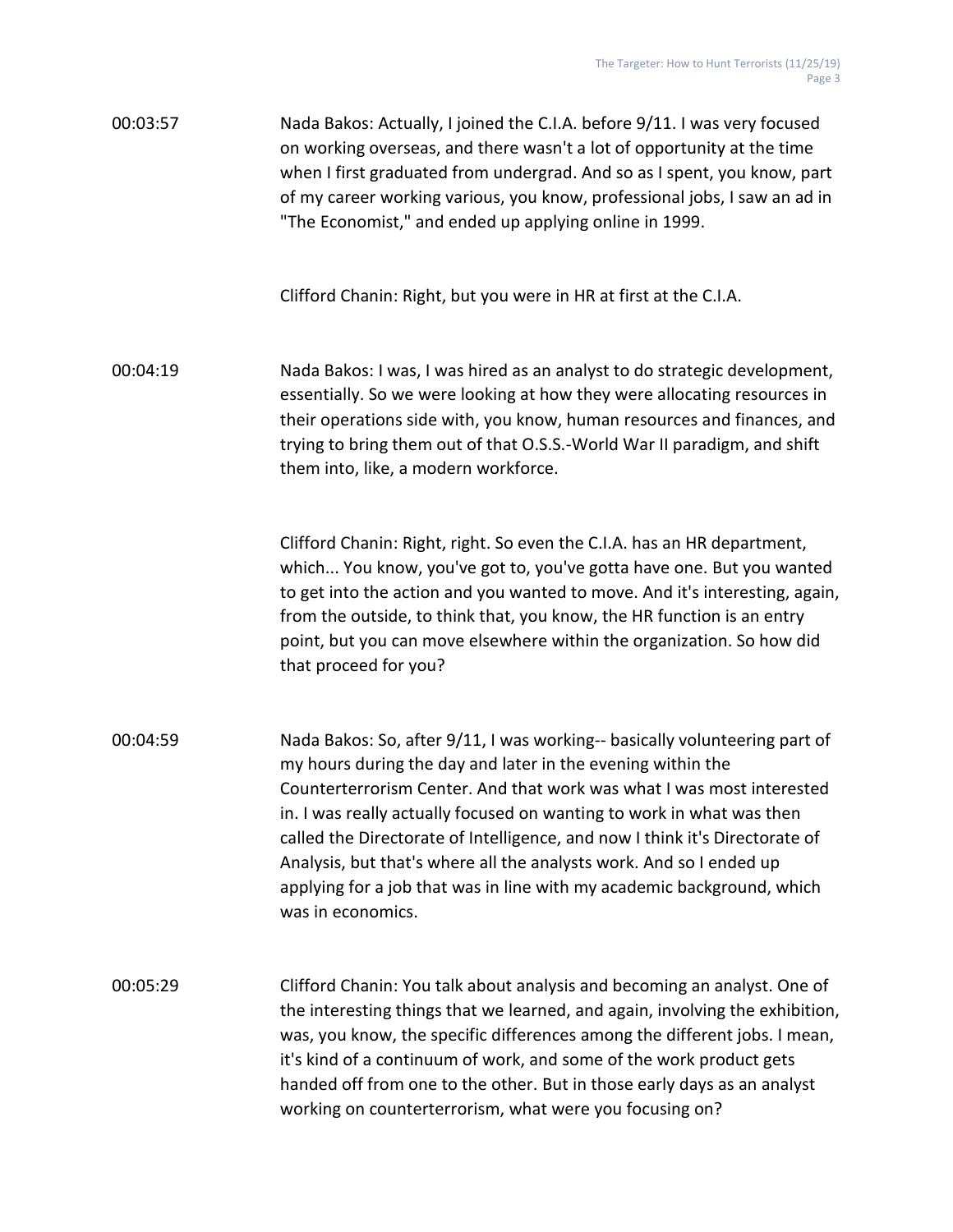00:03:57 Nada Bakos: Actually, I joined the C.I.A. before 9/11. I was very focused on working overseas, and there wasn't a lot of opportunity at the time when I first graduated from undergrad. And so as I spent, you know, part of my career working various, you know, professional jobs, I saw an ad in "The Economist," and ended up applying online in 1999.

Clifford Chanin: Right, but you were in HR at first at the C.I.A.

00:04:19 Nada Bakos: I was, I was hired as an analyst to do strategic development, essentially. So we were looking at how they were allocating resources in their operations side with, you know, human resources and finances, and trying to bring them out of that O.S.S.-World War II paradigm, and shift them into, like, a modern workforce.

> Clifford Chanin: Right, right. So even the C.I.A. has an HR department, which... You know, you've got to, you've gotta have one. But you wanted to get into the action and you wanted to move. And it's interesting, again, from the outside, to think that, you know, the HR function is an entry point, but you can move elsewhere within the organization. So how did that proceed for you?

00:04:59 Nada Bakos: So, after 9/11, I was working-- basically volunteering part of my hours during the day and later in the evening within the Counterterrorism Center. And that work was what I was most interested in. I was really actually focused on wanting to work in what was then called the Directorate of Intelligence, and now I think it's Directorate of Analysis, but that's where all the analysts work. And so I ended up applying for a job that was in line with my academic background, which was in economics.

00:05:29 Clifford Chanin: You talk about analysis and becoming an analyst. One of the interesting things that we learned, and again, involving the exhibition, was, you know, the specific differences among the different jobs. I mean, it's kind of a continuum of work, and some of the work product gets handed off from one to the other. But in those early days as an analyst working on counterterrorism, what were you focusing on?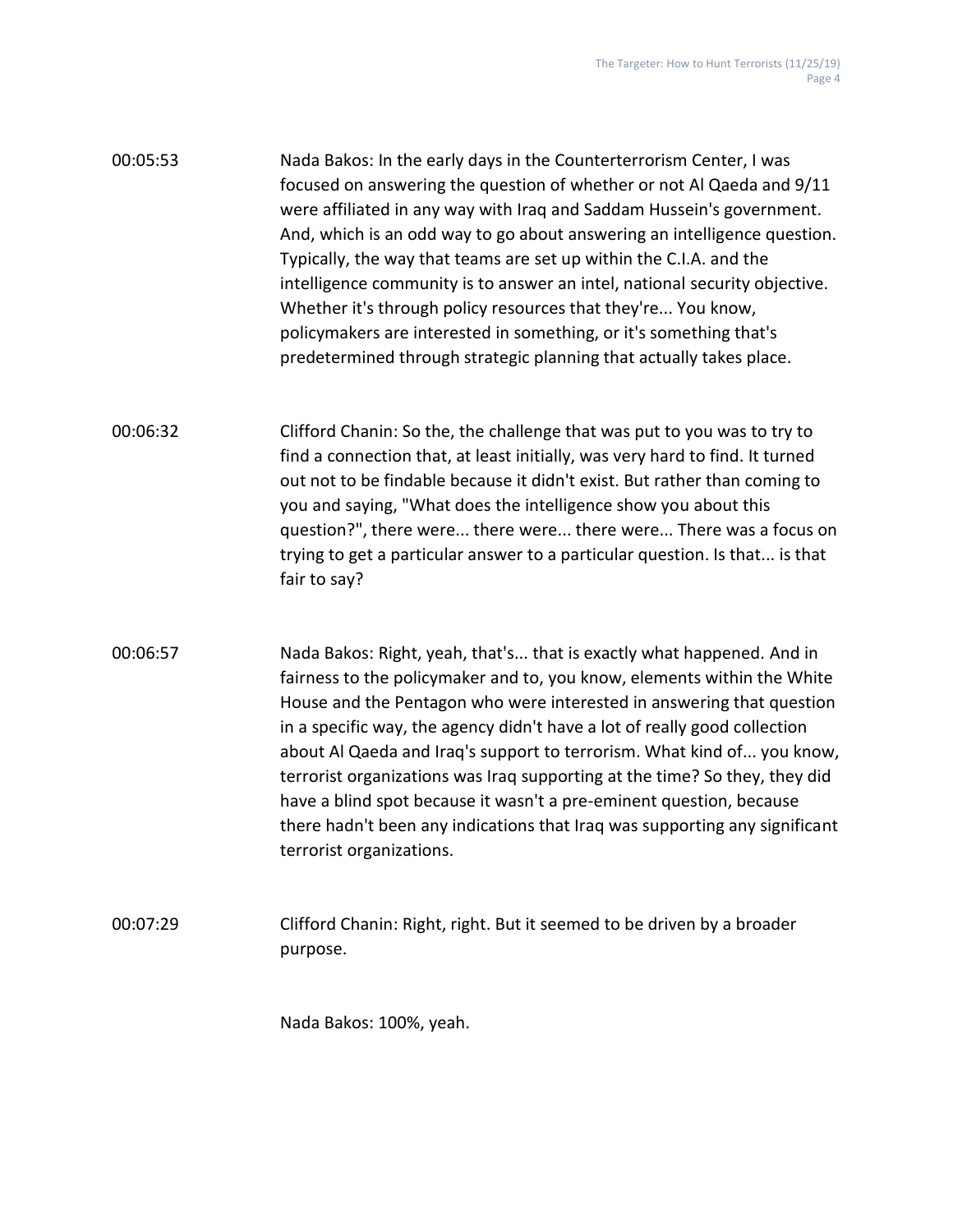| 00:05:53 | Nada Bakos: In the early days in the Counterterrorism Center, I was        |
|----------|----------------------------------------------------------------------------|
|          | focused on answering the question of whether or not Al Qaeda and 9/11      |
|          | were affiliated in any way with Iraq and Saddam Hussein's government.      |
|          | And, which is an odd way to go about answering an intelligence question.   |
|          | Typically, the way that teams are set up within the C.I.A. and the         |
|          | intelligence community is to answer an intel, national security objective. |
|          | Whether it's through policy resources that they're You know,               |
|          | policymakers are interested in something, or it's something that's         |
|          | predetermined through strategic planning that actually takes place.        |

- 00:06:32 Clifford Chanin: So the, the challenge that was put to you was to try to find a connection that, at least initially, was very hard to find. It turned out not to be findable because it didn't exist. But rather than coming to you and saying, "What does the intelligence show you about this question?", there were... there were... there were... There was a focus on trying to get a particular answer to a particular question. Is that... is that fair to say?
- 00:06:57 Nada Bakos: Right, yeah, that's... that is exactly what happened. And in fairness to the policymaker and to, you know, elements within the White House and the Pentagon who were interested in answering that question in a specific way, the agency didn't have a lot of really good collection about Al Qaeda and Iraq's support to terrorism. What kind of... you know, terrorist organizations was Iraq supporting at the time? So they, they did have a blind spot because it wasn't a pre-eminent question, because there hadn't been any indications that Iraq was supporting any significant terrorist organizations.
- 00:07:29 Clifford Chanin: Right, right. But it seemed to be driven by a broader purpose.

Nada Bakos: 100%, yeah.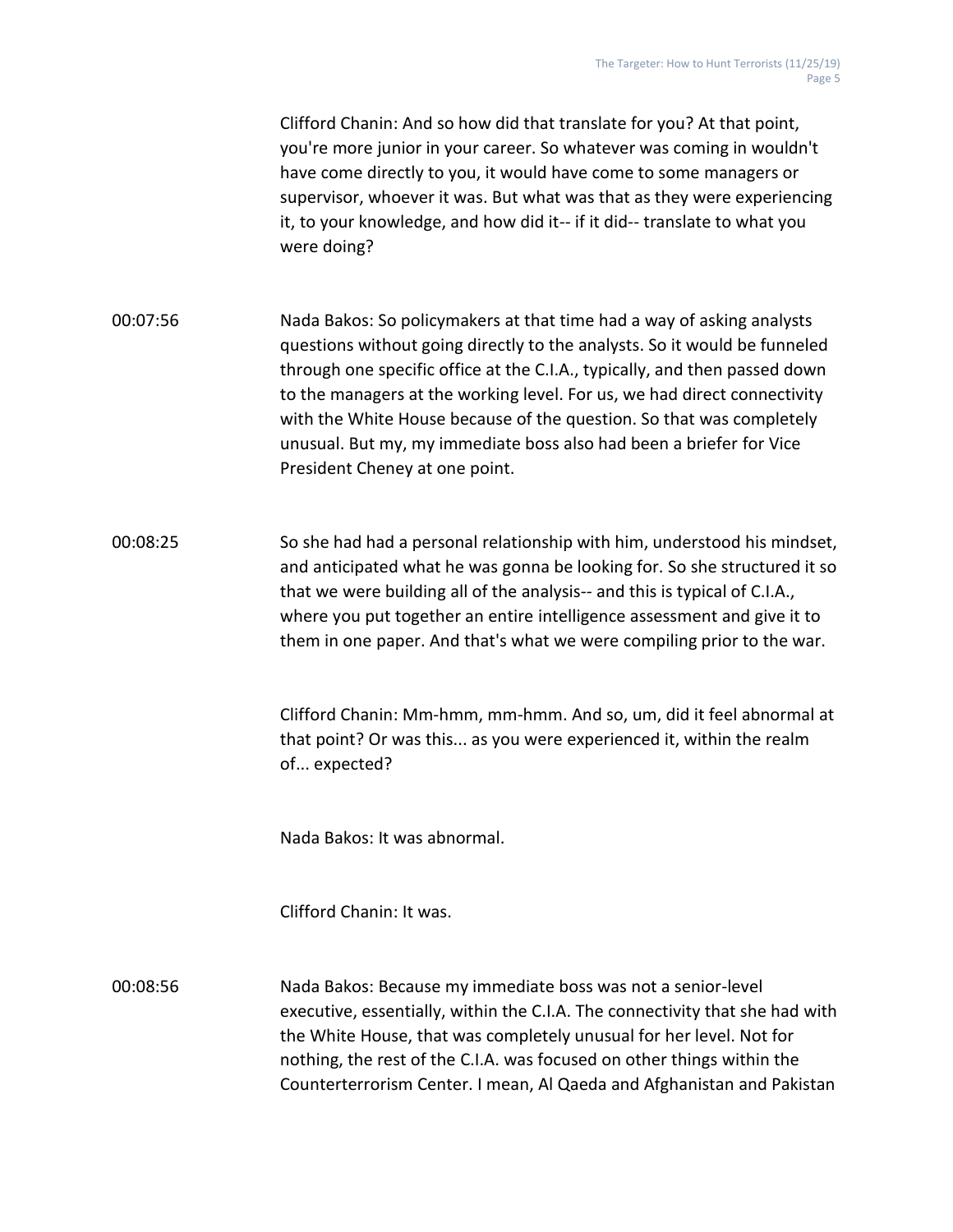Clifford Chanin: And so how did that translate for you? At that point, you're more junior in your career. So whatever was coming in wouldn't have come directly to you, it would have come to some managers or supervisor, whoever it was. But what was that as they were experiencing it, to your knowledge, and how did it-- if it did-- translate to what you were doing?

- 00:07:56 Nada Bakos: So policymakers at that time had a way of asking analysts questions without going directly to the analysts. So it would be funneled through one specific office at the C.I.A., typically, and then passed down to the managers at the working level. For us, we had direct connectivity with the White House because of the question. So that was completely unusual. But my, my immediate boss also had been a briefer for Vice President Cheney at one point.
- 00:08:25 So she had had a personal relationship with him, understood his mindset, and anticipated what he was gonna be looking for. So she structured it so that we were building all of the analysis-- and this is typical of C.I.A., where you put together an entire intelligence assessment and give it to them in one paper. And that's what we were compiling prior to the war.

Clifford Chanin: Mm-hmm, mm-hmm. And so, um, did it feel abnormal at that point? Or was this... as you were experienced it, within the realm of... expected?

Nada Bakos: It was abnormal.

Clifford Chanin: It was.

00:08:56 Nada Bakos: Because my immediate boss was not a senior-level executive, essentially, within the C.I.A. The connectivity that she had with the White House, that was completely unusual for her level. Not for nothing, the rest of the C.I.A. was focused on other things within the Counterterrorism Center. I mean, Al Qaeda and Afghanistan and Pakistan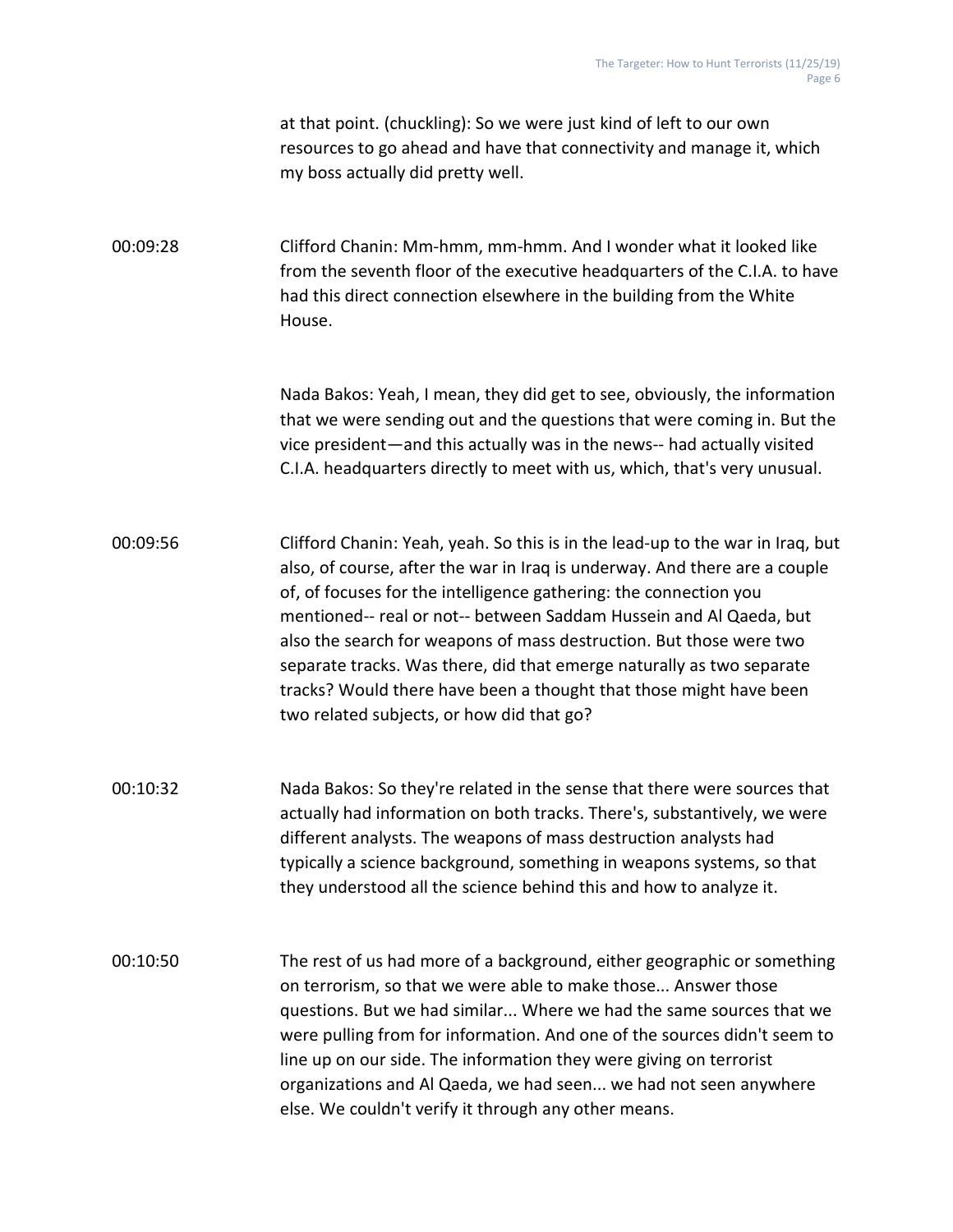at that point. (chuckling): So we were just kind of left to our own resources to go ahead and have that connectivity and manage it, which my boss actually did pretty well.

00:09:28 Clifford Chanin: Mm-hmm, mm-hmm. And I wonder what it looked like from the seventh floor of the executive headquarters of the C.I.A. to have had this direct connection elsewhere in the building from the White House.

> Nada Bakos: Yeah, I mean, they did get to see, obviously, the information that we were sending out and the questions that were coming in. But the vice president—and this actually was in the news-- had actually visited C.I.A. headquarters directly to meet with us, which, that's very unusual.

- 00:09:56 Clifford Chanin: Yeah, yeah. So this is in the lead-up to the war in Iraq, but also, of course, after the war in Iraq is underway. And there are a couple of, of focuses for the intelligence gathering: the connection you mentioned-- real or not-- between Saddam Hussein and Al Qaeda, but also the search for weapons of mass destruction. But those were two separate tracks. Was there, did that emerge naturally as two separate tracks? Would there have been a thought that those might have been two related subjects, or how did that go?
- 00:10:32 Nada Bakos: So they're related in the sense that there were sources that actually had information on both tracks. There's, substantively, we were different analysts. The weapons of mass destruction analysts had typically a science background, something in weapons systems, so that they understood all the science behind this and how to analyze it.
- 00:10:50 The rest of us had more of a background, either geographic or something on terrorism, so that we were able to make those... Answer those questions. But we had similar... Where we had the same sources that we were pulling from for information. And one of the sources didn't seem to line up on our side. The information they were giving on terrorist organizations and Al Qaeda, we had seen... we had not seen anywhere else. We couldn't verify it through any other means.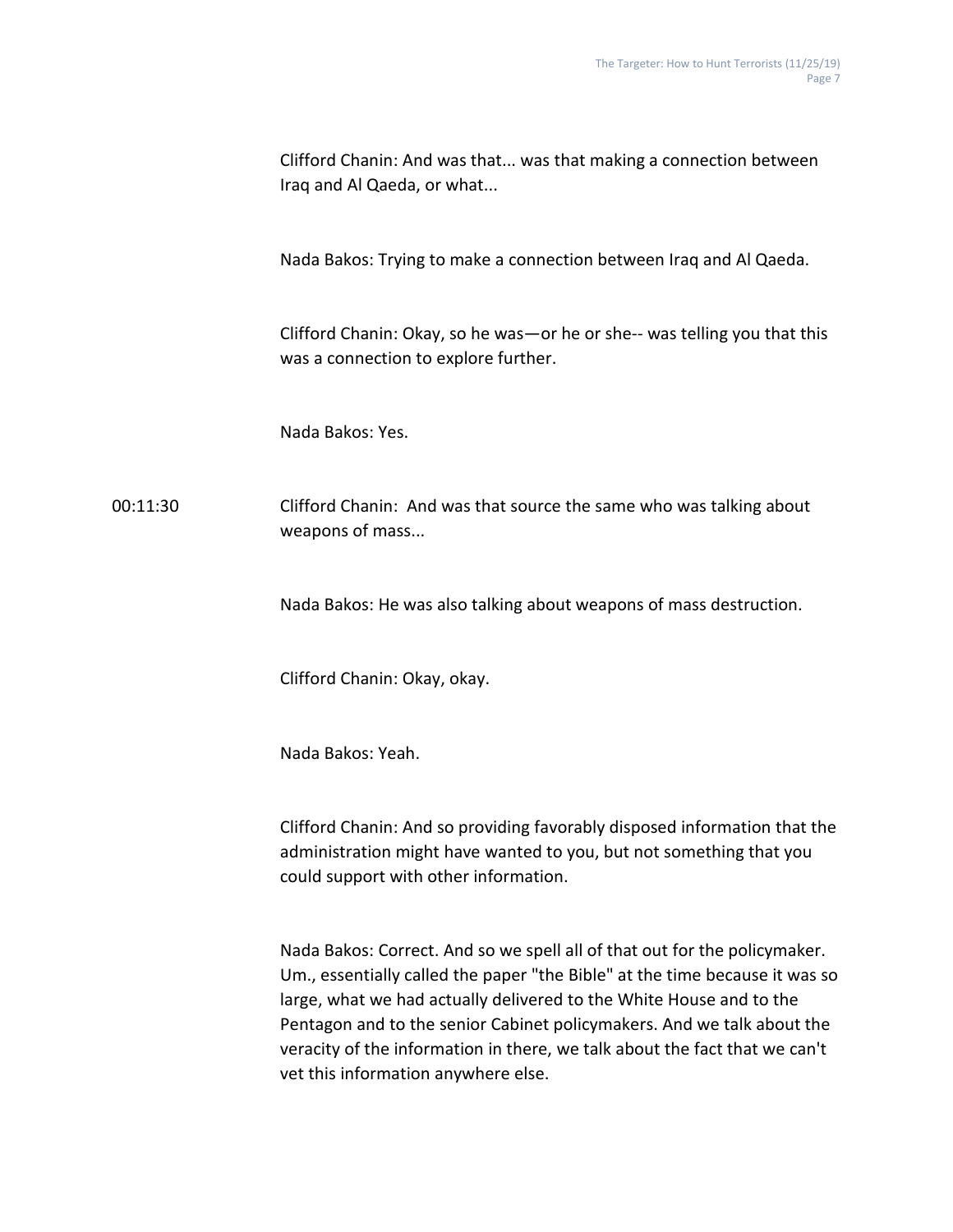|          | Clifford Chanin: And was that was that making a connection between<br>Iraq and Al Qaeda, or what                                                                                          |
|----------|-------------------------------------------------------------------------------------------------------------------------------------------------------------------------------------------|
|          | Nada Bakos: Trying to make a connection between Iraq and Al Qaeda.                                                                                                                        |
|          | Clifford Chanin: Okay, so he was - or he or she-- was telling you that this<br>was a connection to explore further.                                                                       |
|          | Nada Bakos: Yes.                                                                                                                                                                          |
| 00:11:30 | Clifford Chanin: And was that source the same who was talking about<br>weapons of mass                                                                                                    |
|          | Nada Bakos: He was also talking about weapons of mass destruction.                                                                                                                        |
|          | Clifford Chanin: Okay, okay.                                                                                                                                                              |
|          | Nada Bakos: Yeah.                                                                                                                                                                         |
|          | Clifford Chanin: And so providing favorably disposed information that the<br>administration might have wanted to you, but not something that you<br>could support with other information. |

Nada Bakos: Correct. And so we spell all of that out for the policymaker. Um., essentially called the paper "the Bible" at the time because it was so large, what we had actually delivered to the White House and to the Pentagon and to the senior Cabinet policymakers. And we talk about the veracity of the information in there, we talk about the fact that we can't vet this information anywhere else.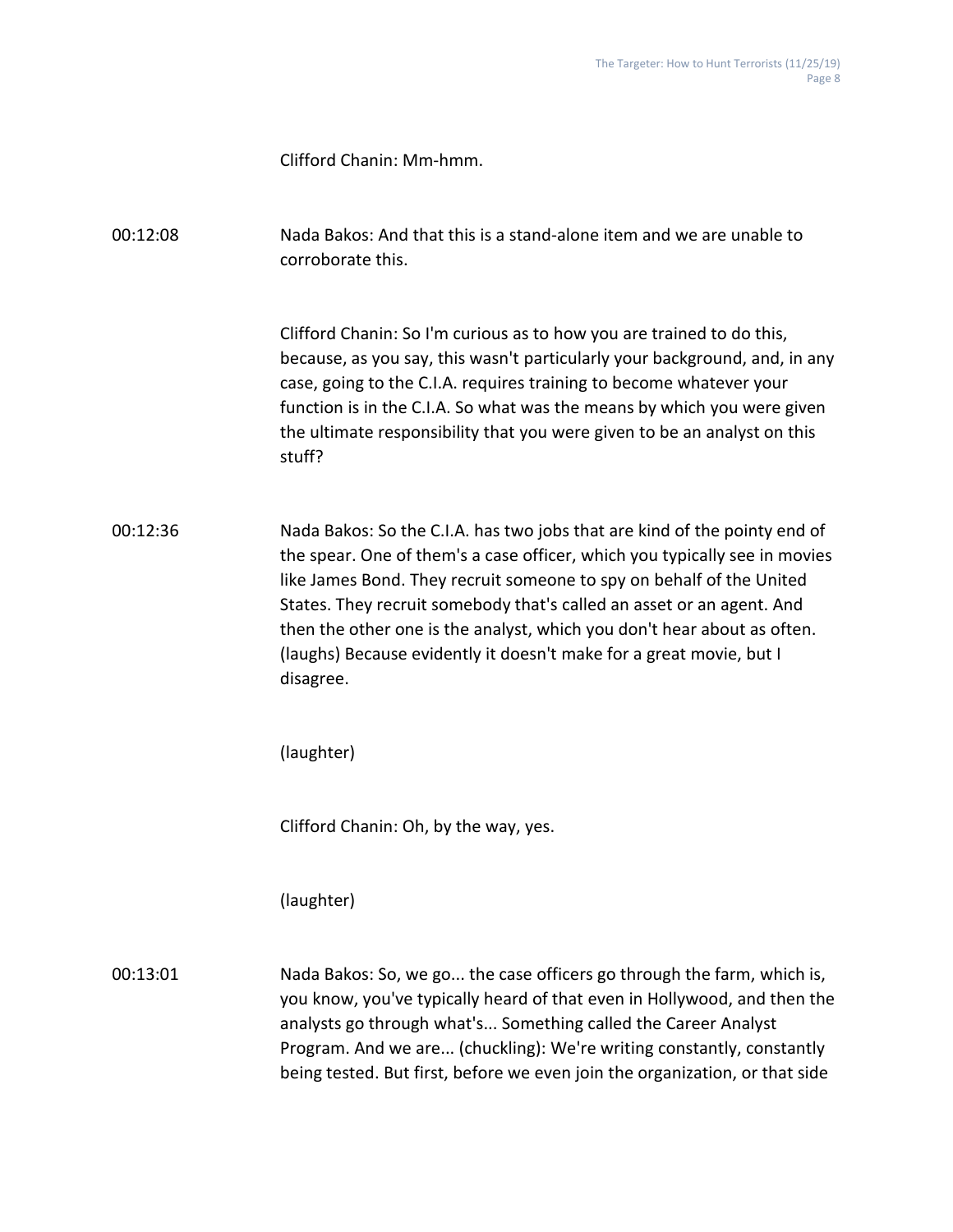Clifford Chanin: Mm-hmm.

00:12:08 Nada Bakos: And that this is a stand-alone item and we are unable to corroborate this.

> Clifford Chanin: So I'm curious as to how you are trained to do this, because, as you say, this wasn't particularly your background, and, in any case, going to the C.I.A. requires training to become whatever your function is in the C.I.A. So what was the means by which you were given the ultimate responsibility that you were given to be an analyst on this stuff?

00:12:36 Nada Bakos: So the C.I.A. has two jobs that are kind of the pointy end of the spear. One of them's a case officer, which you typically see in movies like James Bond. They recruit someone to spy on behalf of the United States. They recruit somebody that's called an asset or an agent. And then the other one is the analyst, which you don't hear about as often. (laughs) Because evidently it doesn't make for a great movie, but I disagree.

(laughter)

Clifford Chanin: Oh, by the way, yes.

(laughter)

00:13:01 Nada Bakos: So, we go... the case officers go through the farm, which is, you know, you've typically heard of that even in Hollywood, and then the analysts go through what's... Something called the Career Analyst Program. And we are... (chuckling): We're writing constantly, constantly being tested. But first, before we even join the organization, or that side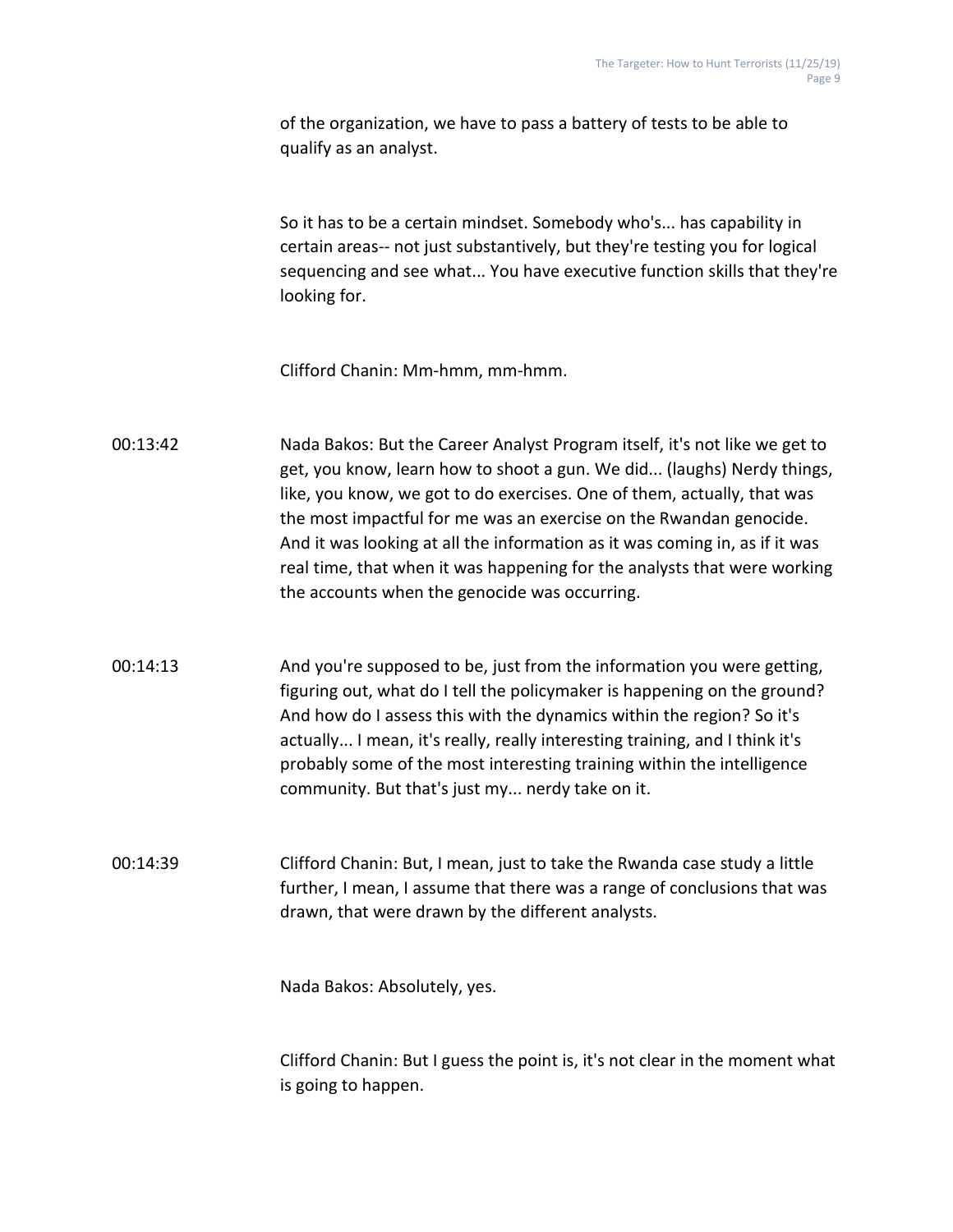of the organization, we have to pass a battery of tests to be able to qualify as an analyst.

So it has to be a certain mindset. Somebody who's... has capability in certain areas-- not just substantively, but they're testing you for logical sequencing and see what... You have executive function skills that they're looking for.

Clifford Chanin: Mm-hmm, mm-hmm.

- 00:13:42 Nada Bakos: But the Career Analyst Program itself, it's not like we get to get, you know, learn how to shoot a gun. We did... (laughs) Nerdy things, like, you know, we got to do exercises. One of them, actually, that was the most impactful for me was an exercise on the Rwandan genocide. And it was looking at all the information as it was coming in, as if it was real time, that when it was happening for the analysts that were working the accounts when the genocide was occurring.
- 00:14:13 And you're supposed to be, just from the information you were getting, figuring out, what do I tell the policymaker is happening on the ground? And how do I assess this with the dynamics within the region? So it's actually... I mean, it's really, really interesting training, and I think it's probably some of the most interesting training within the intelligence community. But that's just my... nerdy take on it.

00:14:39 Clifford Chanin: But, I mean, just to take the Rwanda case study a little further, I mean, I assume that there was a range of conclusions that was drawn, that were drawn by the different analysts.

Nada Bakos: Absolutely, yes.

Clifford Chanin: But I guess the point is, it's not clear in the moment what is going to happen.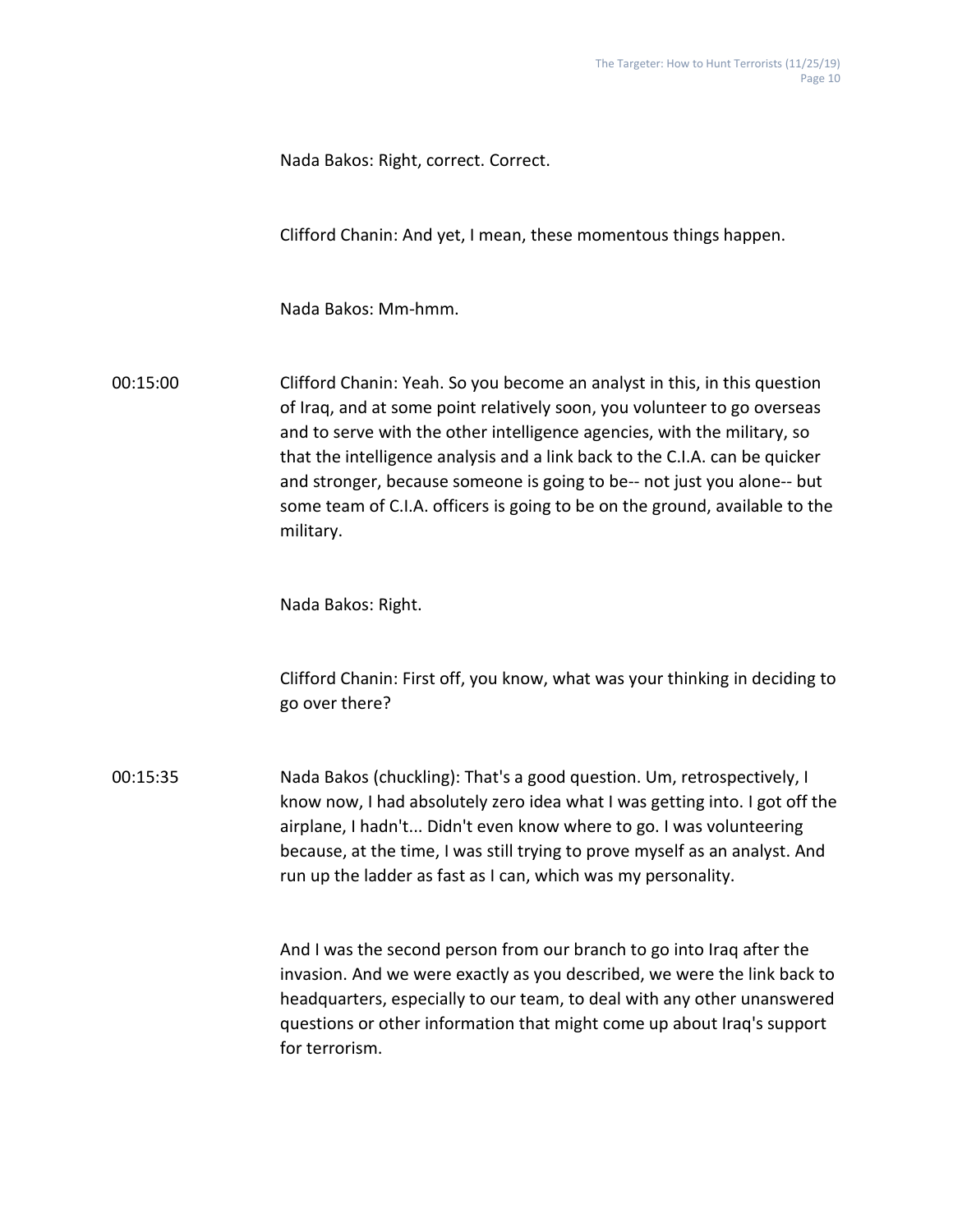Nada Bakos: Right, correct. Correct.

Clifford Chanin: And yet, I mean, these momentous things happen.

Nada Bakos: Mm-hmm.

00:15:00 Clifford Chanin: Yeah. So you become an analyst in this, in this question of Iraq, and at some point relatively soon, you volunteer to go overseas and to serve with the other intelligence agencies, with the military, so that the intelligence analysis and a link back to the C.I.A. can be quicker and stronger, because someone is going to be-- not just you alone-- but some team of C.I.A. officers is going to be on the ground, available to the military.

Nada Bakos: Right.

Clifford Chanin: First off, you know, what was your thinking in deciding to go over there?

00:15:35 Nada Bakos (chuckling): That's a good question. Um, retrospectively, I know now, I had absolutely zero idea what I was getting into. I got off the airplane, I hadn't... Didn't even know where to go. I was volunteering because, at the time, I was still trying to prove myself as an analyst. And run up the ladder as fast as I can, which was my personality.

> And I was the second person from our branch to go into Iraq after the invasion. And we were exactly as you described, we were the link back to headquarters, especially to our team, to deal with any other unanswered questions or other information that might come up about Iraq's support for terrorism.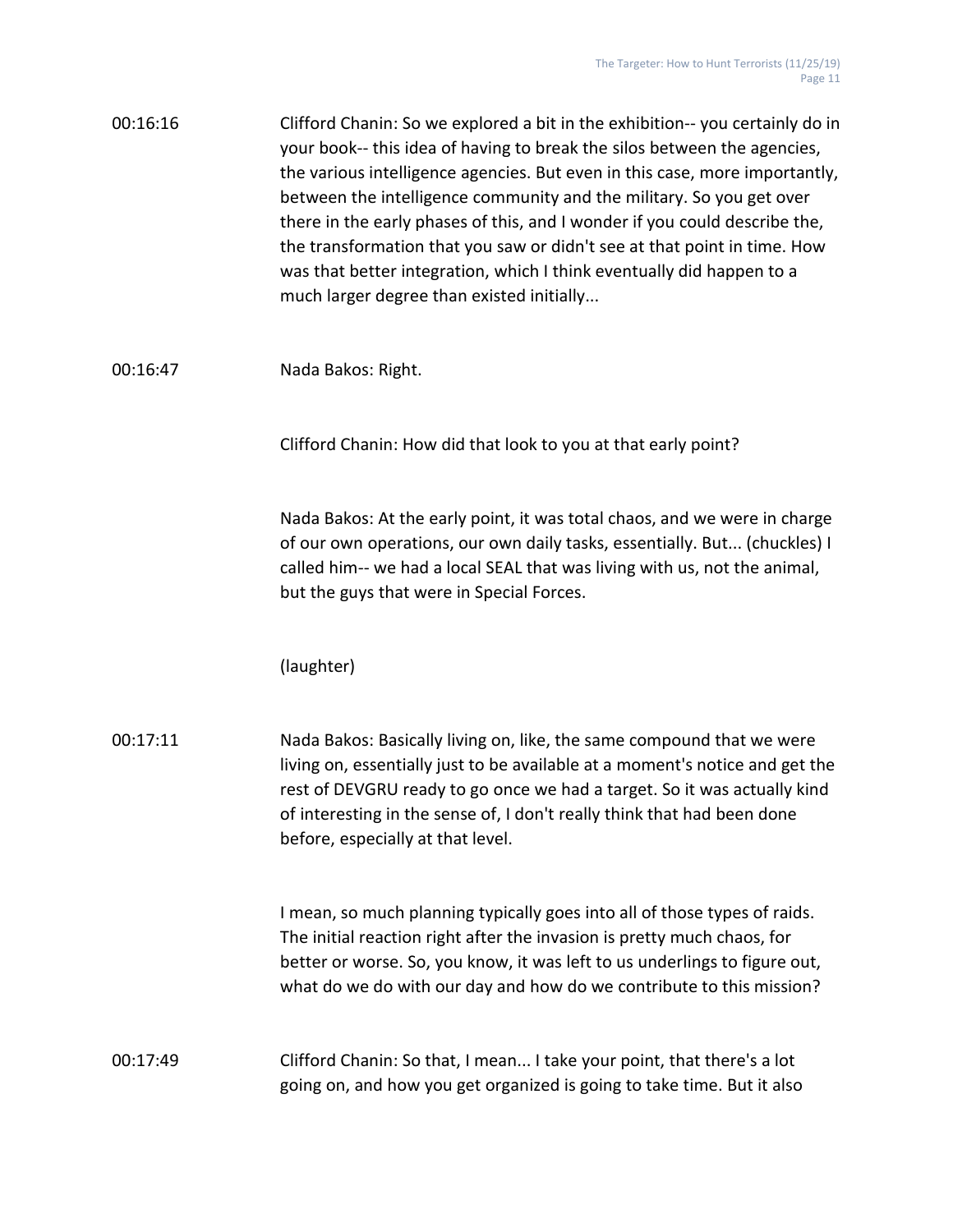| 00:16:16 | Clifford Chanin: So we explored a bit in the exhibition--you certainly do in |
|----------|------------------------------------------------------------------------------|
|          | your book-- this idea of having to break the silos between the agencies,     |
|          | the various intelligence agencies. But even in this case, more importantly,  |
|          | between the intelligence community and the military. So you get over         |
|          | there in the early phases of this, and I wonder if you could describe the,   |
|          | the transformation that you saw or didn't see at that point in time. How     |
|          | was that better integration, which I think eventually did happen to a        |
|          | much larger degree than existed initially                                    |
|          |                                                                              |

## 00:16:47 Nada Bakos: Right.

Clifford Chanin: How did that look to you at that early point?

Nada Bakos: At the early point, it was total chaos, and we were in charge of our own operations, our own daily tasks, essentially. But... (chuckles) I called him-- we had a local SEAL that was living with us, not the animal, but the guys that were in Special Forces.

(laughter)

00:17:11 Nada Bakos: Basically living on, like, the same compound that we were living on, essentially just to be available at a moment's notice and get the rest of DEVGRU ready to go once we had a target. So it was actually kind of interesting in the sense of, I don't really think that had been done before, especially at that level.

> I mean, so much planning typically goes into all of those types of raids. The initial reaction right after the invasion is pretty much chaos, for better or worse. So, you know, it was left to us underlings to figure out, what do we do with our day and how do we contribute to this mission?

00:17:49 Clifford Chanin: So that, I mean... I take your point, that there's a lot going on, and how you get organized is going to take time. But it also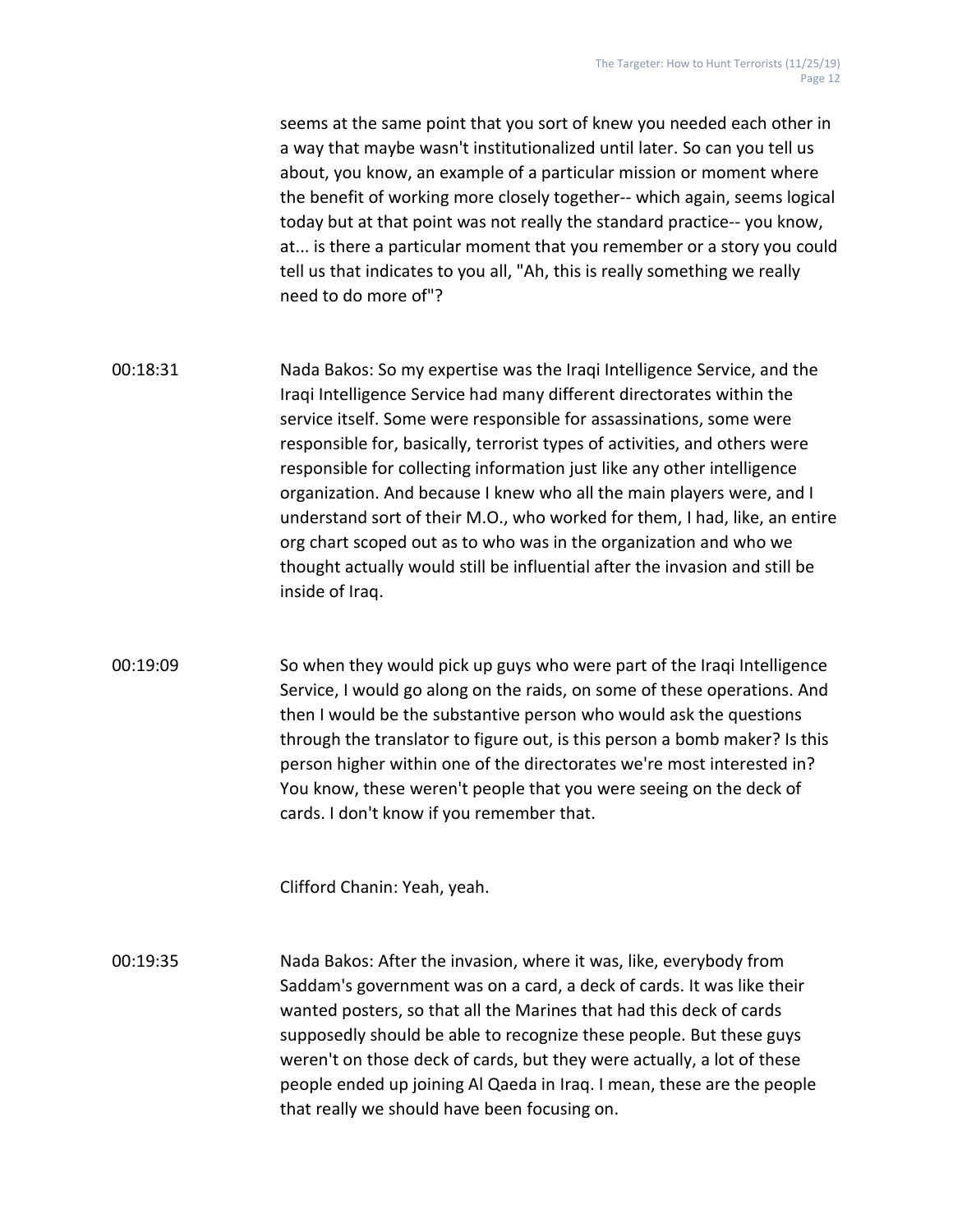seems at the same point that you sort of knew you needed each other in a way that maybe wasn't institutionalized until later. So can you tell us about, you know, an example of a particular mission or moment where the benefit of working more closely together-- which again, seems logical today but at that point was not really the standard practice-- you know, at... is there a particular moment that you remember or a story you could tell us that indicates to you all, "Ah, this is really something we really need to do more of"?

- 00:18:31 Nada Bakos: So my expertise was the Iraqi Intelligence Service, and the Iraqi Intelligence Service had many different directorates within the service itself. Some were responsible for assassinations, some were responsible for, basically, terrorist types of activities, and others were responsible for collecting information just like any other intelligence organization. And because I knew who all the main players were, and I understand sort of their M.O., who worked for them, I had, like, an entire org chart scoped out as to who was in the organization and who we thought actually would still be influential after the invasion and still be inside of Iraq.
- 00:19:09 So when they would pick up guys who were part of the Iraqi Intelligence Service, I would go along on the raids, on some of these operations. And then I would be the substantive person who would ask the questions through the translator to figure out, is this person a bomb maker? Is this person higher within one of the directorates we're most interested in? You know, these weren't people that you were seeing on the deck of cards. I don't know if you remember that.

Clifford Chanin: Yeah, yeah.

00:19:35 Nada Bakos: After the invasion, where it was, like, everybody from Saddam's government was on a card, a deck of cards. It was like their wanted posters, so that all the Marines that had this deck of cards supposedly should be able to recognize these people. But these guys weren't on those deck of cards, but they were actually, a lot of these people ended up joining Al Qaeda in Iraq. I mean, these are the people that really we should have been focusing on.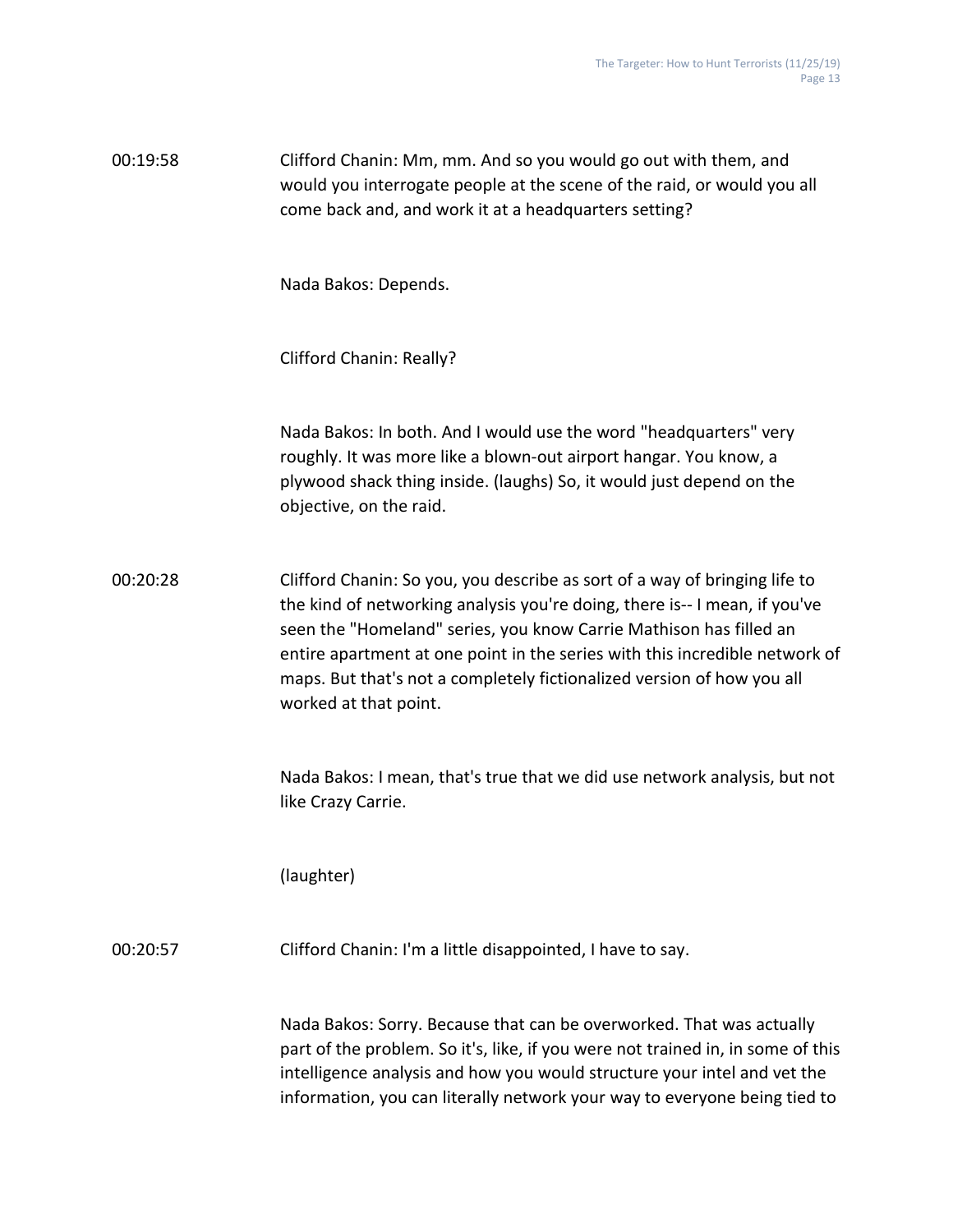| 00:19:58 | Clifford Chanin: Mm, mm. And so you would go out with them, and         |
|----------|-------------------------------------------------------------------------|
|          | would you interrogate people at the scene of the raid, or would you all |
|          | come back and, and work it at a headquarters setting?                   |

Nada Bakos: Depends.

Clifford Chanin: Really?

Nada Bakos: In both. And I would use the word "headquarters" very roughly. It was more like a blown-out airport hangar. You know, a plywood shack thing inside. (laughs) So, it would just depend on the objective, on the raid.

00:20:28 Clifford Chanin: So you, you describe as sort of a way of bringing life to the kind of networking analysis you're doing, there is-- I mean, if you've seen the "Homeland" series, you know Carrie Mathison has filled an entire apartment at one point in the series with this incredible network of maps. But that's not a completely fictionalized version of how you all worked at that point.

> Nada Bakos: I mean, that's true that we did use network analysis, but not like Crazy Carrie.

(laughter)

00:20:57 Clifford Chanin: I'm a little disappointed, I have to say.

Nada Bakos: Sorry. Because that can be overworked. That was actually part of the problem. So it's, like, if you were not trained in, in some of this intelligence analysis and how you would structure your intel and vet the information, you can literally network your way to everyone being tied to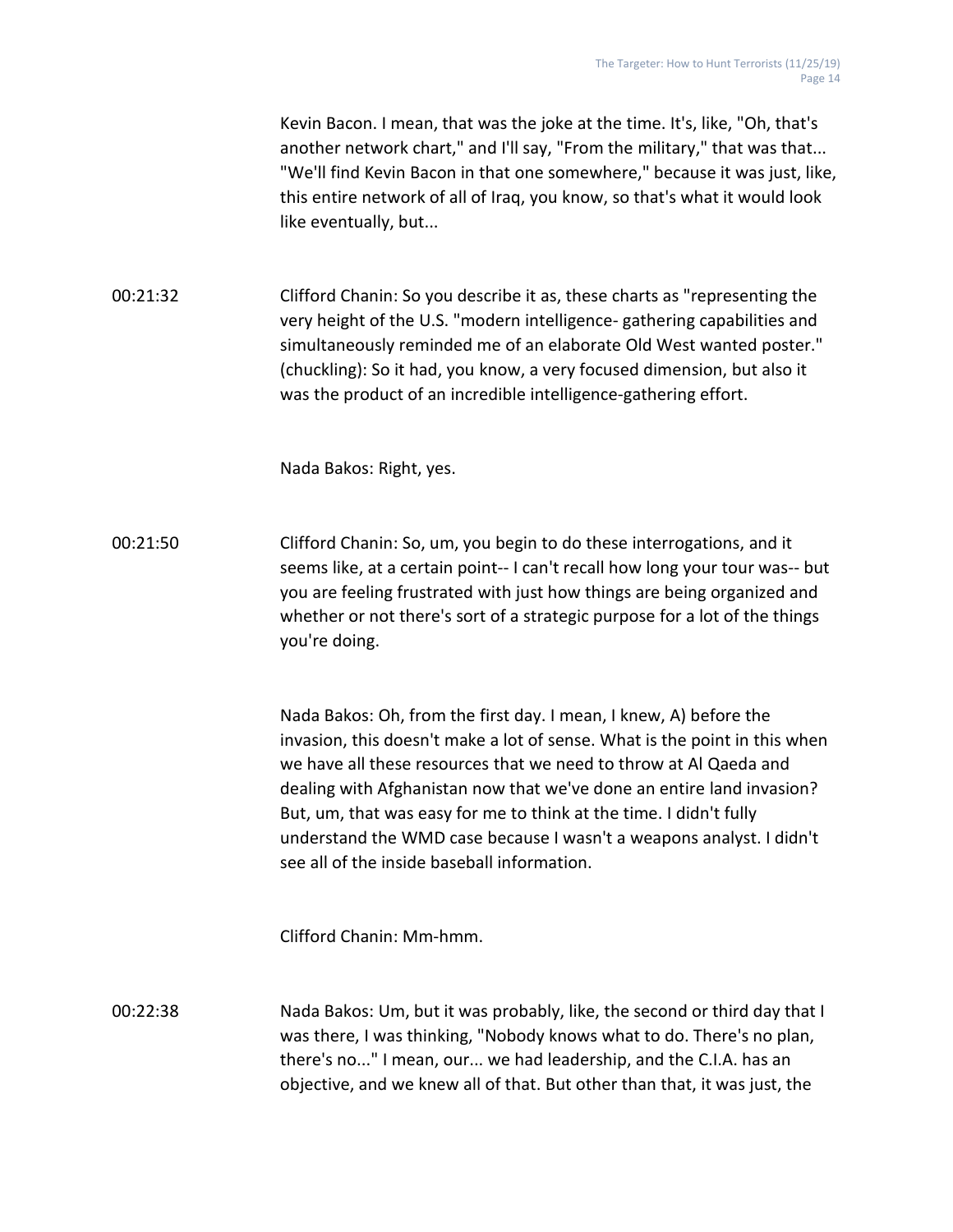Kevin Bacon. I mean, that was the joke at the time. It's, like, "Oh, that's another network chart," and I'll say, "From the military," that was that... "We'll find Kevin Bacon in that one somewhere," because it was just, like, this entire network of all of Iraq, you know, so that's what it would look like eventually, but...

00:21:32 Clifford Chanin: So you describe it as, these charts as "representing the very height of the U.S. "modern intelligence- gathering capabilities and simultaneously reminded me of an elaborate Old West wanted poster." (chuckling): So it had, you know, a very focused dimension, but also it was the product of an incredible intelligence-gathering effort.

Nada Bakos: Right, yes.

00:21:50 Clifford Chanin: So, um, you begin to do these interrogations, and it seems like, at a certain point-- I can't recall how long your tour was-- but you are feeling frustrated with just how things are being organized and whether or not there's sort of a strategic purpose for a lot of the things you're doing.

> Nada Bakos: Oh, from the first day. I mean, I knew, A) before the invasion, this doesn't make a lot of sense. What is the point in this when we have all these resources that we need to throw at Al Qaeda and dealing with Afghanistan now that we've done an entire land invasion? But, um, that was easy for me to think at the time. I didn't fully understand the WMD case because I wasn't a weapons analyst. I didn't see all of the inside baseball information.

Clifford Chanin: Mm-hmm.

00:22:38 Nada Bakos: Um, but it was probably, like, the second or third day that I was there, I was thinking, "Nobody knows what to do. There's no plan, there's no..." I mean, our... we had leadership, and the C.I.A. has an objective, and we knew all of that. But other than that, it was just, the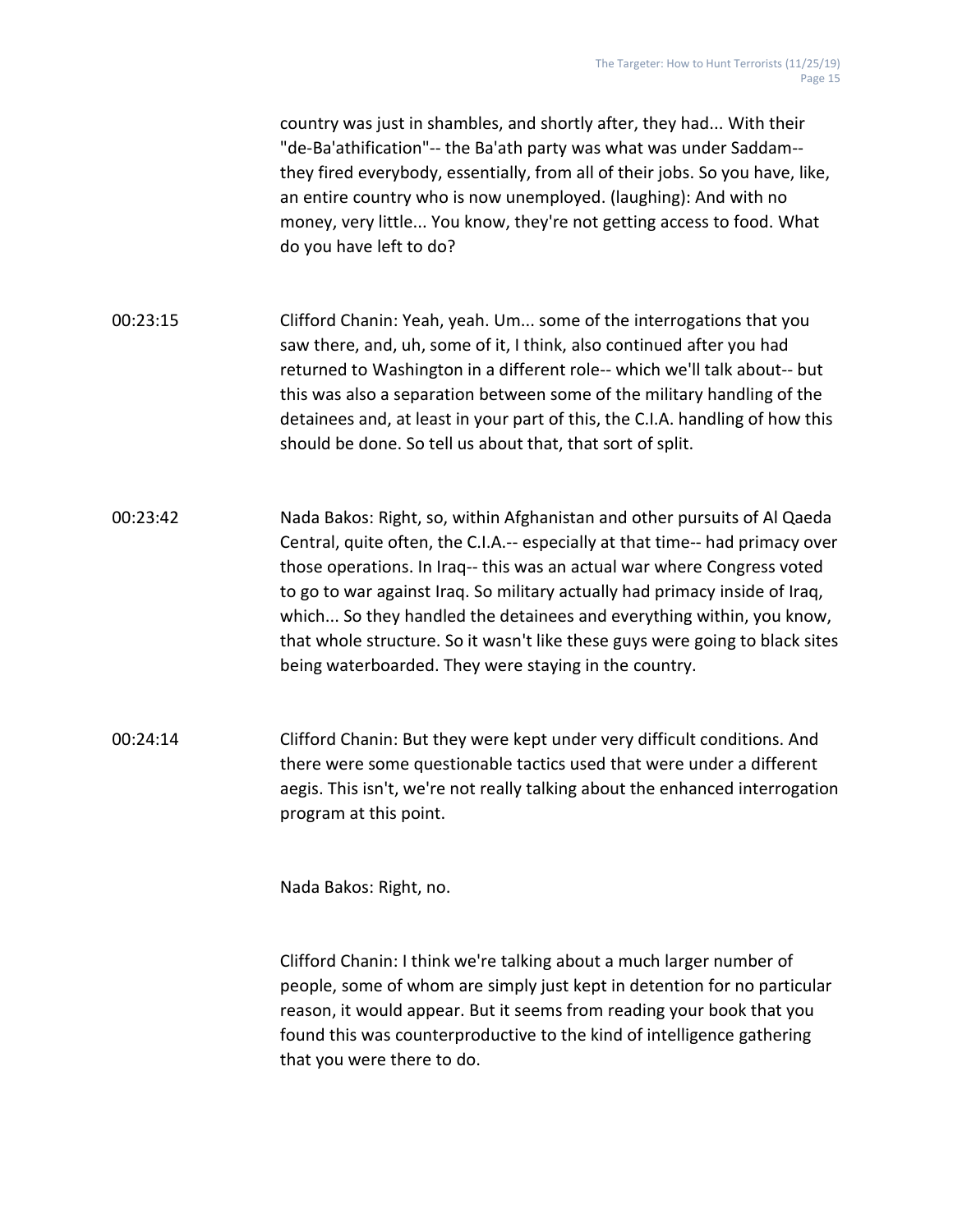country was just in shambles, and shortly after, they had... With their "de-Ba'athification"-- the Ba'ath party was what was under Saddam- they fired everybody, essentially, from all of their jobs. So you have, like, an entire country who is now unemployed. (laughing): And with no money, very little... You know, they're not getting access to food. What do you have left to do?

- 00:23:15 Clifford Chanin: Yeah, yeah. Um... some of the interrogations that you saw there, and, uh, some of it, I think, also continued after you had returned to Washington in a different role-- which we'll talk about-- but this was also a separation between some of the military handling of the detainees and, at least in your part of this, the C.I.A. handling of how this should be done. So tell us about that, that sort of split.
- 00:23:42 Nada Bakos: Right, so, within Afghanistan and other pursuits of Al Qaeda Central, quite often, the C.I.A.-- especially at that time-- had primacy over those operations. In Iraq-- this was an actual war where Congress voted to go to war against Iraq. So military actually had primacy inside of Iraq, which... So they handled the detainees and everything within, you know, that whole structure. So it wasn't like these guys were going to black sites being waterboarded. They were staying in the country.
- 00:24:14 Clifford Chanin: But they were kept under very difficult conditions. And there were some questionable tactics used that were under a different aegis. This isn't, we're not really talking about the enhanced interrogation program at this point.

Nada Bakos: Right, no.

Clifford Chanin: I think we're talking about a much larger number of people, some of whom are simply just kept in detention for no particular reason, it would appear. But it seems from reading your book that you found this was counterproductive to the kind of intelligence gathering that you were there to do.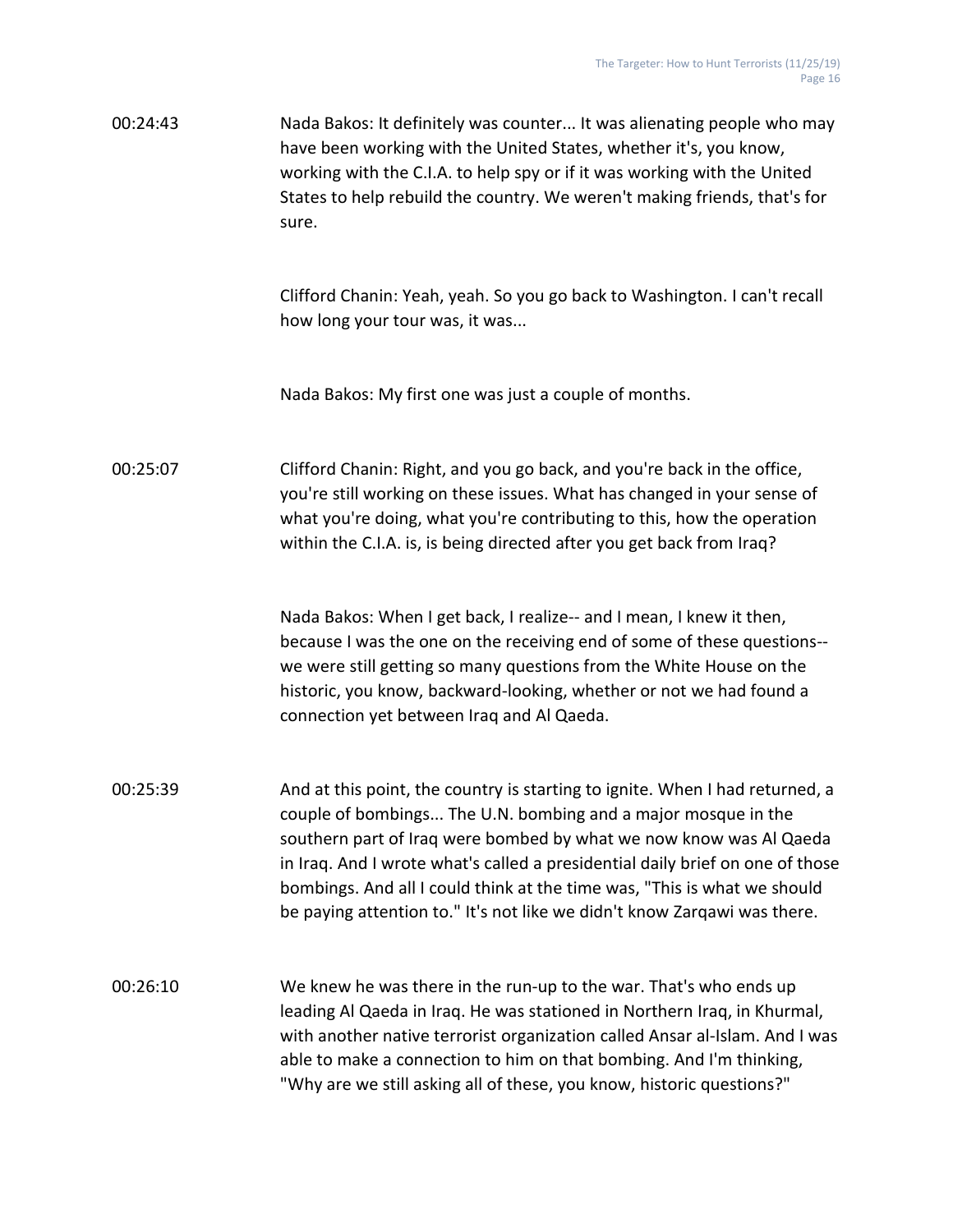00:24:43 Nada Bakos: It definitely was counter... It was alienating people who may have been working with the United States, whether it's, you know, working with the C.I.A. to help spy or if it was working with the United States to help rebuild the country. We weren't making friends, that's for sure.

> Clifford Chanin: Yeah, yeah. So you go back to Washington. I can't recall how long your tour was, it was...

Nada Bakos: My first one was just a couple of months.

00:25:07 Clifford Chanin: Right, and you go back, and you're back in the office, you're still working on these issues. What has changed in your sense of what you're doing, what you're contributing to this, how the operation within the C.I.A. is, is being directed after you get back from Iraq?

> Nada Bakos: When I get back, I realize-- and I mean, I knew it then, because I was the one on the receiving end of some of these questions- we were still getting so many questions from the White House on the historic, you know, backward-looking, whether or not we had found a connection yet between Iraq and Al Qaeda.

- 00:25:39 And at this point, the country is starting to ignite. When I had returned, a couple of bombings... The U.N. bombing and a major mosque in the southern part of Iraq were bombed by what we now know was Al Qaeda in Iraq. And I wrote what's called a presidential daily brief on one of those bombings. And all I could think at the time was, "This is what we should be paying attention to." It's not like we didn't know Zarqawi was there.
- 00:26:10 We knew he was there in the run-up to the war. That's who ends up leading Al Qaeda in Iraq. He was stationed in Northern Iraq, in Khurmal, with another native terrorist organization called Ansar al-Islam. And I was able to make a connection to him on that bombing. And I'm thinking, "Why are we still asking all of these, you know, historic questions?"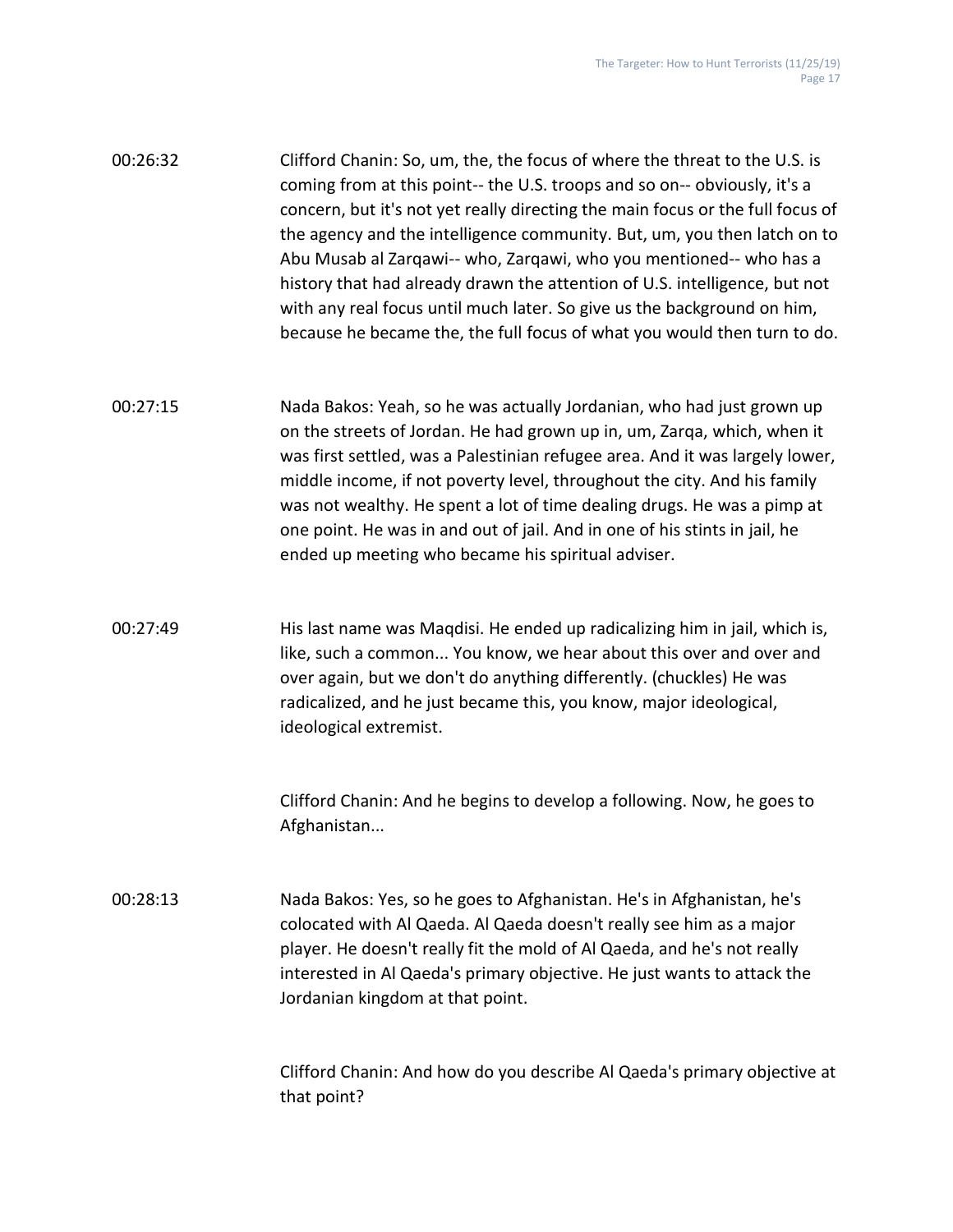| 00:26:32 | Clifford Chanin: So, um, the, the focus of where the threat to the U.S. is                                                                                  |
|----------|-------------------------------------------------------------------------------------------------------------------------------------------------------------|
|          | coming from at this point-- the U.S. troops and so on-- obviously, it's a<br>concern, but it's not yet really directing the main focus or the full focus of |
|          | the agency and the intelligence community. But, um, you then latch on to                                                                                    |
|          | Abu Musab al Zargawi-- who, Zargawi, who you mentioned-- who has a                                                                                          |
|          | history that had already drawn the attention of U.S. intelligence, but not                                                                                  |
|          | with any real focus until much later. So give us the background on him,                                                                                     |
|          | because he became the, the full focus of what you would then turn to do.                                                                                    |

- 00:27:15 Nada Bakos: Yeah, so he was actually Jordanian, who had just grown up on the streets of Jordan. He had grown up in, um, Zarqa, which, when it was first settled, was a Palestinian refugee area. And it was largely lower, middle income, if not poverty level, throughout the city. And his family was not wealthy. He spent a lot of time dealing drugs. He was a pimp at one point. He was in and out of jail. And in one of his stints in jail, he ended up meeting who became his spiritual adviser.
- 00:27:49 His last name was Maqdisi. He ended up radicalizing him in jail, which is, like, such a common... You know, we hear about this over and over and over again, but we don't do anything differently. (chuckles) He was radicalized, and he just became this, you know, major ideological, ideological extremist.

Clifford Chanin: And he begins to develop a following. Now, he goes to Afghanistan...

00:28:13 Nada Bakos: Yes, so he goes to Afghanistan. He's in Afghanistan, he's colocated with Al Qaeda. Al Qaeda doesn't really see him as a major player. He doesn't really fit the mold of Al Qaeda, and he's not really interested in Al Qaeda's primary objective. He just wants to attack the Jordanian kingdom at that point.

> Clifford Chanin: And how do you describe Al Qaeda's primary objective at that point?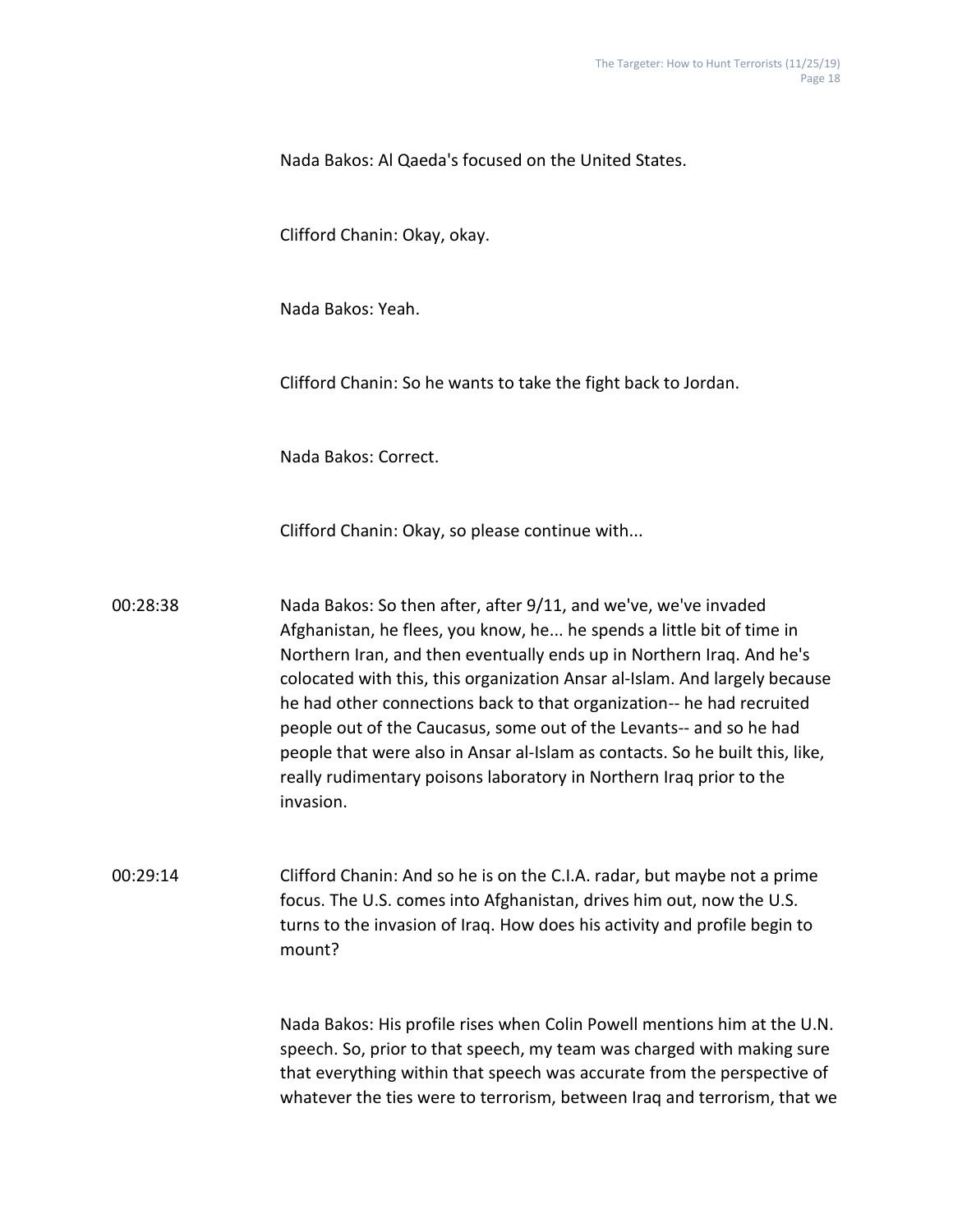Nada Bakos: Al Qaeda's focused on the United States.

Clifford Chanin: Okay, okay.

Nada Bakos: Yeah.

Clifford Chanin: So he wants to take the fight back to Jordan.

Nada Bakos: Correct.

Clifford Chanin: Okay, so please continue with...

00:28:38 Nada Bakos: So then after, after 9/11, and we've, we've invaded Afghanistan, he flees, you know, he... he spends a little bit of time in Northern Iran, and then eventually ends up in Northern Iraq. And he's colocated with this, this organization Ansar al-Islam. And largely because he had other connections back to that organization-- he had recruited people out of the Caucasus, some out of the Levants-- and so he had people that were also in Ansar al-Islam as contacts. So he built this, like, really rudimentary poisons laboratory in Northern Iraq prior to the invasion.

00:29:14 Clifford Chanin: And so he is on the C.I.A. radar, but maybe not a prime focus. The U.S. comes into Afghanistan, drives him out, now the U.S. turns to the invasion of Iraq. How does his activity and profile begin to mount?

> Nada Bakos: His profile rises when Colin Powell mentions him at the U.N. speech. So, prior to that speech, my team was charged with making sure that everything within that speech was accurate from the perspective of whatever the ties were to terrorism, between Iraq and terrorism, that we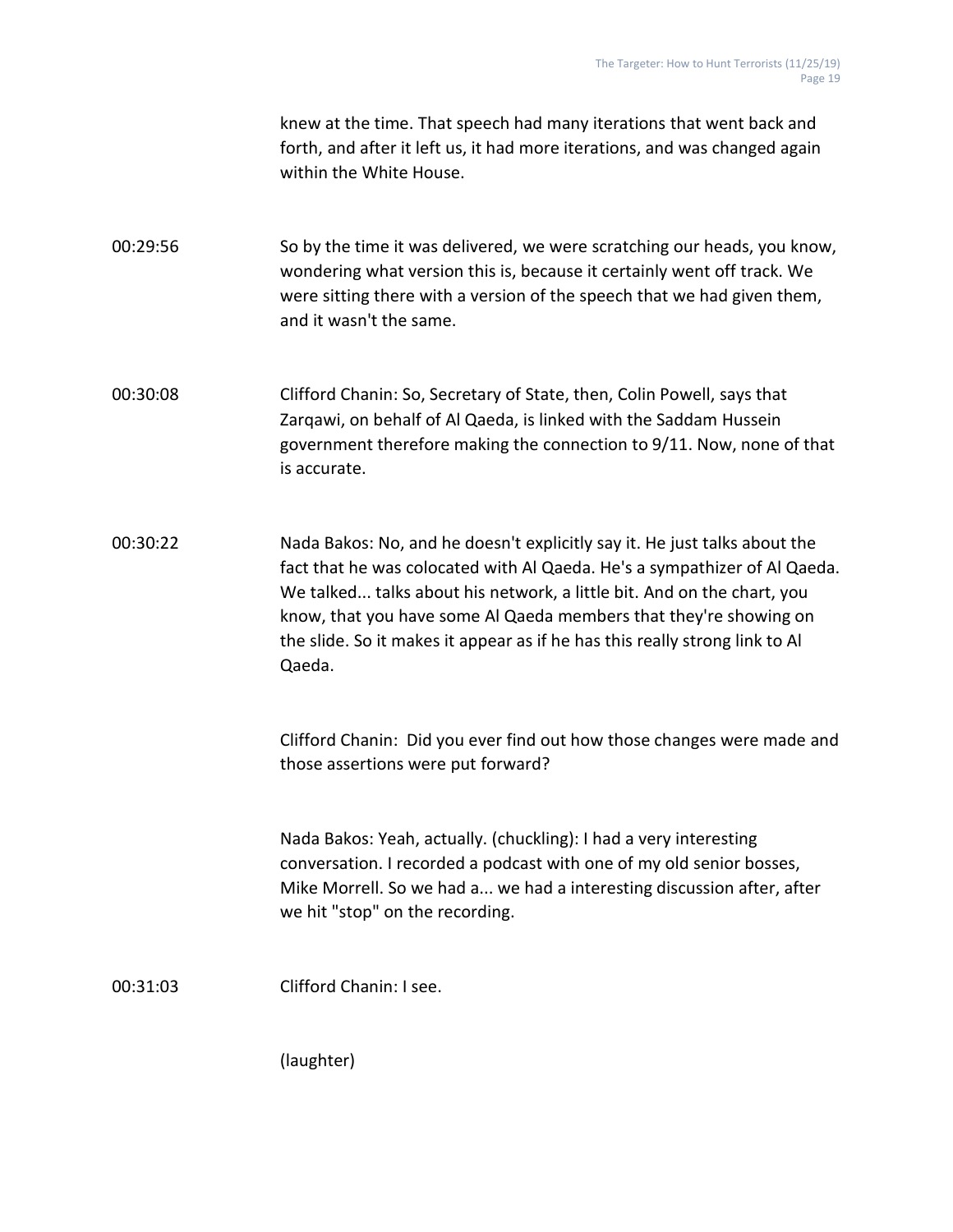knew at the time. That speech had many iterations that went back and forth, and after it left us, it had more iterations, and was changed again within the White House.

00:29:56 So by the time it was delivered, we were scratching our heads, you know, wondering what version this is, because it certainly went off track. We were sitting there with a version of the speech that we had given them, and it wasn't the same.

00:30:08 Clifford Chanin: So, Secretary of State, then, Colin Powell, says that Zarqawi, on behalf of Al Qaeda, is linked with the Saddam Hussein government therefore making the connection to 9/11. Now, none of that is accurate.

00:30:22 Nada Bakos: No, and he doesn't explicitly say it. He just talks about the fact that he was colocated with Al Qaeda. He's a sympathizer of Al Qaeda. We talked... talks about his network, a little bit. And on the chart, you know, that you have some Al Qaeda members that they're showing on the slide. So it makes it appear as if he has this really strong link to Al Qaeda.

> Clifford Chanin: Did you ever find out how those changes were made and those assertions were put forward?

Nada Bakos: Yeah, actually. (chuckling): I had a very interesting conversation. I recorded a podcast with one of my old senior bosses, Mike Morrell. So we had a... we had a interesting discussion after, after we hit "stop" on the recording.

00:31:03 Clifford Chanin: I see.

(laughter)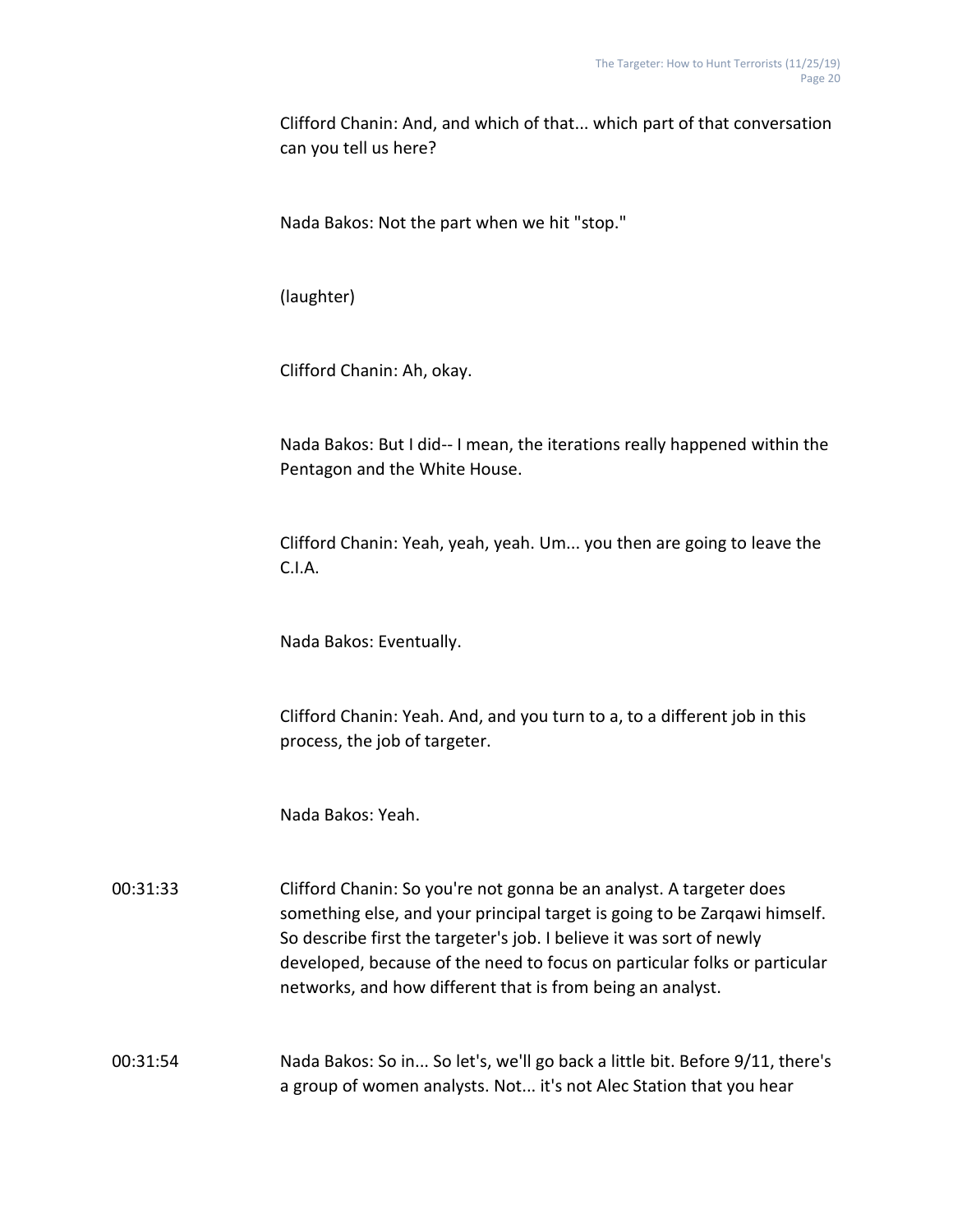Clifford Chanin: And, and which of that... which part of that conversation can you tell us here?

Nada Bakos: Not the part when we hit "stop."

(laughter)

Clifford Chanin: Ah, okay.

Nada Bakos: But I did-- I mean, the iterations really happened within the Pentagon and the White House.

Clifford Chanin: Yeah, yeah, yeah. Um... you then are going to leave the C.I.A.

Nada Bakos: Eventually.

Clifford Chanin: Yeah. And, and you turn to a, to a different job in this process, the job of targeter.

Nada Bakos: Yeah.

00:31:33 Clifford Chanin: So you're not gonna be an analyst. A targeter does something else, and your principal target is going to be Zarqawi himself. So describe first the targeter's job. I believe it was sort of newly developed, because of the need to focus on particular folks or particular networks, and how different that is from being an analyst.

00:31:54 Nada Bakos: So in... So let's, we'll go back a little bit. Before 9/11, there's a group of women analysts. Not... it's not Alec Station that you hear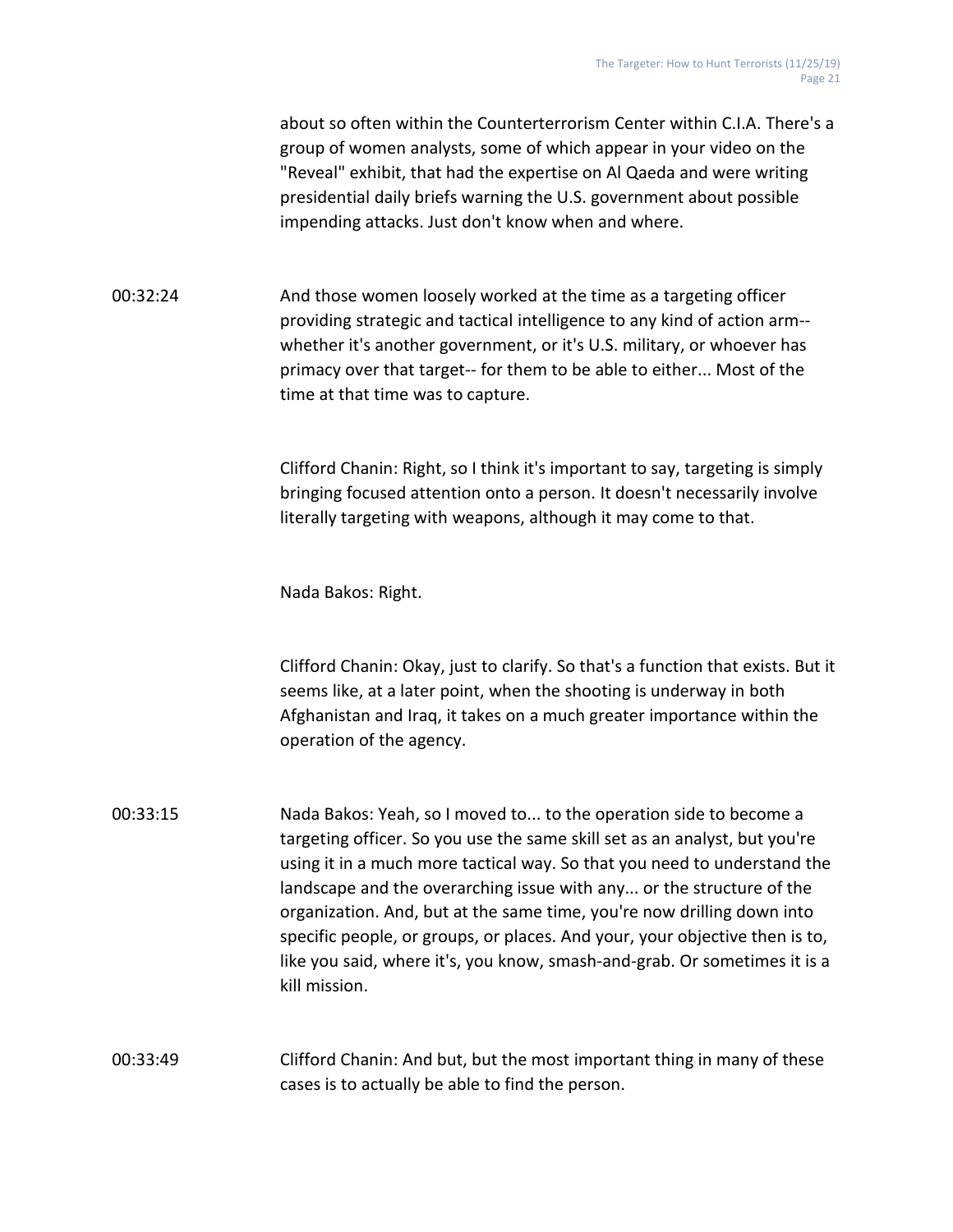about so often within the Counterterrorism Center within C.I.A. There's a group of women analysts, some of which appear in your video on the "Reveal" exhibit, that had the expertise on Al Qaeda and were writing presidential daily briefs warning the U.S. government about possible impending attacks. Just don't know when and where.

00:32:24 And those women loosely worked at the time as a targeting officer providing strategic and tactical intelligence to any kind of action arm- whether it's another government, or it's U.S. military, or whoever has primacy over that target-- for them to be able to either... Most of the time at that time was to capture.

> Clifford Chanin: Right, so I think it's important to say, targeting is simply bringing focused attention onto a person. It doesn't necessarily involve literally targeting with weapons, although it may come to that.

Nada Bakos: Right.

Clifford Chanin: Okay, just to clarify. So that's a function that exists. But it seems like, at a later point, when the shooting is underway in both Afghanistan and Iraq, it takes on a much greater importance within the operation of the agency.

00:33:15 Nada Bakos: Yeah, so I moved to... to the operation side to become a targeting officer. So you use the same skill set as an analyst, but you're using it in a much more tactical way. So that you need to understand the landscape and the overarching issue with any... or the structure of the organization. And, but at the same time, you're now drilling down into specific people, or groups, or places. And your, your objective then is to, like you said, where it's, you know, smash-and-grab. Or sometimes it is a kill mission.

00:33:49 Clifford Chanin: And but, but the most important thing in many of these cases is to actually be able to find the person.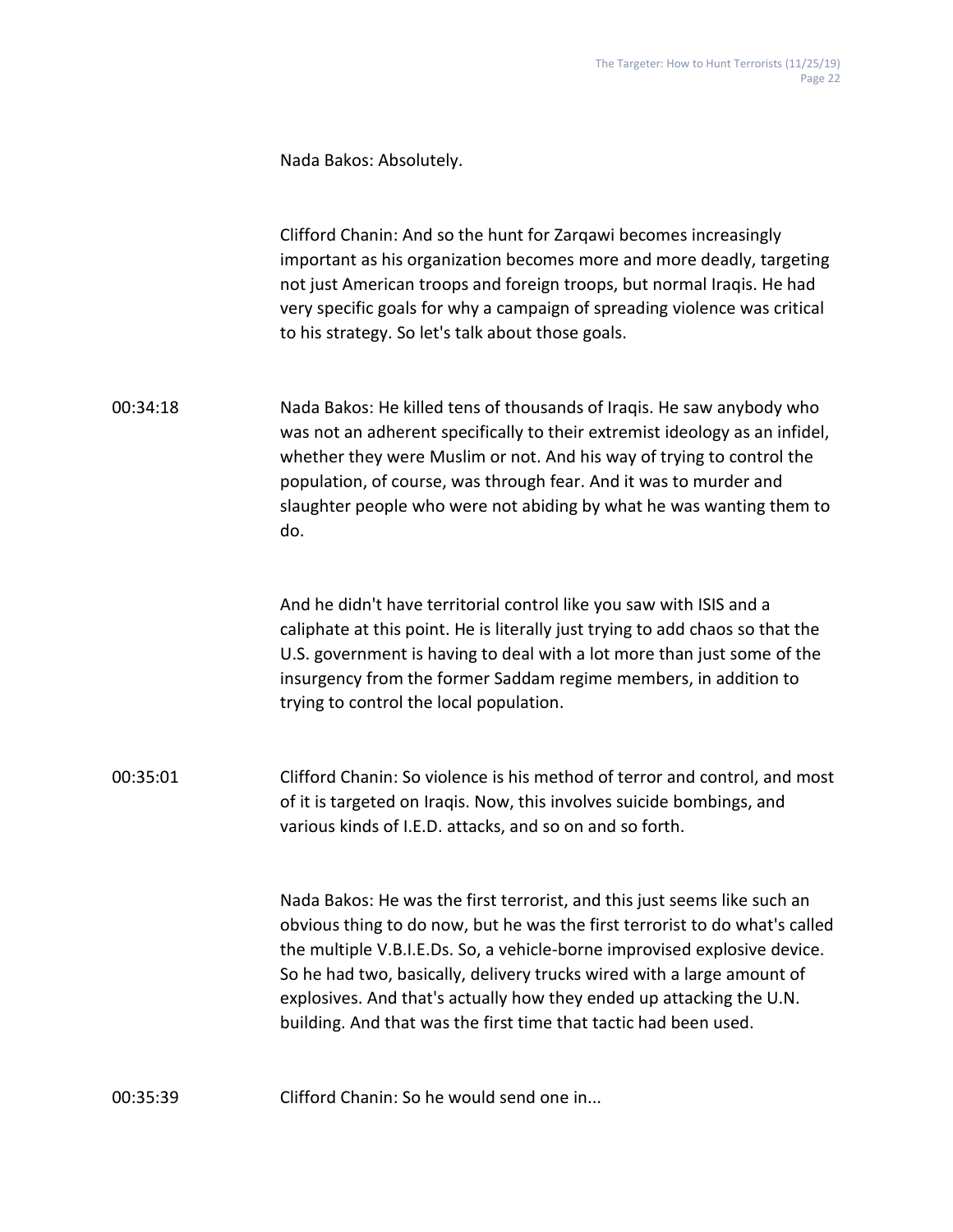Nada Bakos: Absolutely.

Clifford Chanin: And so the hunt for Zarqawi becomes increasingly important as his organization becomes more and more deadly, targeting not just American troops and foreign troops, but normal Iraqis. He had very specific goals for why a campaign of spreading violence was critical to his strategy. So let's talk about those goals.

00:34:18 Nada Bakos: He killed tens of thousands of Iraqis. He saw anybody who was not an adherent specifically to their extremist ideology as an infidel, whether they were Muslim or not. And his way of trying to control the population, of course, was through fear. And it was to murder and slaughter people who were not abiding by what he was wanting them to do.

> And he didn't have territorial control like you saw with ISIS and a caliphate at this point. He is literally just trying to add chaos so that the U.S. government is having to deal with a lot more than just some of the insurgency from the former Saddam regime members, in addition to trying to control the local population.

00:35:01 Clifford Chanin: So violence is his method of terror and control, and most of it is targeted on Iraqis. Now, this involves suicide bombings, and various kinds of I.E.D. attacks, and so on and so forth.

> Nada Bakos: He was the first terrorist, and this just seems like such an obvious thing to do now, but he was the first terrorist to do what's called the multiple V.B.I.E.Ds. So, a vehicle-borne improvised explosive device. So he had two, basically, delivery trucks wired with a large amount of explosives. And that's actually how they ended up attacking the U.N. building. And that was the first time that tactic had been used.

00:35:39 Clifford Chanin: So he would send one in...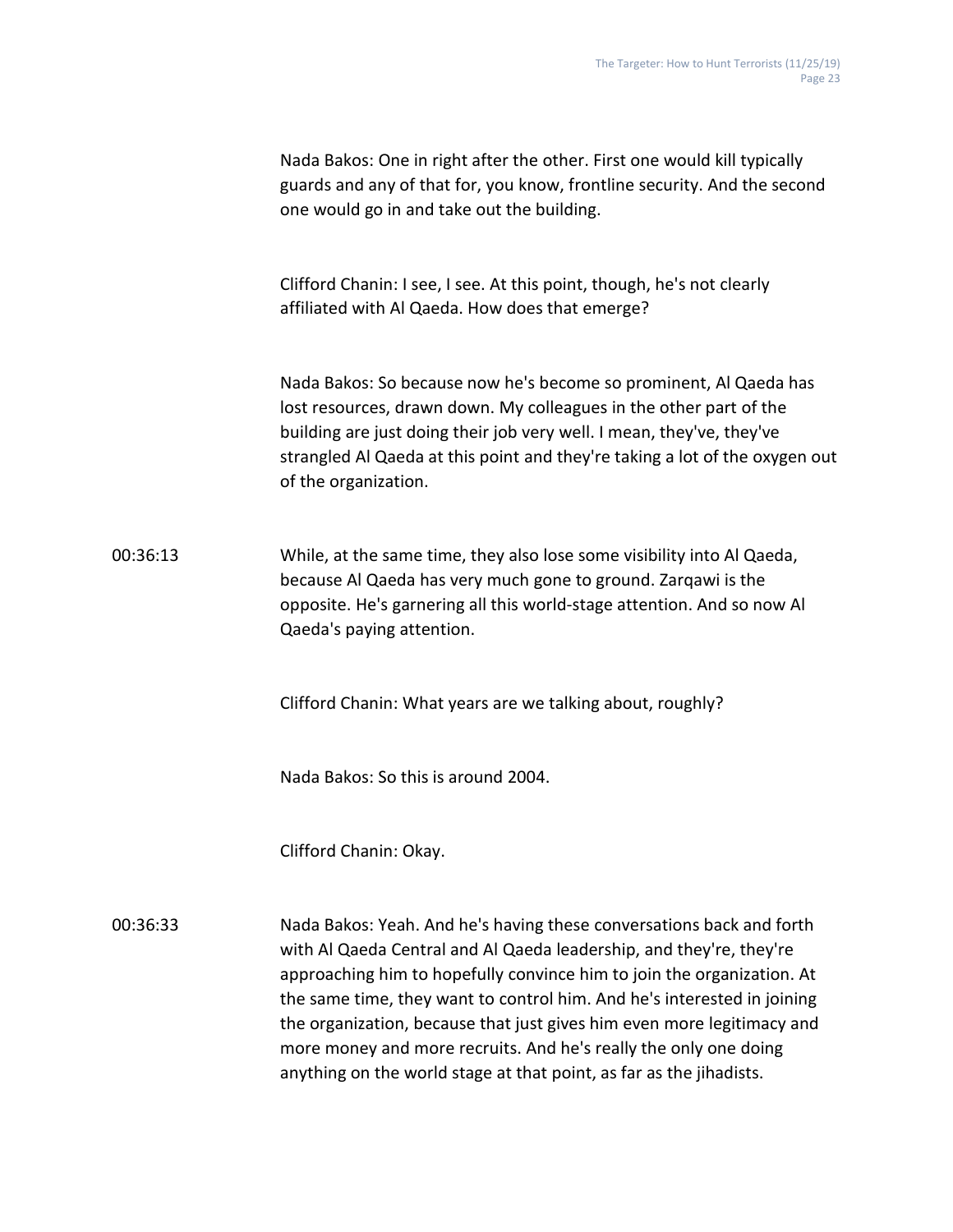Nada Bakos: One in right after the other. First one would kill typically guards and any of that for, you know, frontline security. And the second one would go in and take out the building. Clifford Chanin: I see, I see. At this point, though, he's not clearly affiliated with Al Qaeda. How does that emerge? Nada Bakos: So because now he's become so prominent, Al Qaeda has lost resources, drawn down. My colleagues in the other part of the building are just doing their job very well. I mean, they've, they've strangled Al Qaeda at this point and they're taking a lot of the oxygen out of the organization. 00:36:13 While, at the same time, they also lose some visibility into Al Qaeda, because Al Qaeda has very much gone to ground. Zarqawi is the opposite. He's garnering all this world-stage attention. And so now Al Qaeda's paying attention. Clifford Chanin: What years are we talking about, roughly? Nada Bakos: So this is around 2004. Clifford Chanin: Okay. 00:36:33 Nada Bakos: Yeah. And he's having these conversations back and forth with Al Qaeda Central and Al Qaeda leadership, and they're, they're approaching him to hopefully convince him to join the organization. At

the same time, they want to control him. And he's interested in joining the organization, because that just gives him even more legitimacy and more money and more recruits. And he's really the only one doing anything on the world stage at that point, as far as the jihadists.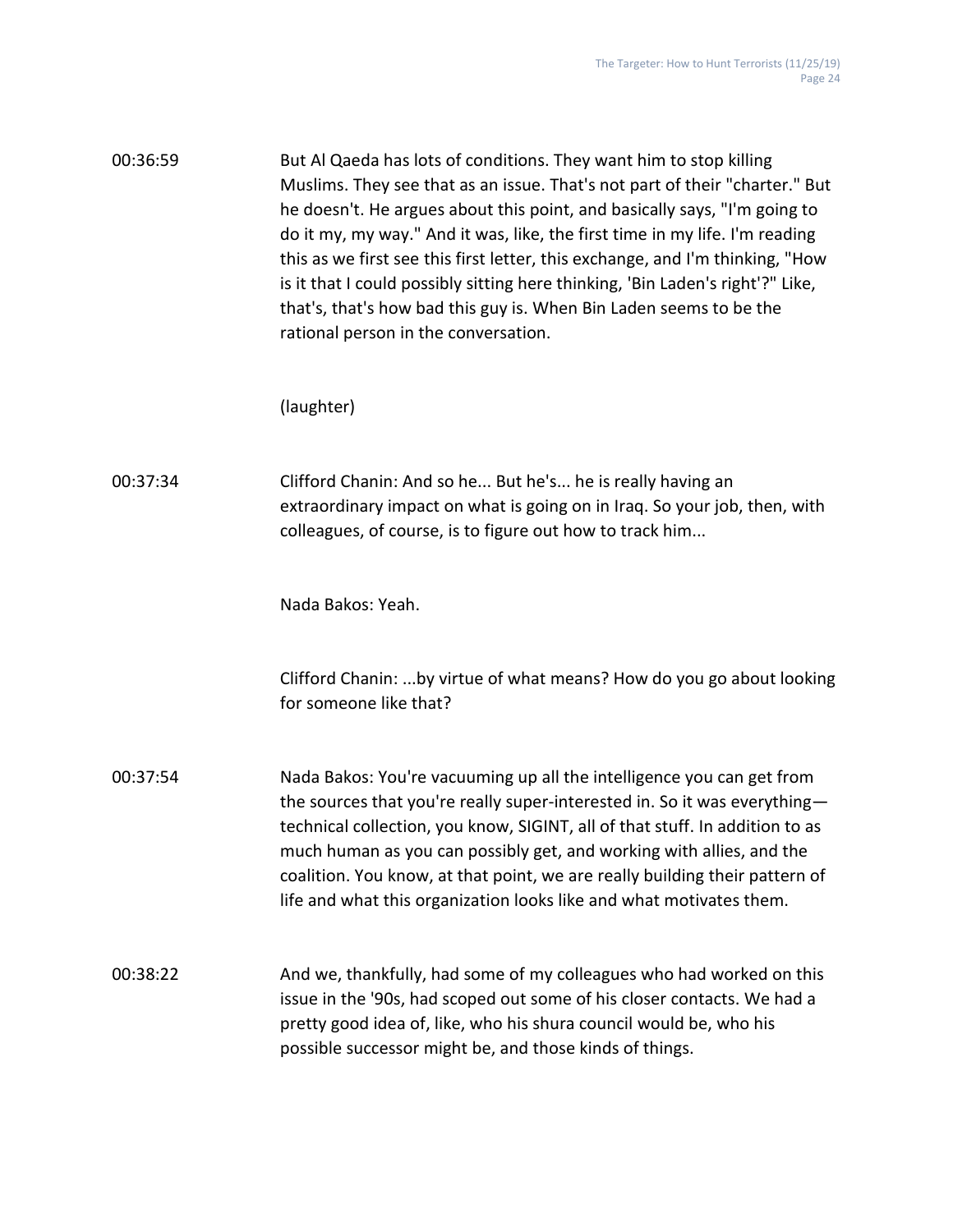| 00:36:59 | But Al Qaeda has lots of conditions. They want him to stop killing             |
|----------|--------------------------------------------------------------------------------|
|          | Muslims. They see that as an issue. That's not part of their "charter." But    |
|          | he doesn't. He argues about this point, and basically says, "I'm going to      |
|          | do it my, my way." And it was, like, the first time in my life. I'm reading    |
|          | this as we first see this first letter, this exchange, and I'm thinking, "How  |
|          | is it that I could possibly sitting here thinking, 'Bin Laden's right'?" Like, |
|          | that's, that's how bad this guy is. When Bin Laden seems to be the             |
|          | rational person in the conversation.                                           |

## (laughter)

00:37:34 Clifford Chanin: And so he... But he's... he is really having an extraordinary impact on what is going on in Iraq. So your job, then, with colleagues, of course, is to figure out how to track him...

Nada Bakos: Yeah.

Clifford Chanin: ...by virtue of what means? How do you go about looking for someone like that?

00:37:54 Nada Bakos: You're vacuuming up all the intelligence you can get from the sources that you're really super-interested in. So it was everything technical collection, you know, SIGINT, all of that stuff. In addition to as much human as you can possibly get, and working with allies, and the coalition. You know, at that point, we are really building their pattern of life and what this organization looks like and what motivates them.

00:38:22 And we, thankfully, had some of my colleagues who had worked on this issue in the '90s, had scoped out some of his closer contacts. We had a pretty good idea of, like, who his shura council would be, who his possible successor might be, and those kinds of things.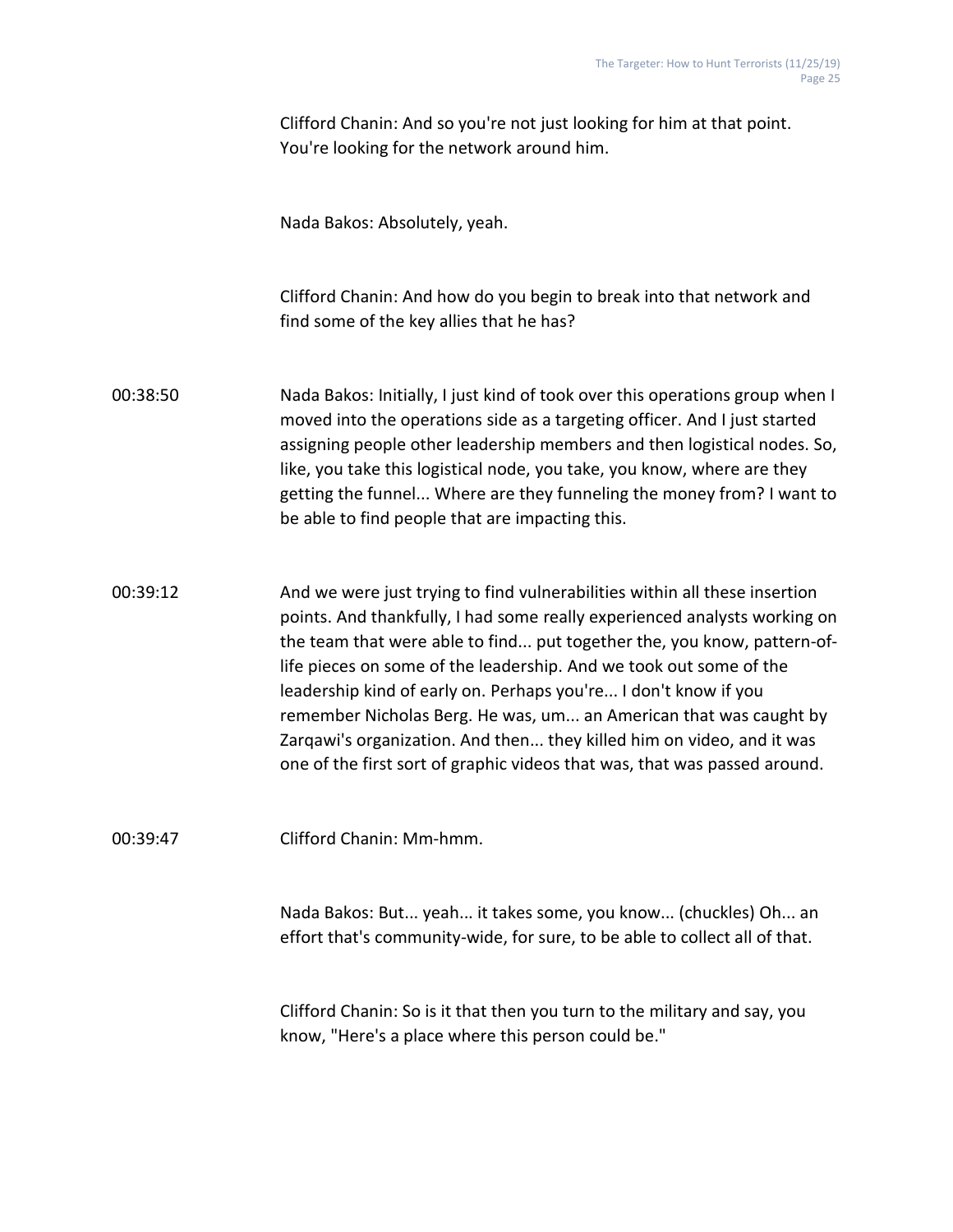Clifford Chanin: And so you're not just looking for him at that point. You're looking for the network around him.

Nada Bakos: Absolutely, yeah.

Clifford Chanin: And how do you begin to break into that network and find some of the key allies that he has?

00:38:50 Nada Bakos: Initially, I just kind of took over this operations group when I moved into the operations side as a targeting officer. And I just started assigning people other leadership members and then logistical nodes. So, like, you take this logistical node, you take, you know, where are they getting the funnel... Where are they funneling the money from? I want to be able to find people that are impacting this.

00:39:12 And we were just trying to find vulnerabilities within all these insertion points. And thankfully, I had some really experienced analysts working on the team that were able to find... put together the, you know, pattern-oflife pieces on some of the leadership. And we took out some of the leadership kind of early on. Perhaps you're... I don't know if you remember Nicholas Berg. He was, um... an American that was caught by Zarqawi's organization. And then... they killed him on video, and it was one of the first sort of graphic videos that was, that was passed around.

00:39:47 Clifford Chanin: Mm-hmm.

Nada Bakos: But... yeah... it takes some, you know... (chuckles) Oh... an effort that's community-wide, for sure, to be able to collect all of that.

Clifford Chanin: So is it that then you turn to the military and say, you know, "Here's a place where this person could be."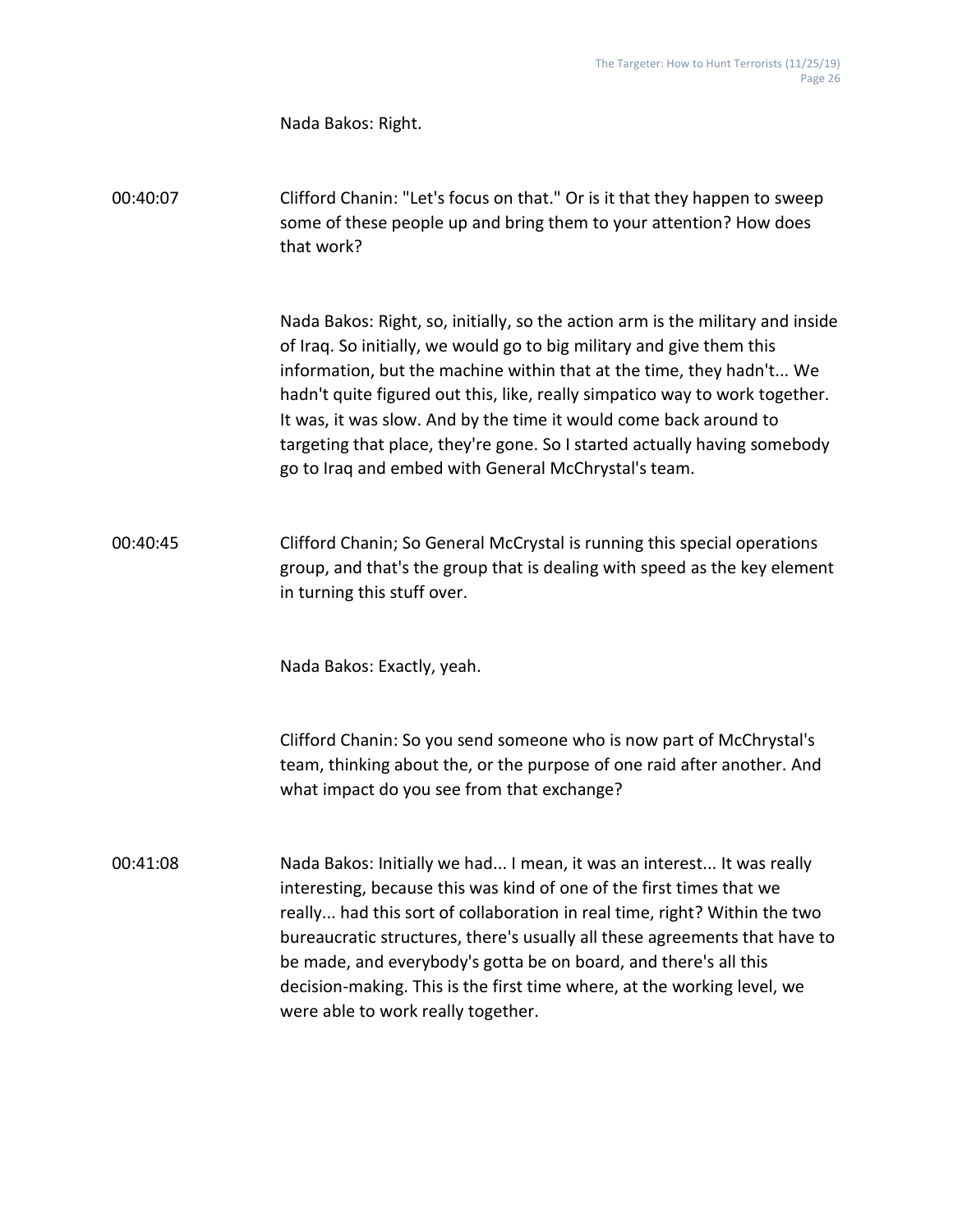Nada Bakos: Right.

00:40:07 Clifford Chanin: "Let's focus on that." Or is it that they happen to sweep some of these people up and bring them to your attention? How does that work?

> Nada Bakos: Right, so, initially, so the action arm is the military and inside of Iraq. So initially, we would go to big military and give them this information, but the machine within that at the time, they hadn't... We hadn't quite figured out this, like, really simpatico way to work together. It was, it was slow. And by the time it would come back around to targeting that place, they're gone. So I started actually having somebody go to Iraq and embed with General McChrystal's team.

00:40:45 Clifford Chanin; So General McCrystal is running this special operations group, and that's the group that is dealing with speed as the key element in turning this stuff over.

Nada Bakos: Exactly, yeah.

Clifford Chanin: So you send someone who is now part of McChrystal's team, thinking about the, or the purpose of one raid after another. And what impact do you see from that exchange?

00:41:08 Nada Bakos: Initially we had... I mean, it was an interest... It was really interesting, because this was kind of one of the first times that we really... had this sort of collaboration in real time, right? Within the two bureaucratic structures, there's usually all these agreements that have to be made, and everybody's gotta be on board, and there's all this decision-making. This is the first time where, at the working level, we were able to work really together.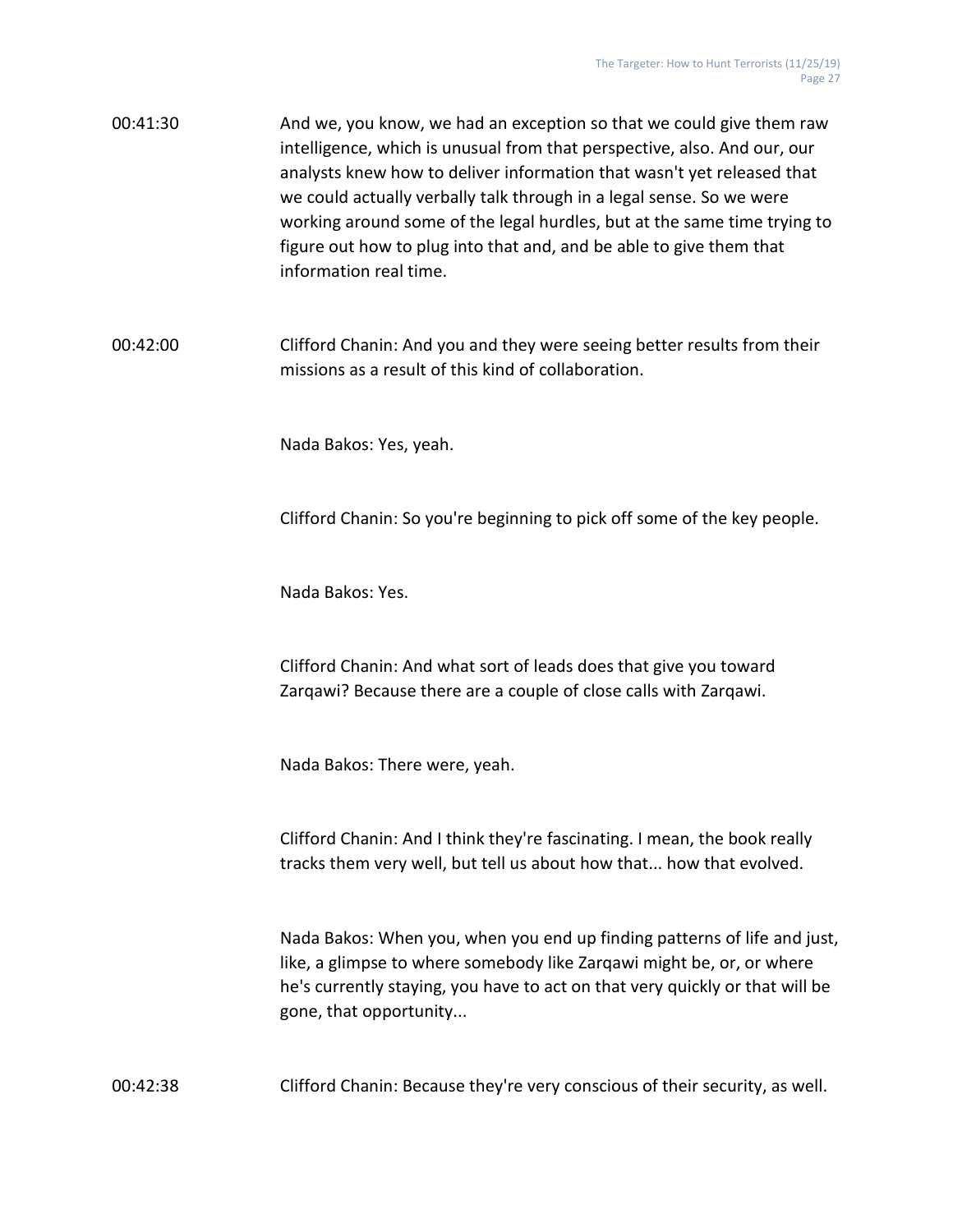00:41:30 And we, you know, we had an exception so that we could give them raw intelligence, which is unusual from that perspective, also. And our, our analysts knew how to deliver information that wasn't yet released that we could actually verbally talk through in a legal sense. So we were working around some of the legal hurdles, but at the same time trying to figure out how to plug into that and, and be able to give them that information real time.

00:42:00 Clifford Chanin: And you and they were seeing better results from their missions as a result of this kind of collaboration.

Nada Bakos: Yes, yeah.

Clifford Chanin: So you're beginning to pick off some of the key people.

Nada Bakos: Yes.

Clifford Chanin: And what sort of leads does that give you toward Zarqawi? Because there are a couple of close calls with Zarqawi.

Nada Bakos: There were, yeah.

Clifford Chanin: And I think they're fascinating. I mean, the book really tracks them very well, but tell us about how that... how that evolved.

Nada Bakos: When you, when you end up finding patterns of life and just, like, a glimpse to where somebody like Zarqawi might be, or, or where he's currently staying, you have to act on that very quickly or that will be gone, that opportunity...

00:42:38 Clifford Chanin: Because they're very conscious of their security, as well.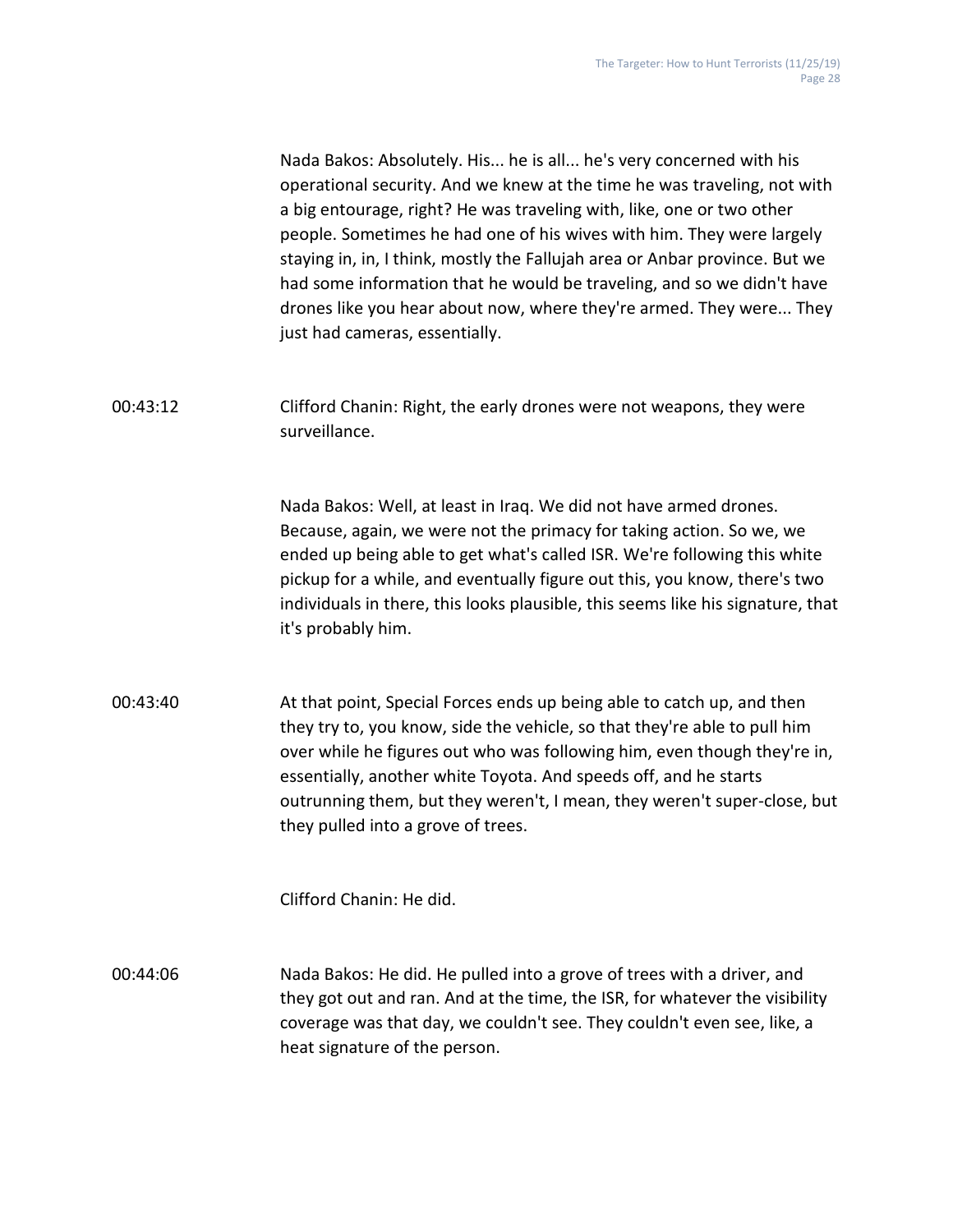Nada Bakos: Absolutely. His... he is all... he's very concerned with his operational security. And we knew at the time he was traveling, not with a big entourage, right? He was traveling with, like, one or two other people. Sometimes he had one of his wives with him. They were largely staying in, in, I think, mostly the Fallujah area or Anbar province. But we had some information that he would be traveling, and so we didn't have drones like you hear about now, where they're armed. They were... They just had cameras, essentially.

00:43:12 Clifford Chanin: Right, the early drones were not weapons, they were surveillance.

> Nada Bakos: Well, at least in Iraq. We did not have armed drones. Because, again, we were not the primacy for taking action. So we, we ended up being able to get what's called ISR. We're following this white pickup for a while, and eventually figure out this, you know, there's two individuals in there, this looks plausible, this seems like his signature, that it's probably him.

00:43:40 At that point, Special Forces ends up being able to catch up, and then they try to, you know, side the vehicle, so that they're able to pull him over while he figures out who was following him, even though they're in, essentially, another white Toyota. And speeds off, and he starts outrunning them, but they weren't, I mean, they weren't super-close, but they pulled into a grove of trees.

Clifford Chanin: He did.

00:44:06 Nada Bakos: He did. He pulled into a grove of trees with a driver, and they got out and ran. And at the time, the ISR, for whatever the visibility coverage was that day, we couldn't see. They couldn't even see, like, a heat signature of the person.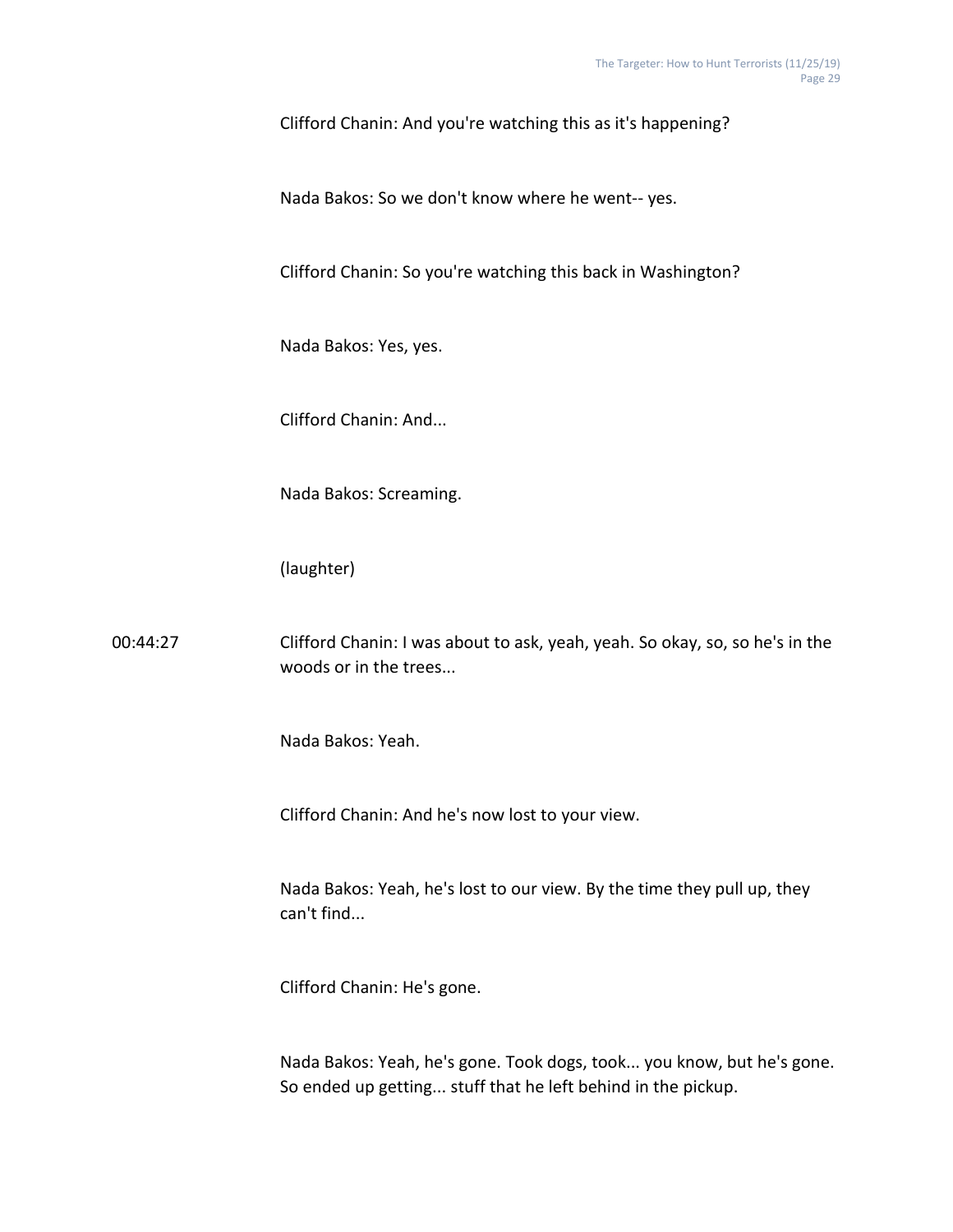Clifford Chanin: And you're watching this as it's happening?

Nada Bakos: So we don't know where he went-- yes.

Clifford Chanin: So you're watching this back in Washington?

Nada Bakos: Yes, yes.

Clifford Chanin: And...

Nada Bakos: Screaming.

(laughter)

00:44:27 Clifford Chanin: I was about to ask, yeah, yeah. So okay, so, so he's in the woods or in the trees...

Nada Bakos: Yeah.

Clifford Chanin: And he's now lost to your view.

Nada Bakos: Yeah, he's lost to our view. By the time they pull up, they can't find...

Clifford Chanin: He's gone.

Nada Bakos: Yeah, he's gone. Took dogs, took... you know, but he's gone. So ended up getting... stuff that he left behind in the pickup.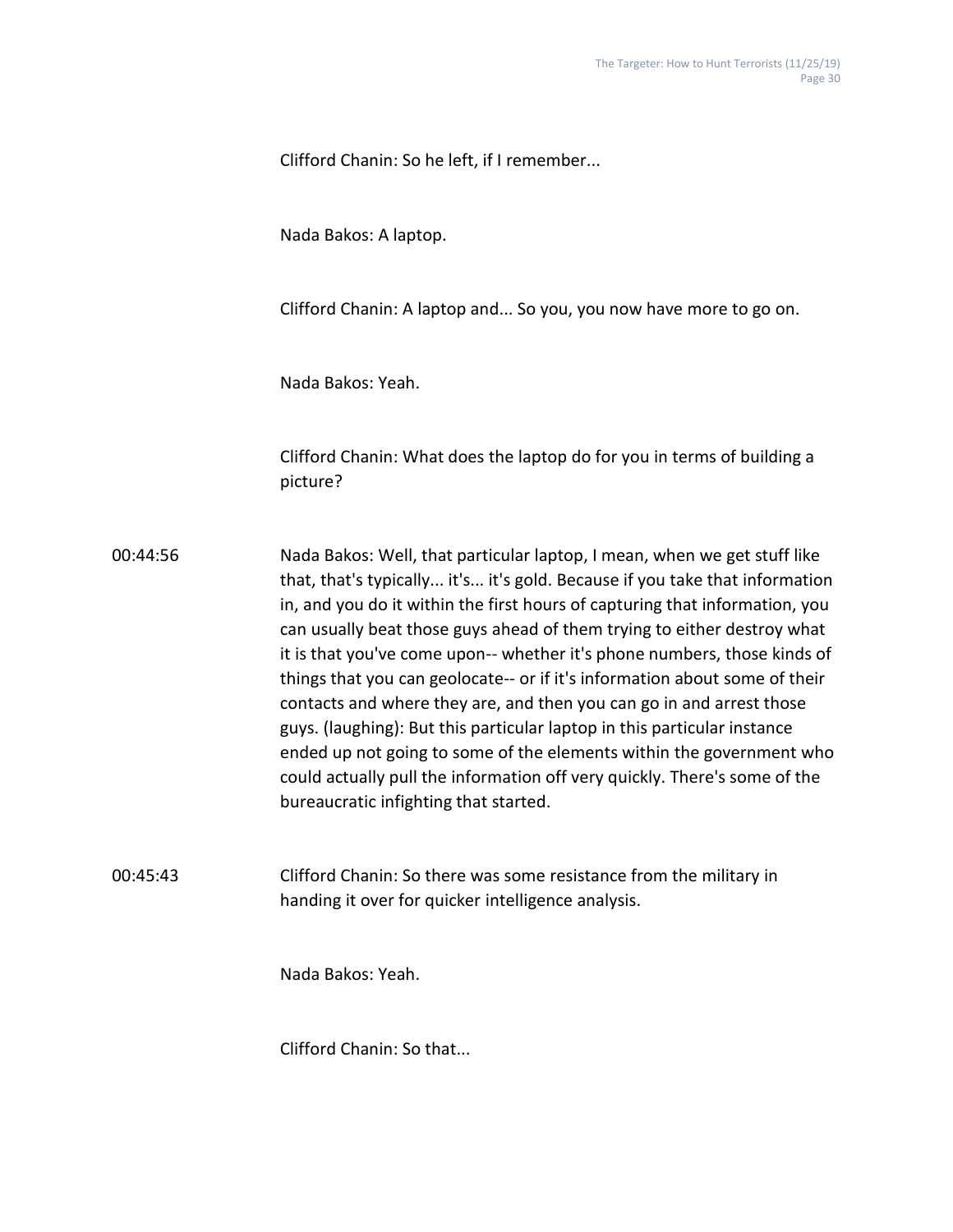Clifford Chanin: So he left, if I remember...

Nada Bakos: A laptop.

Clifford Chanin: A laptop and... So you, you now have more to go on.

Nada Bakos: Yeah.

Clifford Chanin: What does the laptop do for you in terms of building a picture?

00:44:56 Nada Bakos: Well, that particular laptop, I mean, when we get stuff like that, that's typically... it's... it's gold. Because if you take that information in, and you do it within the first hours of capturing that information, you can usually beat those guys ahead of them trying to either destroy what it is that you've come upon-- whether it's phone numbers, those kinds of things that you can geolocate-- or if it's information about some of their contacts and where they are, and then you can go in and arrest those guys. (laughing): But this particular laptop in this particular instance ended up not going to some of the elements within the government who could actually pull the information off very quickly. There's some of the bureaucratic infighting that started.

00:45:43 Clifford Chanin: So there was some resistance from the military in handing it over for quicker intelligence analysis.

Nada Bakos: Yeah.

Clifford Chanin: So that...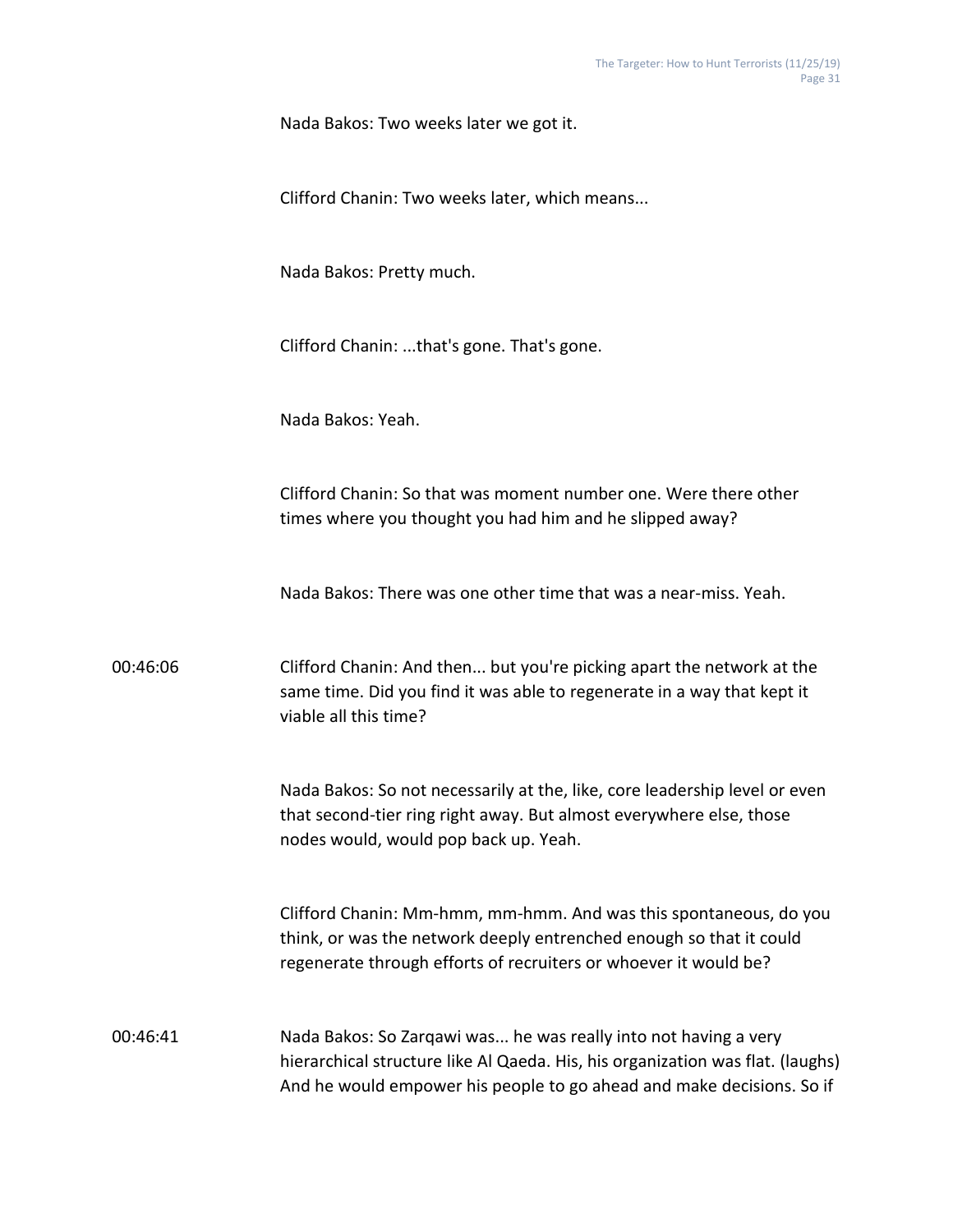Clifford Chanin: Two weeks later, which means...

Nada Bakos: Pretty much.

Clifford Chanin: ...that's gone. That's gone.

Nada Bakos: Yeah.

Clifford Chanin: So that was moment number one. Were there other times where you thought you had him and he slipped away?

Nada Bakos: There was one other time that was a near-miss. Yeah.

00:46:06 Clifford Chanin: And then... but you're picking apart the network at the same time. Did you find it was able to regenerate in a way that kept it viable all this time?

> Nada Bakos: So not necessarily at the, like, core leadership level or even that second-tier ring right away. But almost everywhere else, those nodes would, would pop back up. Yeah.

Clifford Chanin: Mm-hmm, mm-hmm. And was this spontaneous, do you think, or was the network deeply entrenched enough so that it could regenerate through efforts of recruiters or whoever it would be?

00:46:41 Nada Bakos: So Zarqawi was... he was really into not having a very hierarchical structure like Al Qaeda. His, his organization was flat. (laughs) And he would empower his people to go ahead and make decisions. So if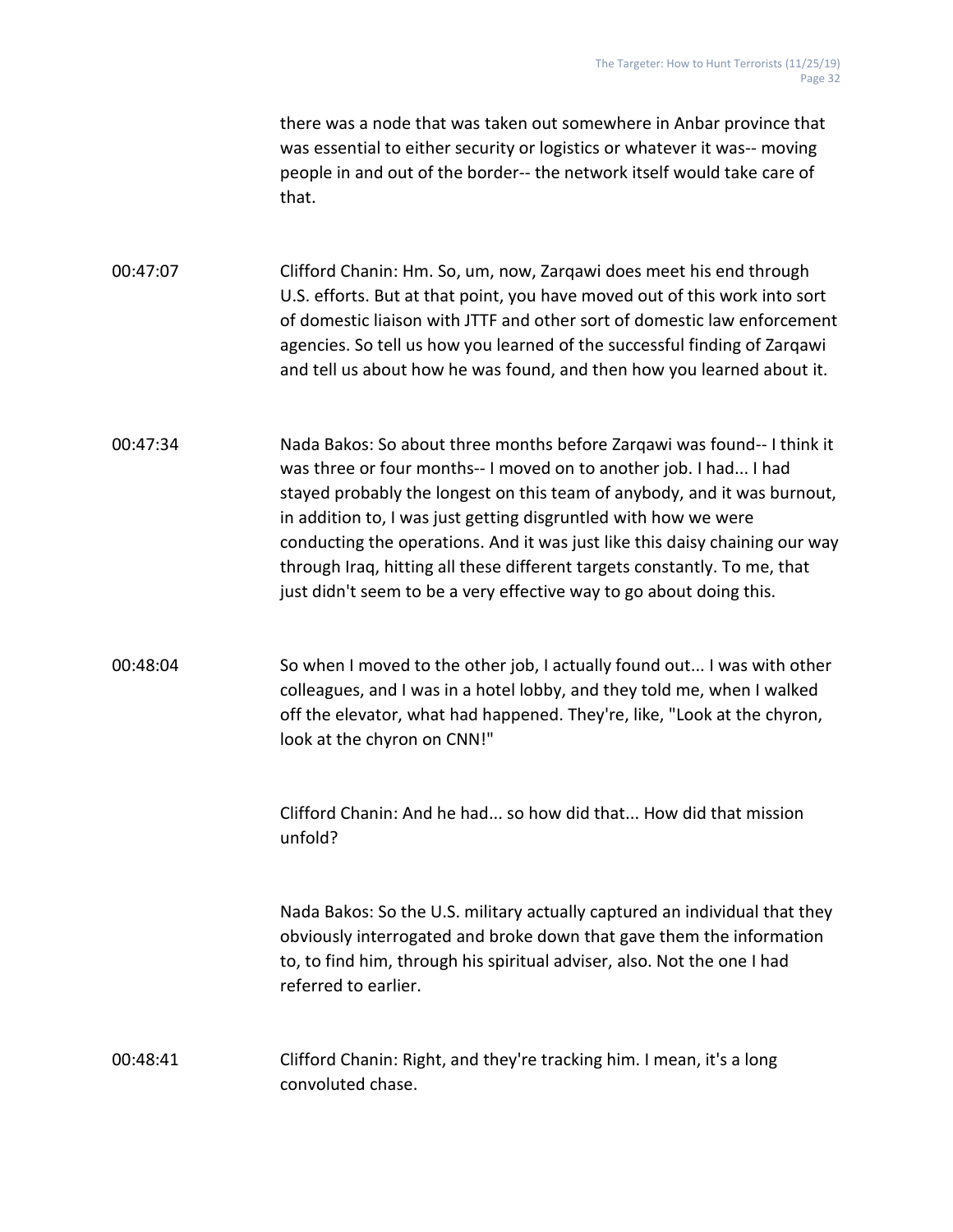there was a node that was taken out somewhere in Anbar province that was essential to either security or logistics or whatever it was-- moving people in and out of the border-- the network itself would take care of that.

00:47:07 Clifford Chanin: Hm. So, um, now, Zarqawi does meet his end through U.S. efforts. But at that point, you have moved out of this work into sort of domestic liaison with JTTF and other sort of domestic law enforcement agencies. So tell us how you learned of the successful finding of Zarqawi and tell us about how he was found, and then how you learned about it.

00:47:34 Nada Bakos: So about three months before Zarqawi was found-- I think it was three or four months-- I moved on to another job. I had... I had stayed probably the longest on this team of anybody, and it was burnout, in addition to, I was just getting disgruntled with how we were conducting the operations. And it was just like this daisy chaining our way through Iraq, hitting all these different targets constantly. To me, that just didn't seem to be a very effective way to go about doing this.

00:48:04 So when I moved to the other job, I actually found out... I was with other colleagues, and I was in a hotel lobby, and they told me, when I walked off the elevator, what had happened. They're, like, "Look at the chyron, look at the chyron on CNN!"

> Clifford Chanin: And he had... so how did that... How did that mission unfold?

Nada Bakos: So the U.S. military actually captured an individual that they obviously interrogated and broke down that gave them the information to, to find him, through his spiritual adviser, also. Not the one I had referred to earlier.

00:48:41 Clifford Chanin: Right, and they're tracking him. I mean, it's a long convoluted chase.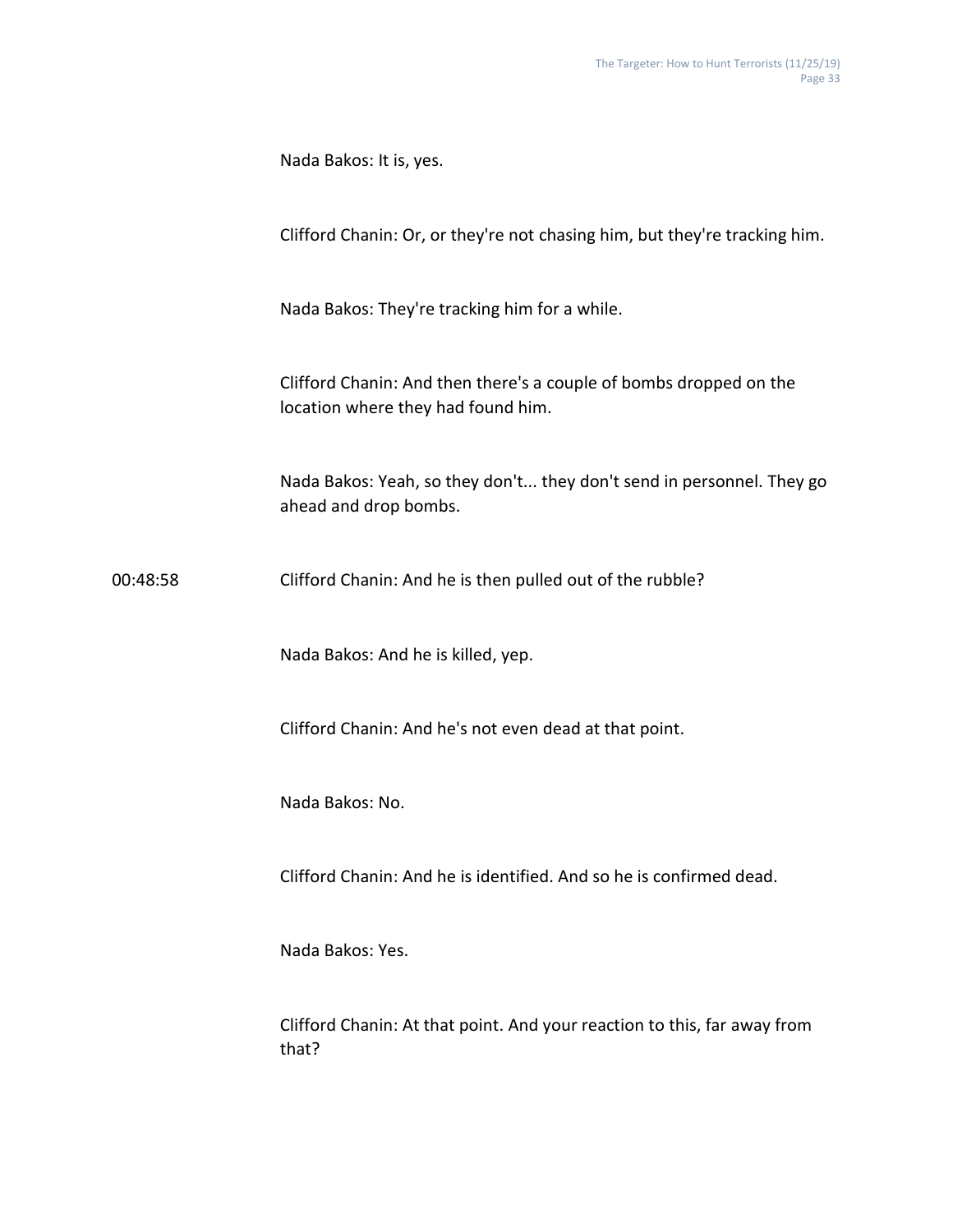Nada Bakos: It is, yes. Clifford Chanin: Or, or they're not chasing him, but they're tracking him. Nada Bakos: They're tracking him for a while. Clifford Chanin: And then there's a couple of bombs dropped on the location where they had found him. Nada Bakos: Yeah, so they don't... they don't send in personnel. They go ahead and drop bombs. 00:48:58 Clifford Chanin: And he is then pulled out of the rubble? Nada Bakos: And he is killed, yep. Clifford Chanin: And he's not even dead at that point. Nada Bakos: No. Clifford Chanin: And he is identified. And so he is confirmed dead. Nada Bakos: Yes. Clifford Chanin: At that point. And your reaction to this, far away from that?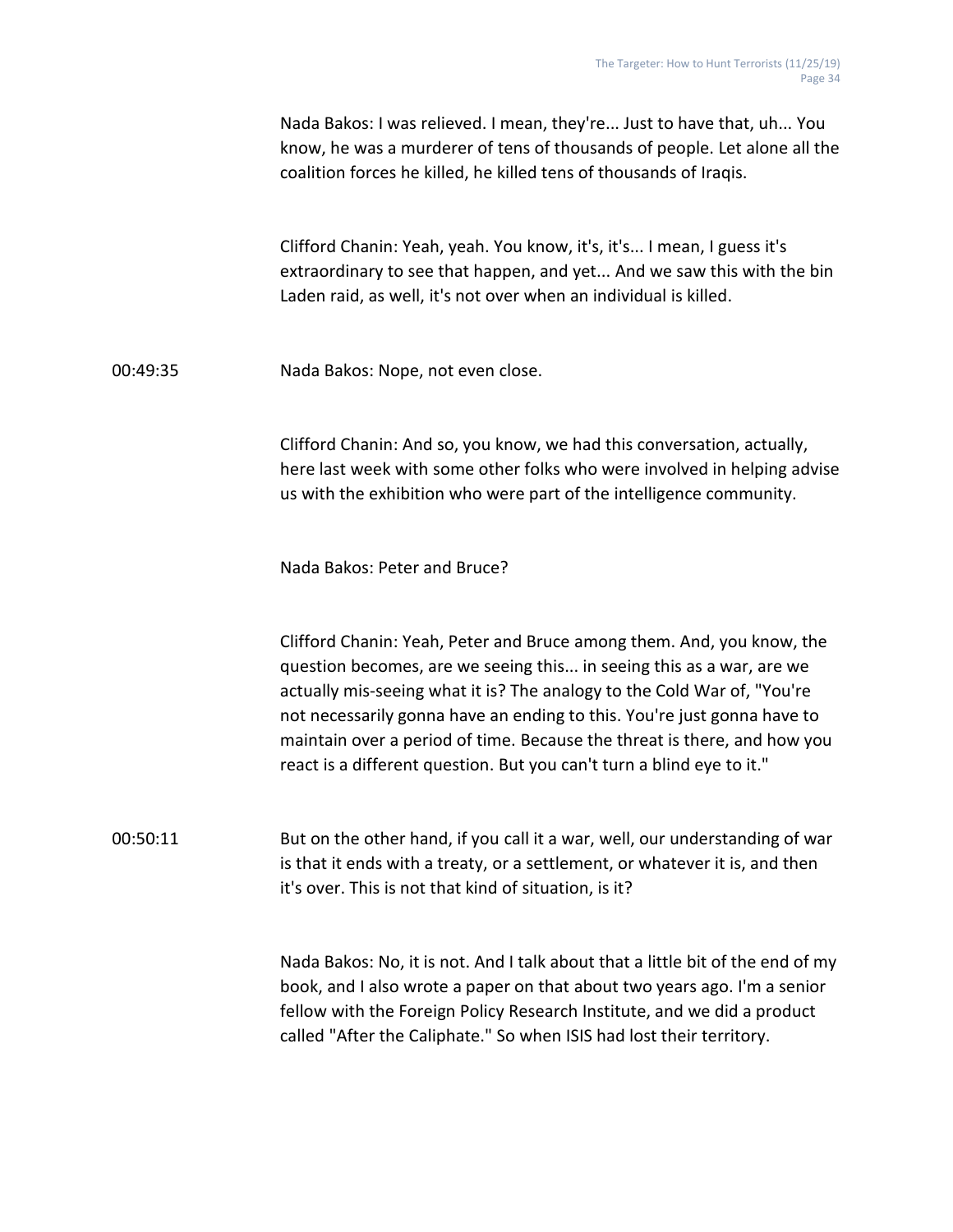|          | Nada Bakos: I was relieved. I mean, they're Just to have that, uh You<br>know, he was a murderer of tens of thousands of people. Let alone all the<br>coalition forces he killed, he killed tens of thousands of Iraqis.                                                                                                                                                                                                                                 |
|----------|----------------------------------------------------------------------------------------------------------------------------------------------------------------------------------------------------------------------------------------------------------------------------------------------------------------------------------------------------------------------------------------------------------------------------------------------------------|
|          | Clifford Chanin: Yeah, yeah. You know, it's, it's I mean, I guess it's<br>extraordinary to see that happen, and yet And we saw this with the bin<br>Laden raid, as well, it's not over when an individual is killed.                                                                                                                                                                                                                                     |
| 00:49:35 | Nada Bakos: Nope, not even close.                                                                                                                                                                                                                                                                                                                                                                                                                        |
|          | Clifford Chanin: And so, you know, we had this conversation, actually,<br>here last week with some other folks who were involved in helping advise<br>us with the exhibition who were part of the intelligence community.                                                                                                                                                                                                                                |
|          | Nada Bakos: Peter and Bruce?                                                                                                                                                                                                                                                                                                                                                                                                                             |
|          | Clifford Chanin: Yeah, Peter and Bruce among them. And, you know, the<br>question becomes, are we seeing this in seeing this as a war, are we<br>actually mis-seeing what it is? The analogy to the Cold War of, "You're<br>not necessarily gonna have an ending to this. You're just gonna have to<br>maintain over a period of time. Because the threat is there, and how you<br>react is a different question. But you can't turn a blind eye to it." |
| 00:50:11 | But on the other hand, if you call it a war, well, our understanding of war<br>is that it ends with a treaty, or a settlement, or whatever it is, and then<br>it's over. This is not that kind of situation, is it?                                                                                                                                                                                                                                      |
|          | Nada Bakos: No, it is not. And I talk about that a little bit of the end of my<br>book, and I also wrote a paper on that about two years ago. I'm a senior<br>fellow with the Foreign Policy Research Institute, and we did a product<br>called "After the Caliphate." So when ISIS had lost their territory.                                                                                                                                            |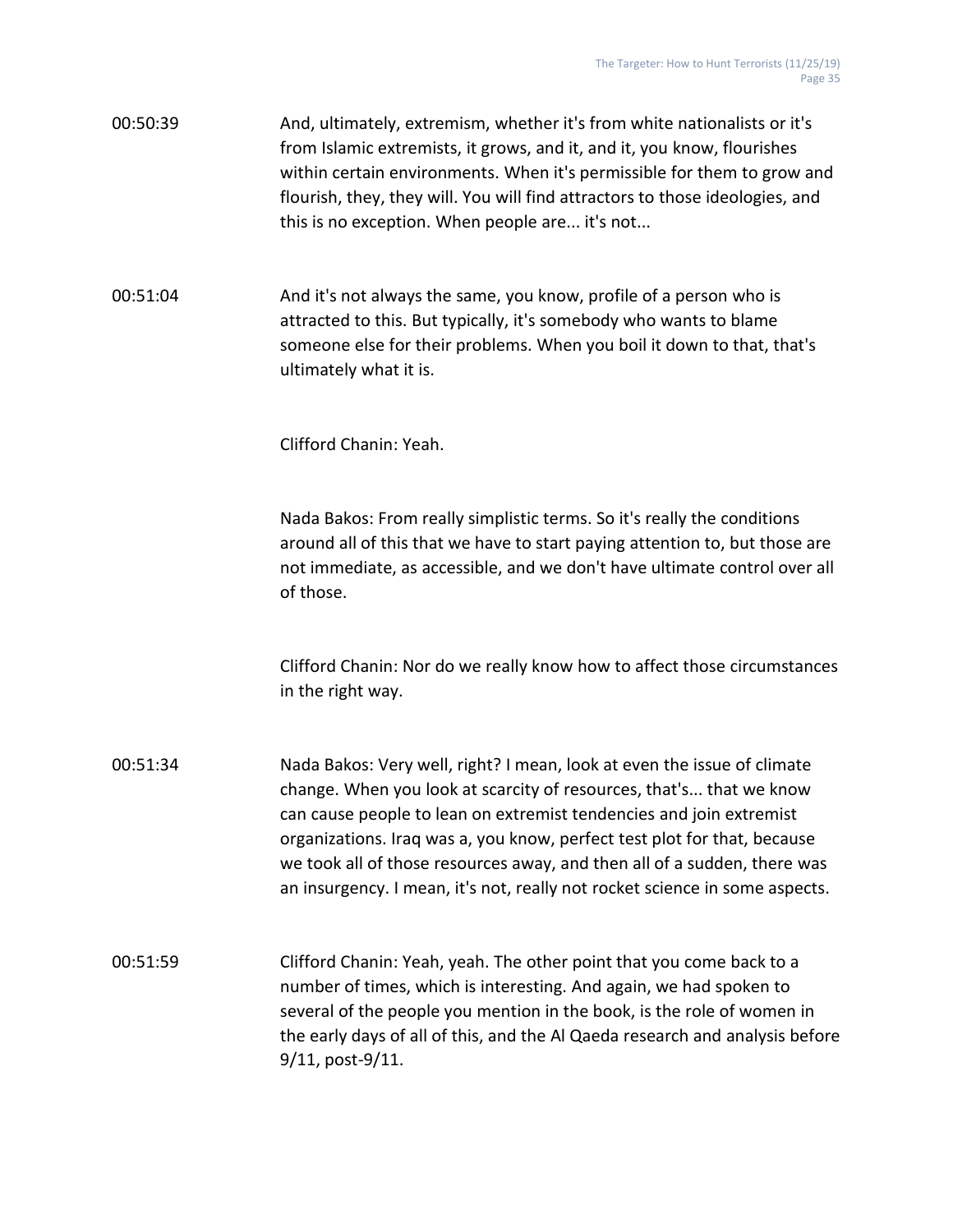00:50:39 And, ultimately, extremism, whether it's from white nationalists or it's from Islamic extremists, it grows, and it, and it, you know, flourishes within certain environments. When it's permissible for them to grow and flourish, they, they will. You will find attractors to those ideologies, and this is no exception. When people are... it's not...

00:51:04 And it's not always the same, you know, profile of a person who is attracted to this. But typically, it's somebody who wants to blame someone else for their problems. When you boil it down to that, that's ultimately what it is.

Clifford Chanin: Yeah.

Nada Bakos: From really simplistic terms. So it's really the conditions around all of this that we have to start paying attention to, but those are not immediate, as accessible, and we don't have ultimate control over all of those.

Clifford Chanin: Nor do we really know how to affect those circumstances in the right way.

00:51:34 Nada Bakos: Very well, right? I mean, look at even the issue of climate change. When you look at scarcity of resources, that's... that we know can cause people to lean on extremist tendencies and join extremist organizations. Iraq was a, you know, perfect test plot for that, because we took all of those resources away, and then all of a sudden, there was an insurgency. I mean, it's not, really not rocket science in some aspects.

00:51:59 Clifford Chanin: Yeah, yeah. The other point that you come back to a number of times, which is interesting. And again, we had spoken to several of the people you mention in the book, is the role of women in the early days of all of this, and the Al Qaeda research and analysis before 9/11, post-9/11.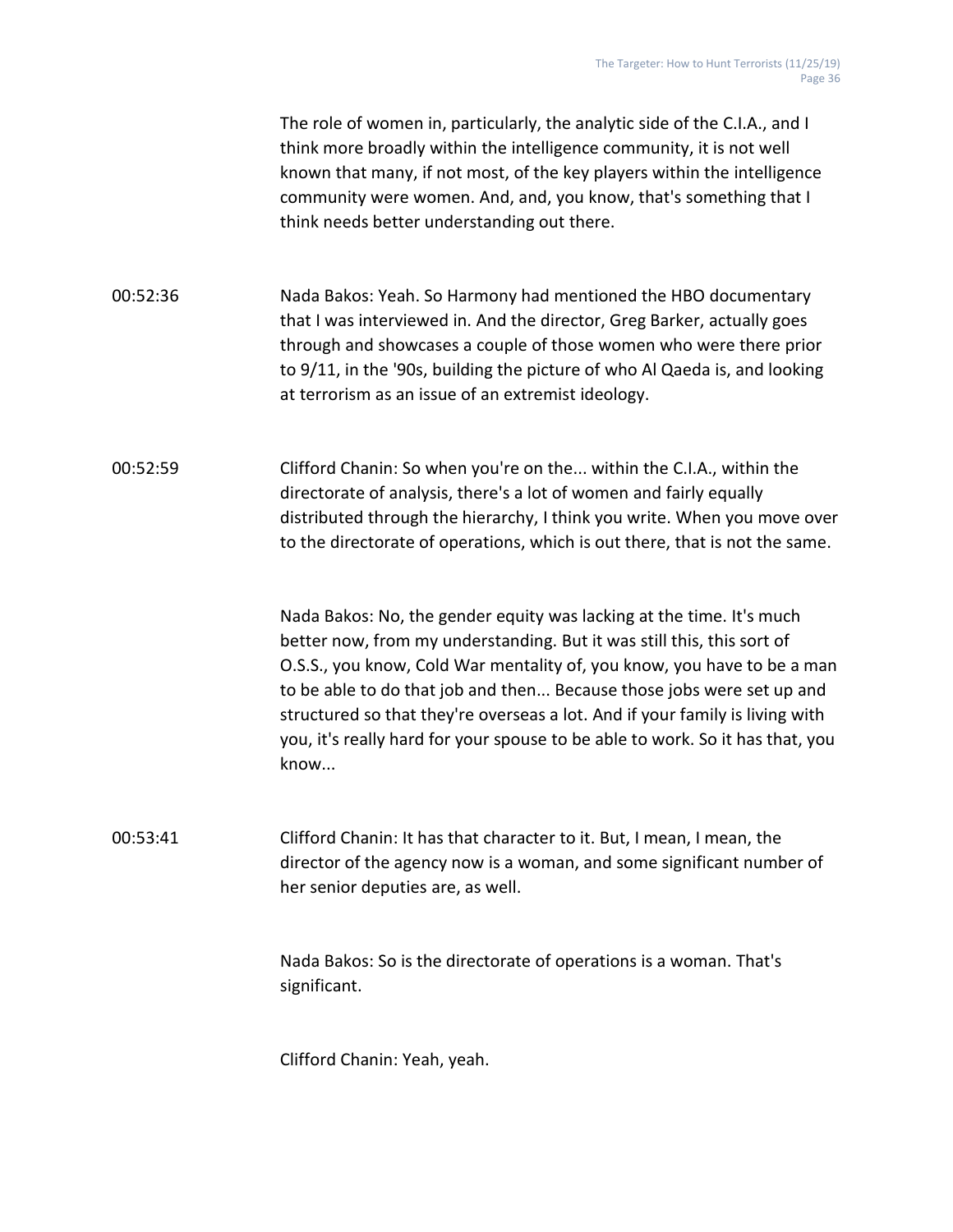The role of women in, particularly, the analytic side of the C.I.A., and I think more broadly within the intelligence community, it is not well known that many, if not most, of the key players within the intelligence community were women. And, and, you know, that's something that I think needs better understanding out there.

00:52:36 Nada Bakos: Yeah. So Harmony had mentioned the HBO documentary that I was interviewed in. And the director, Greg Barker, actually goes through and showcases a couple of those women who were there prior to 9/11, in the '90s, building the picture of who Al Qaeda is, and looking at terrorism as an issue of an extremist ideology.

00:52:59 Clifford Chanin: So when you're on the... within the C.I.A., within the directorate of analysis, there's a lot of women and fairly equally distributed through the hierarchy, I think you write. When you move over to the directorate of operations, which is out there, that is not the same.

> Nada Bakos: No, the gender equity was lacking at the time. It's much better now, from my understanding. But it was still this, this sort of O.S.S., you know, Cold War mentality of, you know, you have to be a man to be able to do that job and then... Because those jobs were set up and structured so that they're overseas a lot. And if your family is living with you, it's really hard for your spouse to be able to work. So it has that, you know...

00:53:41 Clifford Chanin: It has that character to it. But, I mean, I mean, the director of the agency now is a woman, and some significant number of her senior deputies are, as well.

> Nada Bakos: So is the directorate of operations is a woman. That's significant.

Clifford Chanin: Yeah, yeah.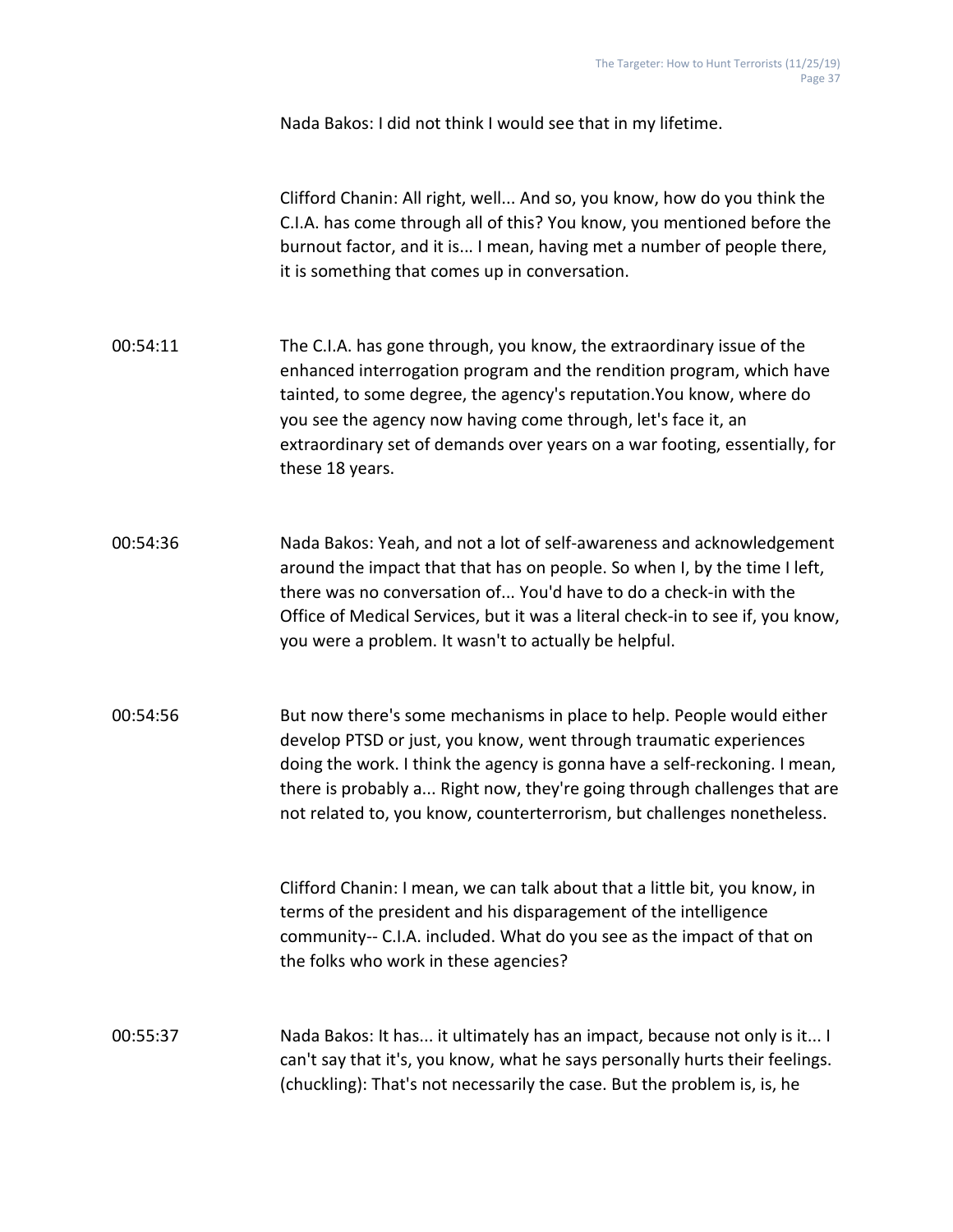Nada Bakos: I did not think I would see that in my lifetime.

Clifford Chanin: All right, well... And so, you know, how do you think the C.I.A. has come through all of this? You know, you mentioned before the burnout factor, and it is... I mean, having met a number of people there, it is something that comes up in conversation.

- 00:54:11 The C.I.A. has gone through, you know, the extraordinary issue of the enhanced interrogation program and the rendition program, which have tainted, to some degree, the agency's reputation.You know, where do you see the agency now having come through, let's face it, an extraordinary set of demands over years on a war footing, essentially, for these 18 years.
- 00:54:36 Nada Bakos: Yeah, and not a lot of self-awareness and acknowledgement around the impact that that has on people. So when I, by the time I left, there was no conversation of... You'd have to do a check-in with the Office of Medical Services, but it was a literal check-in to see if, you know, you were a problem. It wasn't to actually be helpful.
- 00:54:56 But now there's some mechanisms in place to help. People would either develop PTSD or just, you know, went through traumatic experiences doing the work. I think the agency is gonna have a self-reckoning. I mean, there is probably a... Right now, they're going through challenges that are not related to, you know, counterterrorism, but challenges nonetheless.

Clifford Chanin: I mean, we can talk about that a little bit, you know, in terms of the president and his disparagement of the intelligence community-- C.I.A. included. What do you see as the impact of that on the folks who work in these agencies?

00:55:37 Nada Bakos: It has... it ultimately has an impact, because not only is it... I can't say that it's, you know, what he says personally hurts their feelings. (chuckling): That's not necessarily the case. But the problem is, is, he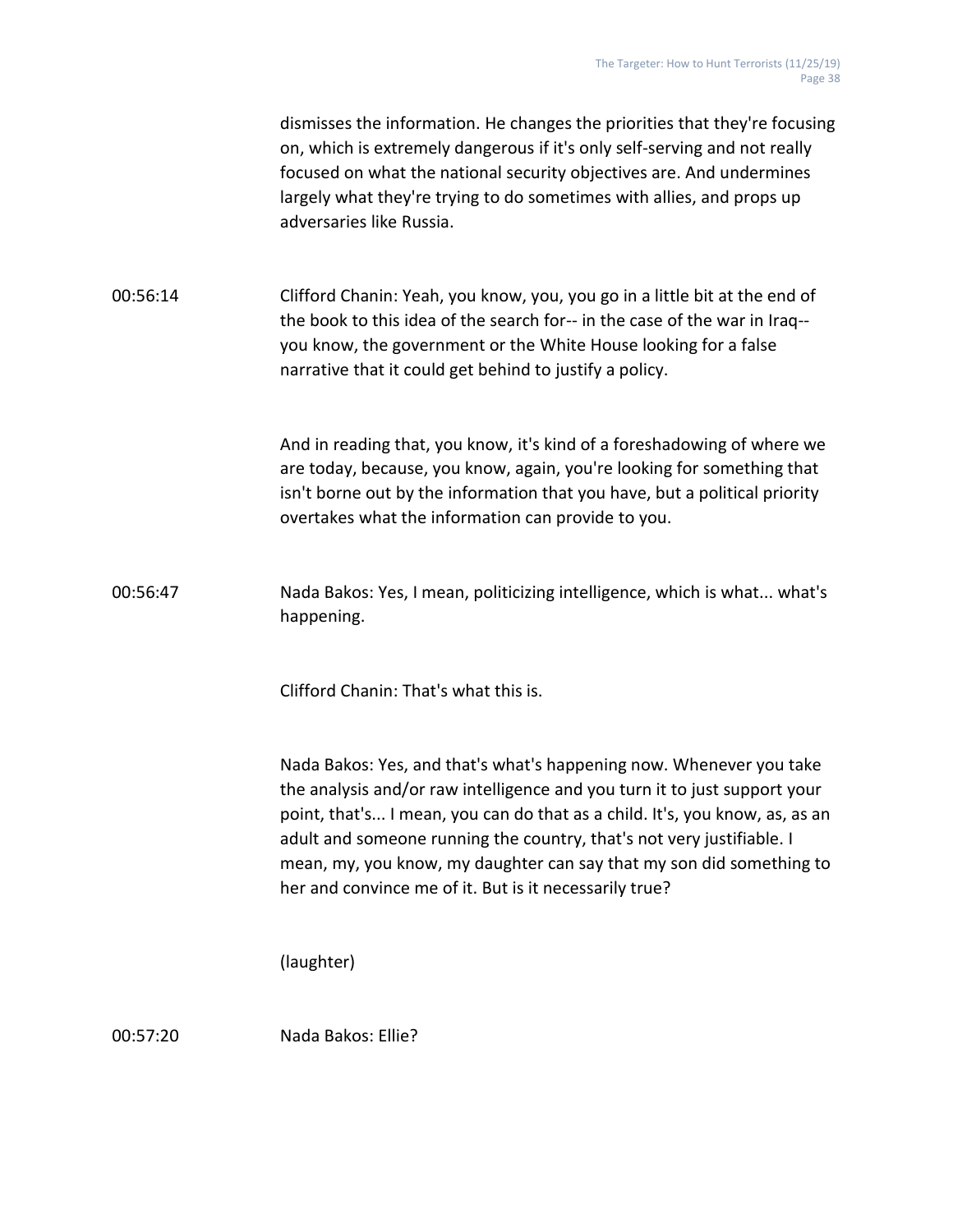|          | dismisses the information. He changes the priorities that they're focusing<br>on, which is extremely dangerous if it's only self-serving and not really<br>focused on what the national security objectives are. And undermines<br>largely what they're trying to do sometimes with allies, and props up<br>adversaries like Russia.                                                                                                       |
|----------|--------------------------------------------------------------------------------------------------------------------------------------------------------------------------------------------------------------------------------------------------------------------------------------------------------------------------------------------------------------------------------------------------------------------------------------------|
| 00:56:14 | Clifford Chanin: Yeah, you know, you, you go in a little bit at the end of<br>the book to this idea of the search for-- in the case of the war in Iraq--<br>you know, the government or the White House looking for a false<br>narrative that it could get behind to justify a policy.                                                                                                                                                     |
|          | And in reading that, you know, it's kind of a foreshadowing of where we<br>are today, because, you know, again, you're looking for something that<br>isn't borne out by the information that you have, but a political priority<br>overtakes what the information can provide to you.                                                                                                                                                      |
| 00:56:47 | Nada Bakos: Yes, I mean, politicizing intelligence, which is what what's<br>happening.                                                                                                                                                                                                                                                                                                                                                     |
|          | Clifford Chanin: That's what this is.                                                                                                                                                                                                                                                                                                                                                                                                      |
|          | Nada Bakos: Yes, and that's what's happening now. Whenever you take<br>the analysis and/or raw intelligence and you turn it to just support your<br>point, that's I mean, you can do that as a child. It's, you know, as, as an<br>adult and someone running the country, that's not very justifiable. I<br>mean, my, you know, my daughter can say that my son did something to<br>her and convince me of it. But is it necessarily true? |
|          | (laughter)                                                                                                                                                                                                                                                                                                                                                                                                                                 |
|          |                                                                                                                                                                                                                                                                                                                                                                                                                                            |

00:57:20 Nada Bakos: Ellie?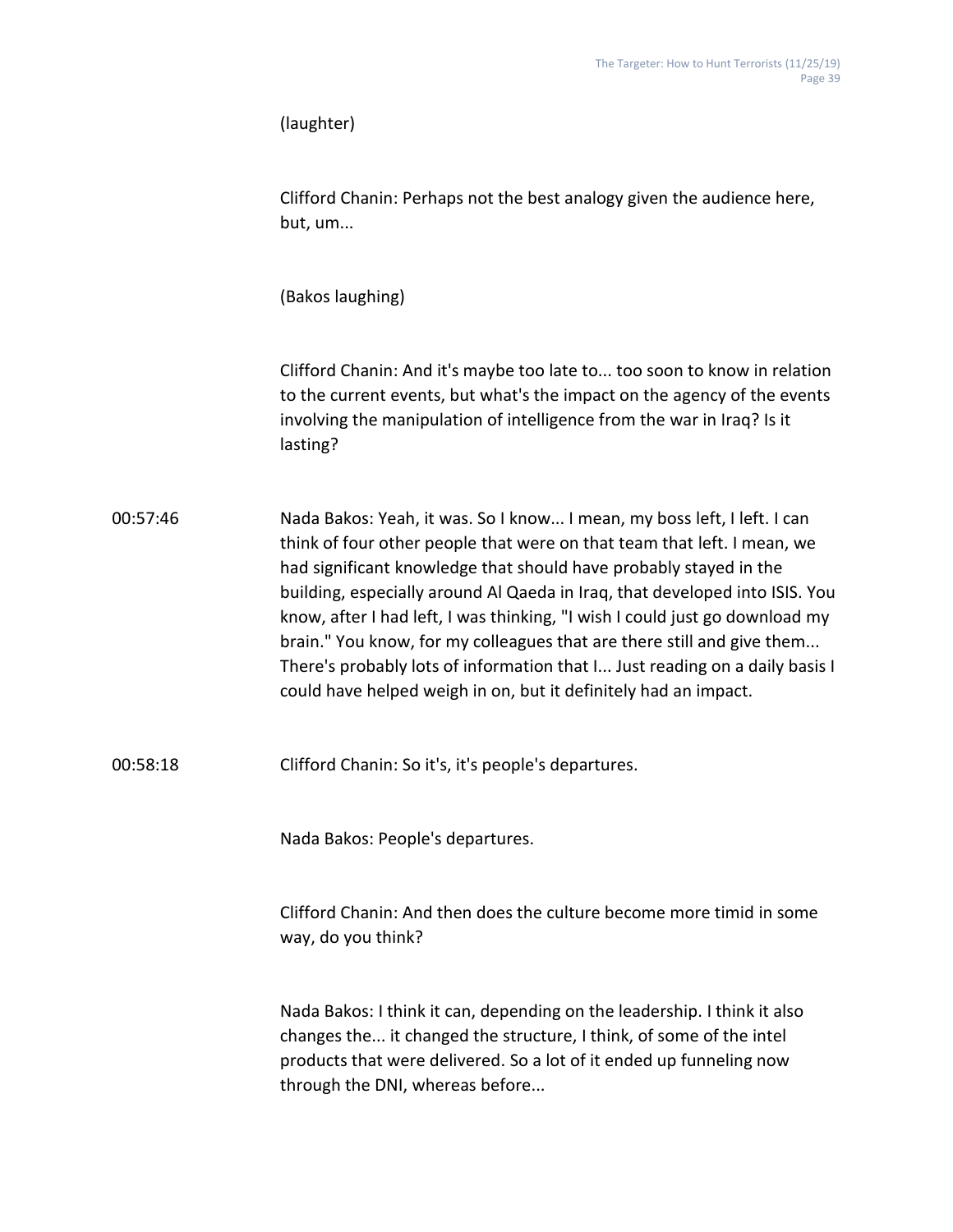|          | (laughter)                                                                                                                                                                                                                                                                                                                                                                                                                                                                                                                                                                                                        |
|----------|-------------------------------------------------------------------------------------------------------------------------------------------------------------------------------------------------------------------------------------------------------------------------------------------------------------------------------------------------------------------------------------------------------------------------------------------------------------------------------------------------------------------------------------------------------------------------------------------------------------------|
|          | Clifford Chanin: Perhaps not the best analogy given the audience here,<br>but, um                                                                                                                                                                                                                                                                                                                                                                                                                                                                                                                                 |
|          | (Bakos laughing)                                                                                                                                                                                                                                                                                                                                                                                                                                                                                                                                                                                                  |
|          | Clifford Chanin: And it's maybe too late to too soon to know in relation<br>to the current events, but what's the impact on the agency of the events<br>involving the manipulation of intelligence from the war in Iraq? Is it<br>lasting?                                                                                                                                                                                                                                                                                                                                                                        |
| 00:57:46 | Nada Bakos: Yeah, it was. So I know I mean, my boss left, I left. I can<br>think of four other people that were on that team that left. I mean, we<br>had significant knowledge that should have probably stayed in the<br>building, especially around Al Qaeda in Iraq, that developed into ISIS. You<br>know, after I had left, I was thinking, "I wish I could just go download my<br>brain." You know, for my colleagues that are there still and give them<br>There's probably lots of information that I Just reading on a daily basis I<br>could have helped weigh in on, but it definitely had an impact. |
| 00:58:18 | Clifford Chanin: So it's, it's people's departures.                                                                                                                                                                                                                                                                                                                                                                                                                                                                                                                                                               |
|          | Nada Bakos: People's departures.                                                                                                                                                                                                                                                                                                                                                                                                                                                                                                                                                                                  |
|          | Clifford Chanin: And then does the culture become more timid in some<br>way, do you think?                                                                                                                                                                                                                                                                                                                                                                                                                                                                                                                        |
|          | Nada Bakos: I think it can, depending on the leadership. I think it also<br>changes the it changed the structure, I think, of some of the intel<br>products that were delivered. So a lot of it ended up funneling now<br>through the DNI, whereas before                                                                                                                                                                                                                                                                                                                                                         |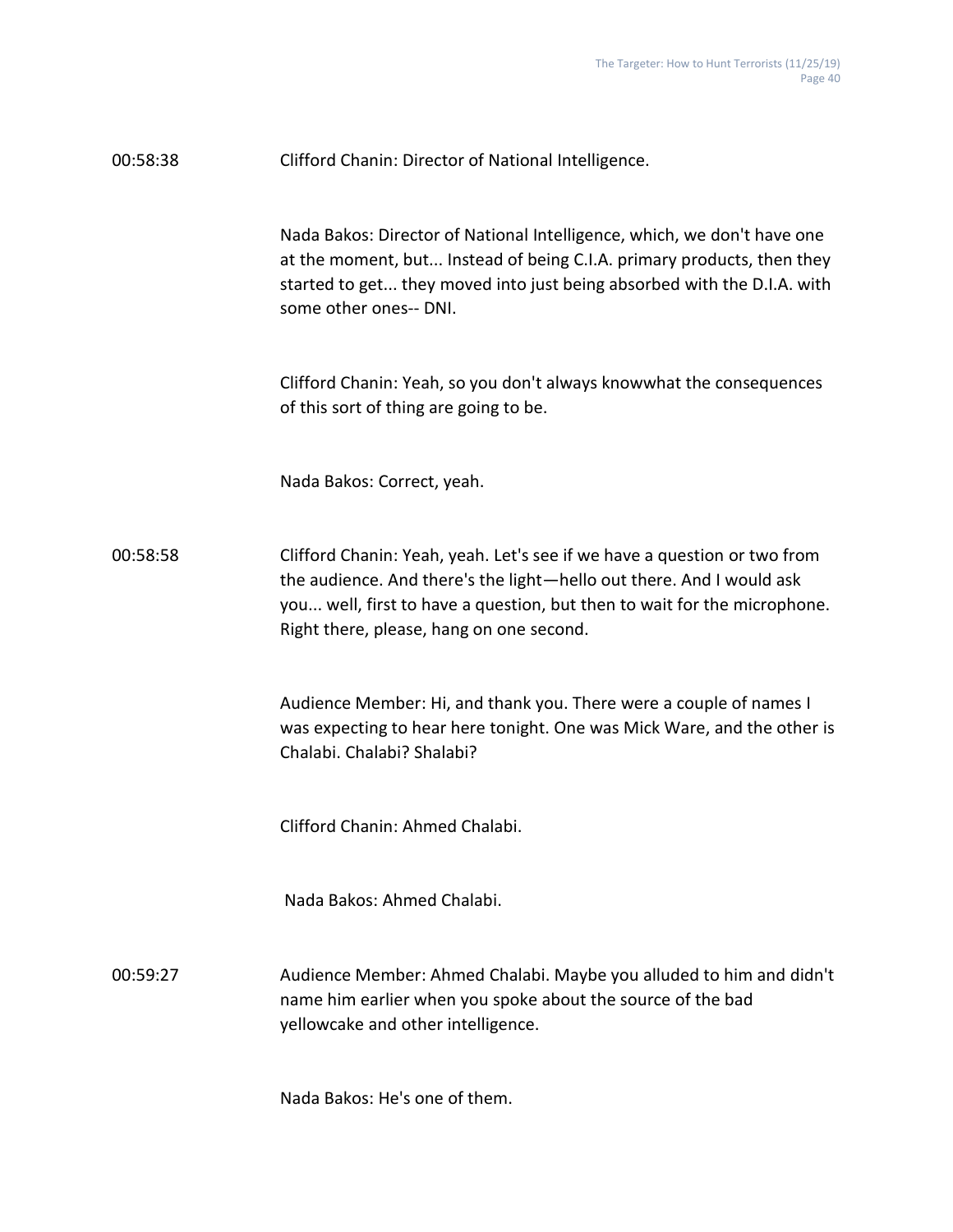| 00:58:38 | Clifford Chanin: Director of National Intelligence.                                                                                                                                                                                                                      |
|----------|--------------------------------------------------------------------------------------------------------------------------------------------------------------------------------------------------------------------------------------------------------------------------|
|          | Nada Bakos: Director of National Intelligence, which, we don't have one<br>at the moment, but Instead of being C.I.A. primary products, then they<br>started to get they moved into just being absorbed with the D.I.A. with<br>some other ones-- DNI.                   |
|          | Clifford Chanin: Yeah, so you don't always knowwhat the consequences<br>of this sort of thing are going to be.                                                                                                                                                           |
|          | Nada Bakos: Correct, yeah.                                                                                                                                                                                                                                               |
| 00:58:58 | Clifford Chanin: Yeah, yeah. Let's see if we have a question or two from<br>the audience. And there's the light-hello out there. And I would ask<br>you well, first to have a question, but then to wait for the microphone.<br>Right there, please, hang on one second. |
|          | Audience Member: Hi, and thank you. There were a couple of names I<br>was expecting to hear here tonight. One was Mick Ware, and the other is<br>Chalabi. Chalabi? Shalabi?                                                                                              |
|          | Clifford Chanin: Ahmed Chalabi.                                                                                                                                                                                                                                          |
|          | Nada Bakos: Ahmed Chalabi.                                                                                                                                                                                                                                               |
| 00:59:27 | Audience Member: Ahmed Chalabi. Maybe you alluded to him and didn't<br>name him earlier when you spoke about the source of the bad<br>yellowcake and other intelligence.                                                                                                 |

Nada Bakos: He's one of them.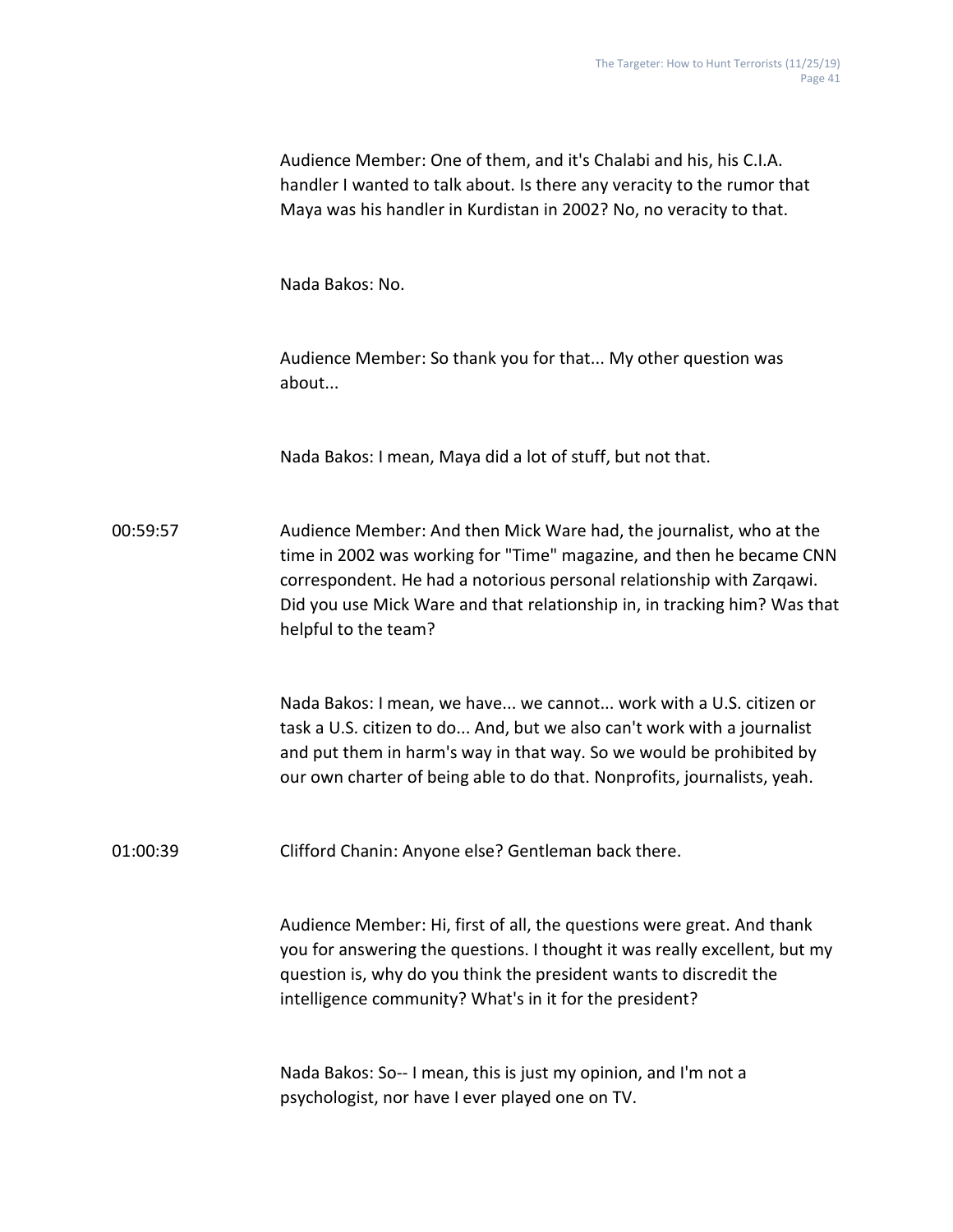|          | Audience Member: One of them, and it's Chalabi and his, his C.I.A.<br>handler I wanted to talk about. Is there any veracity to the rumor that<br>Maya was his handler in Kurdistan in 2002? No, no veracity to that.                                                                                                      |
|----------|---------------------------------------------------------------------------------------------------------------------------------------------------------------------------------------------------------------------------------------------------------------------------------------------------------------------------|
|          | Nada Bakos: No.                                                                                                                                                                                                                                                                                                           |
|          | Audience Member: So thank you for that My other question was<br>about                                                                                                                                                                                                                                                     |
|          | Nada Bakos: I mean, Maya did a lot of stuff, but not that.                                                                                                                                                                                                                                                                |
| 00:59:57 | Audience Member: And then Mick Ware had, the journalist, who at the<br>time in 2002 was working for "Time" magazine, and then he became CNN<br>correspondent. He had a notorious personal relationship with Zarqawi.<br>Did you use Mick Ware and that relationship in, in tracking him? Was that<br>helpful to the team? |
|          | Nada Bakos: I mean, we have we cannot work with a U.S. citizen or<br>task a U.S. citizen to do And, but we also can't work with a journalist<br>and put them in harm's way in that way. So we would be prohibited by<br>our own charter of being able to do that. Nonprofits, journalists, yeah.                          |
| 01:00:39 | Clifford Chanin: Anyone else? Gentleman back there.                                                                                                                                                                                                                                                                       |
|          | Audience Member: Hi, first of all, the questions were great. And thank<br>you for answering the questions. I thought it was really excellent, but my<br>question is, why do you think the president wants to discredit the<br>intelligence community? What's in it for the president?                                     |
|          | Nada Bakos: So-- I mean, this is just my opinion, and I'm not a<br>psychologist, nor have I ever played one on TV.                                                                                                                                                                                                        |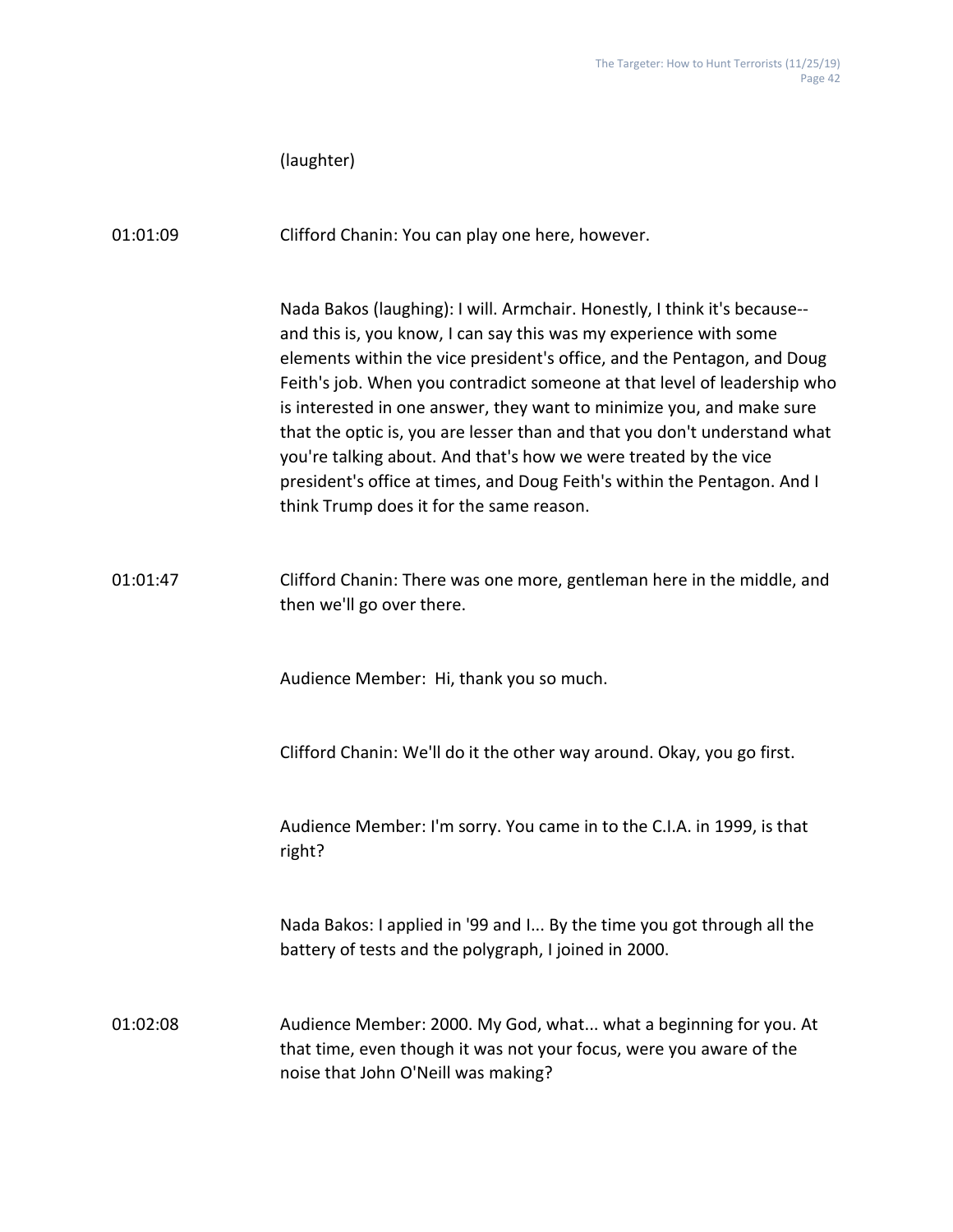|          | (laughter)                                                                                                                                                                                                                                                                                                                                                                                                                                                                                                                                                                                                                                              |
|----------|---------------------------------------------------------------------------------------------------------------------------------------------------------------------------------------------------------------------------------------------------------------------------------------------------------------------------------------------------------------------------------------------------------------------------------------------------------------------------------------------------------------------------------------------------------------------------------------------------------------------------------------------------------|
| 01:01:09 | Clifford Chanin: You can play one here, however.                                                                                                                                                                                                                                                                                                                                                                                                                                                                                                                                                                                                        |
|          | Nada Bakos (laughing): I will. Armchair. Honestly, I think it's because--<br>and this is, you know, I can say this was my experience with some<br>elements within the vice president's office, and the Pentagon, and Doug<br>Feith's job. When you contradict someone at that level of leadership who<br>is interested in one answer, they want to minimize you, and make sure<br>that the optic is, you are lesser than and that you don't understand what<br>you're talking about. And that's how we were treated by the vice<br>president's office at times, and Doug Feith's within the Pentagon. And I<br>think Trump does it for the same reason. |
| 01:01:47 | Clifford Chanin: There was one more, gentleman here in the middle, and<br>then we'll go over there.                                                                                                                                                                                                                                                                                                                                                                                                                                                                                                                                                     |
|          | Audience Member: Hi, thank you so much.                                                                                                                                                                                                                                                                                                                                                                                                                                                                                                                                                                                                                 |
|          | Clifford Chanin: We'll do it the other way around. Okay, you go first.                                                                                                                                                                                                                                                                                                                                                                                                                                                                                                                                                                                  |
|          | Audience Member: I'm sorry. You came in to the C.I.A. in 1999, is that<br>right?                                                                                                                                                                                                                                                                                                                                                                                                                                                                                                                                                                        |
|          | Nada Bakos: I applied in '99 and I By the time you got through all the<br>battery of tests and the polygraph, I joined in 2000.                                                                                                                                                                                                                                                                                                                                                                                                                                                                                                                         |
| 01:02:08 | Audience Member: 2000. My God, what what a beginning for you. At<br>that time, even though it was not your focus, were you aware of the<br>noise that John O'Neill was making?                                                                                                                                                                                                                                                                                                                                                                                                                                                                          |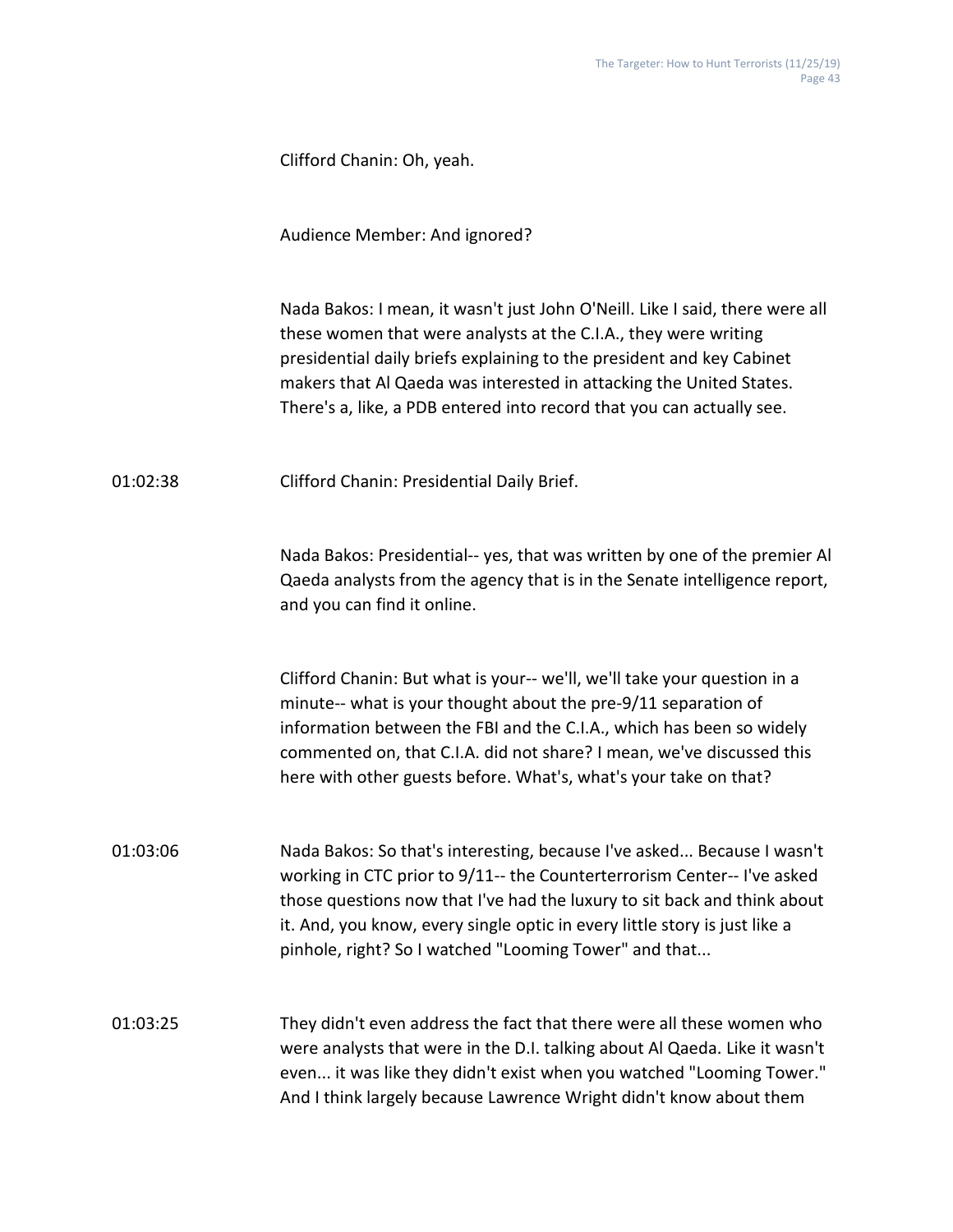Audience Member: And ignored?

Nada Bakos: I mean, it wasn't just John O'Neill. Like I said, there were all these women that were analysts at the C.I.A., they were writing presidential daily briefs explaining to the president and key Cabinet makers that Al Qaeda was interested in attacking the United States. There's a, like, a PDB entered into record that you can actually see.

01:02:38 Clifford Chanin: Presidential Daily Brief.

Nada Bakos: Presidential-- yes, that was written by one of the premier Al Qaeda analysts from the agency that is in the Senate intelligence report, and you can find it online.

Clifford Chanin: But what is your-- we'll, we'll take your question in a minute-- what is your thought about the pre-9/11 separation of information between the FBI and the C.I.A., which has been so widely commented on, that C.I.A. did not share? I mean, we've discussed this here with other guests before. What's, what's your take on that?

01:03:06 Nada Bakos: So that's interesting, because I've asked... Because I wasn't working in CTC prior to 9/11-- the Counterterrorism Center-- I've asked those questions now that I've had the luxury to sit back and think about it. And, you know, every single optic in every little story is just like a pinhole, right? So I watched "Looming Tower" and that...

01:03:25 They didn't even address the fact that there were all these women who were analysts that were in the D.I. talking about Al Qaeda. Like it wasn't even... it was like they didn't exist when you watched "Looming Tower." And I think largely because Lawrence Wright didn't know about them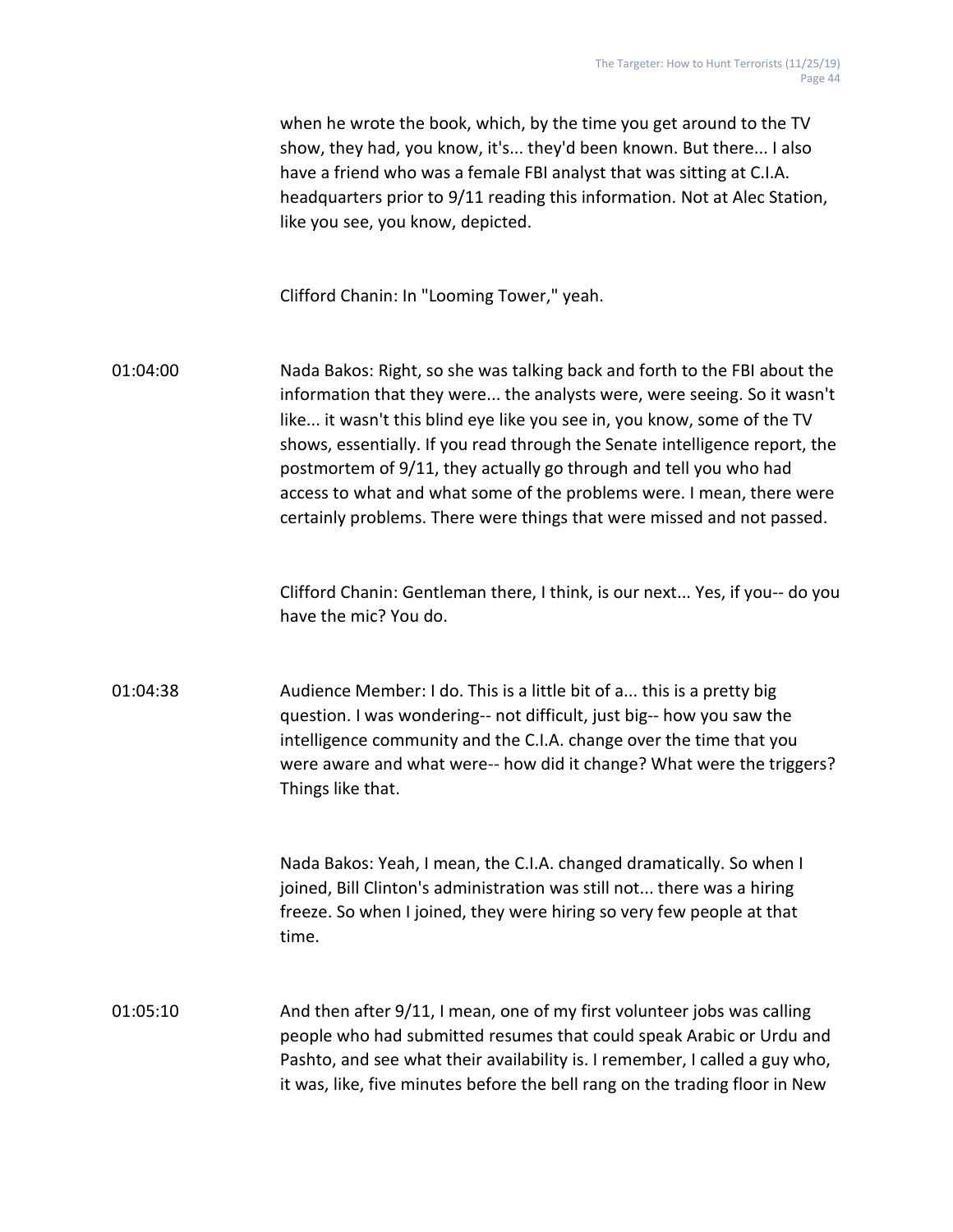|          | when he wrote the book, which, by the time you get around to the TV<br>show, they had, you know, it's they'd been known. But there I also<br>have a friend who was a female FBI analyst that was sitting at C.I.A.<br>headquarters prior to 9/11 reading this information. Not at Alec Station,<br>like you see, you know, depicted.                                                                                                                                                                                                   |
|----------|----------------------------------------------------------------------------------------------------------------------------------------------------------------------------------------------------------------------------------------------------------------------------------------------------------------------------------------------------------------------------------------------------------------------------------------------------------------------------------------------------------------------------------------|
|          | Clifford Chanin: In "Looming Tower," yeah.                                                                                                                                                                                                                                                                                                                                                                                                                                                                                             |
| 01:04:00 | Nada Bakos: Right, so she was talking back and forth to the FBI about the<br>information that they were the analysts were, were seeing. So it wasn't<br>like it wasn't this blind eye like you see in, you know, some of the TV<br>shows, essentially. If you read through the Senate intelligence report, the<br>postmortem of 9/11, they actually go through and tell you who had<br>access to what and what some of the problems were. I mean, there were<br>certainly problems. There were things that were missed and not passed. |
|          | Clifford Chanin: Gentleman there, I think, is our next Yes, if you-- do you<br>have the mic? You do.                                                                                                                                                                                                                                                                                                                                                                                                                                   |
| 01:04:38 | Audience Member: I do. This is a little bit of a this is a pretty big<br>question. I was wondering-- not difficult, just big-- how you saw the<br>intelligence community and the C.I.A. change over the time that you<br>were aware and what were-- how did it change? What were the triggers?<br>Things like that.                                                                                                                                                                                                                    |
|          | Nada Bakos: Yeah, I mean, the C.I.A. changed dramatically. So when I<br>joined, Bill Clinton's administration was still not there was a hiring<br>freeze. So when I joined, they were hiring so very few people at that<br>time.                                                                                                                                                                                                                                                                                                       |
| 01:05:10 | And then after 9/11, I mean, one of my first volunteer jobs was calling<br>people who had submitted resumes that could speak Arabic or Urdu and                                                                                                                                                                                                                                                                                                                                                                                        |

Pashto, and see what their availability is. I remember, I called a guy who, it was, like, five minutes before the bell rang on the trading floor in New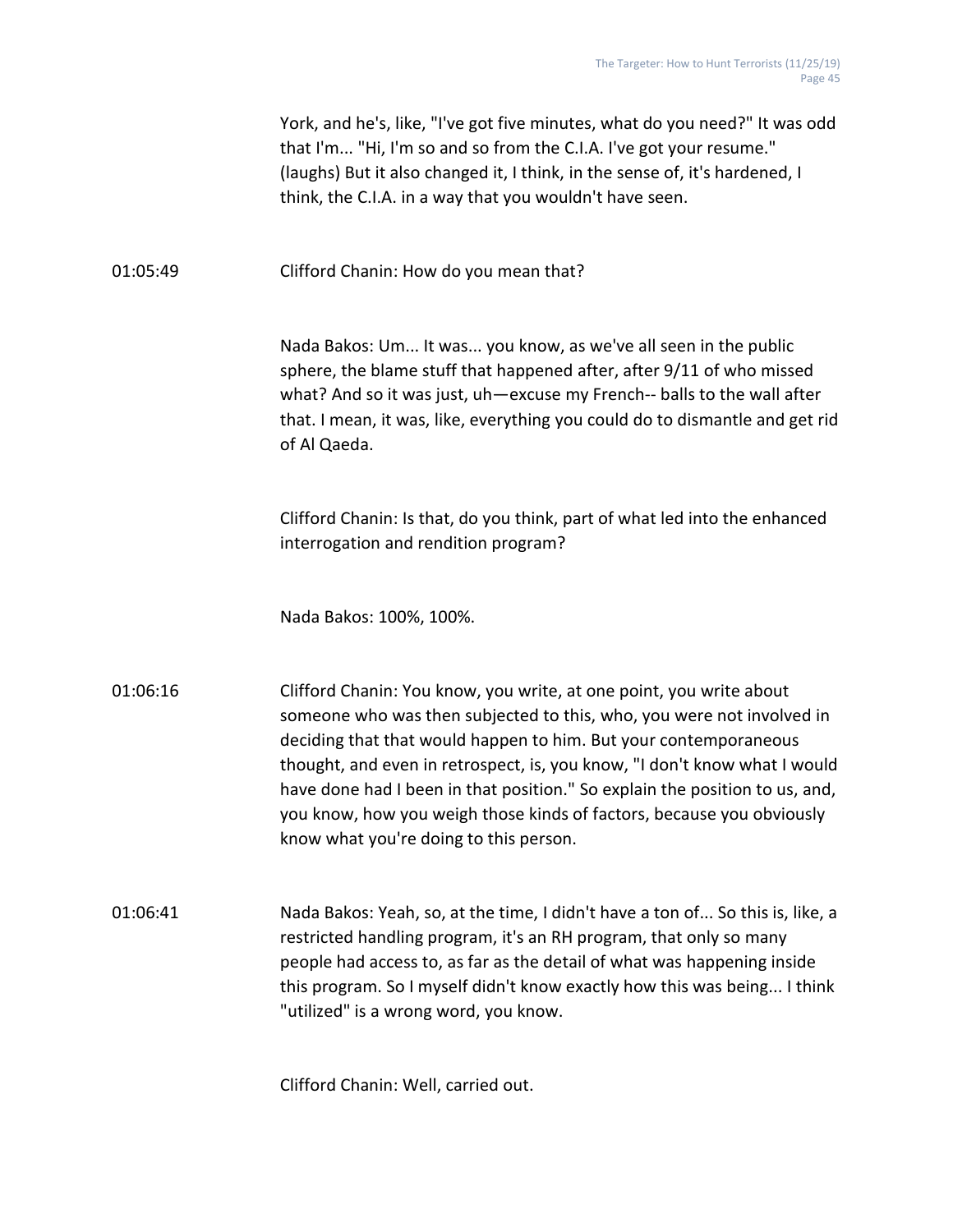|          | York, and he's, like, "I've got five minutes, what do you need?" It was odd<br>that I'm "Hi, I'm so and so from the C.I.A. I've got your resume."<br>(laughs) But it also changed it, I think, in the sense of, it's hardened, I<br>think, the C.I.A. in a way that you wouldn't have seen.                                                                                                                                                                                                     |
|----------|-------------------------------------------------------------------------------------------------------------------------------------------------------------------------------------------------------------------------------------------------------------------------------------------------------------------------------------------------------------------------------------------------------------------------------------------------------------------------------------------------|
| 01:05:49 | Clifford Chanin: How do you mean that?                                                                                                                                                                                                                                                                                                                                                                                                                                                          |
|          | Nada Bakos: Um It was you know, as we've all seen in the public<br>sphere, the blame stuff that happened after, after 9/11 of who missed<br>what? And so it was just, uh-excuse my French-- balls to the wall after<br>that. I mean, it was, like, everything you could do to dismantle and get rid<br>of Al Qaeda.                                                                                                                                                                             |
|          | Clifford Chanin: Is that, do you think, part of what led into the enhanced<br>interrogation and rendition program?                                                                                                                                                                                                                                                                                                                                                                              |
|          | Nada Bakos: 100%, 100%.                                                                                                                                                                                                                                                                                                                                                                                                                                                                         |
| 01:06:16 | Clifford Chanin: You know, you write, at one point, you write about<br>someone who was then subjected to this, who, you were not involved in<br>deciding that that would happen to him. But your contemporaneous<br>thought, and even in retrospect, is, you know, "I don't know what I would<br>have done had I been in that position." So explain the position to us, and,<br>you know, how you weigh those kinds of factors, because you obviously<br>know what you're doing to this person. |
| 01:06:41 | Nada Bakos: Yeah, so, at the time, I didn't have a ton of So this is, like, a<br>restricted handling program, it's an RH program, that only so many<br>people had access to, as far as the detail of what was happening inside<br>this program. So I myself didn't know exactly how this was being I think<br>"utilized" is a wrong word, you know.                                                                                                                                             |

Clifford Chanin: Well, carried out.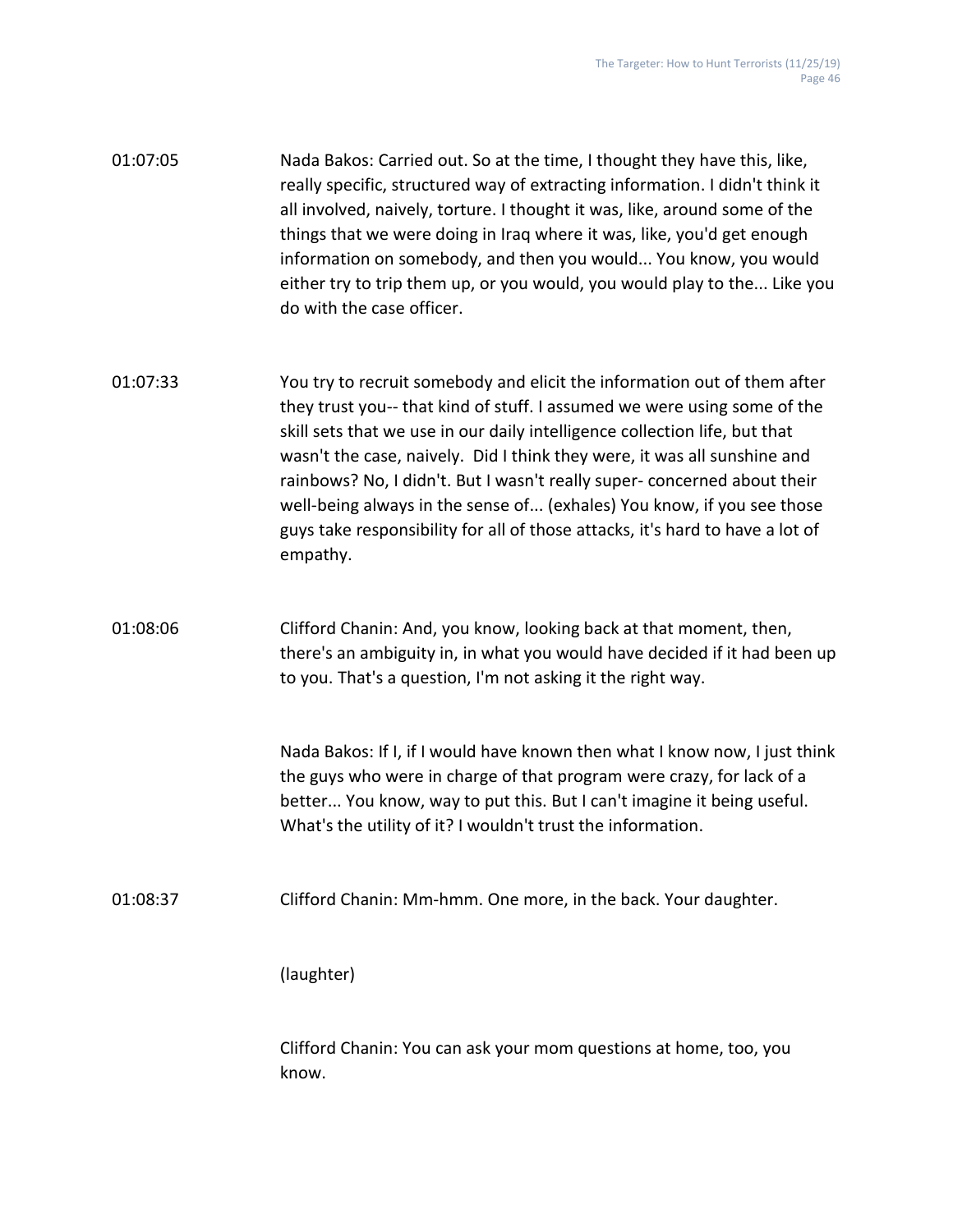| 01:07:05 | Nada Bakos: Carried out. So at the time, I thought they have this, like,     |
|----------|------------------------------------------------------------------------------|
|          | really specific, structured way of extracting information. I didn't think it |
|          | all involved, naively, torture. I thought it was, like, around some of the   |
|          | things that we were doing in Iraq where it was, like, you'd get enough       |
|          | information on somebody, and then you would You know, you would              |
|          | either try to trip them up, or you would, you would play to the Like you     |
|          | do with the case officer.                                                    |

- 01:07:33 You try to recruit somebody and elicit the information out of them after they trust you-- that kind of stuff. I assumed we were using some of the skill sets that we use in our daily intelligence collection life, but that wasn't the case, naively. Did I think they were, it was all sunshine and rainbows? No, I didn't. But I wasn't really super- concerned about their well-being always in the sense of... (exhales) You know, if you see those guys take responsibility for all of those attacks, it's hard to have a lot of empathy.
- 01:08:06 Clifford Chanin: And, you know, looking back at that moment, then, there's an ambiguity in, in what you would have decided if it had been up to you. That's a question, I'm not asking it the right way.

Nada Bakos: If I, if I would have known then what I know now, I just think the guys who were in charge of that program were crazy, for lack of a better... You know, way to put this. But I can't imagine it being useful. What's the utility of it? I wouldn't trust the information.

01:08:37 Clifford Chanin: Mm-hmm. One more, in the back. Your daughter.

(laughter)

Clifford Chanin: You can ask your mom questions at home, too, you know.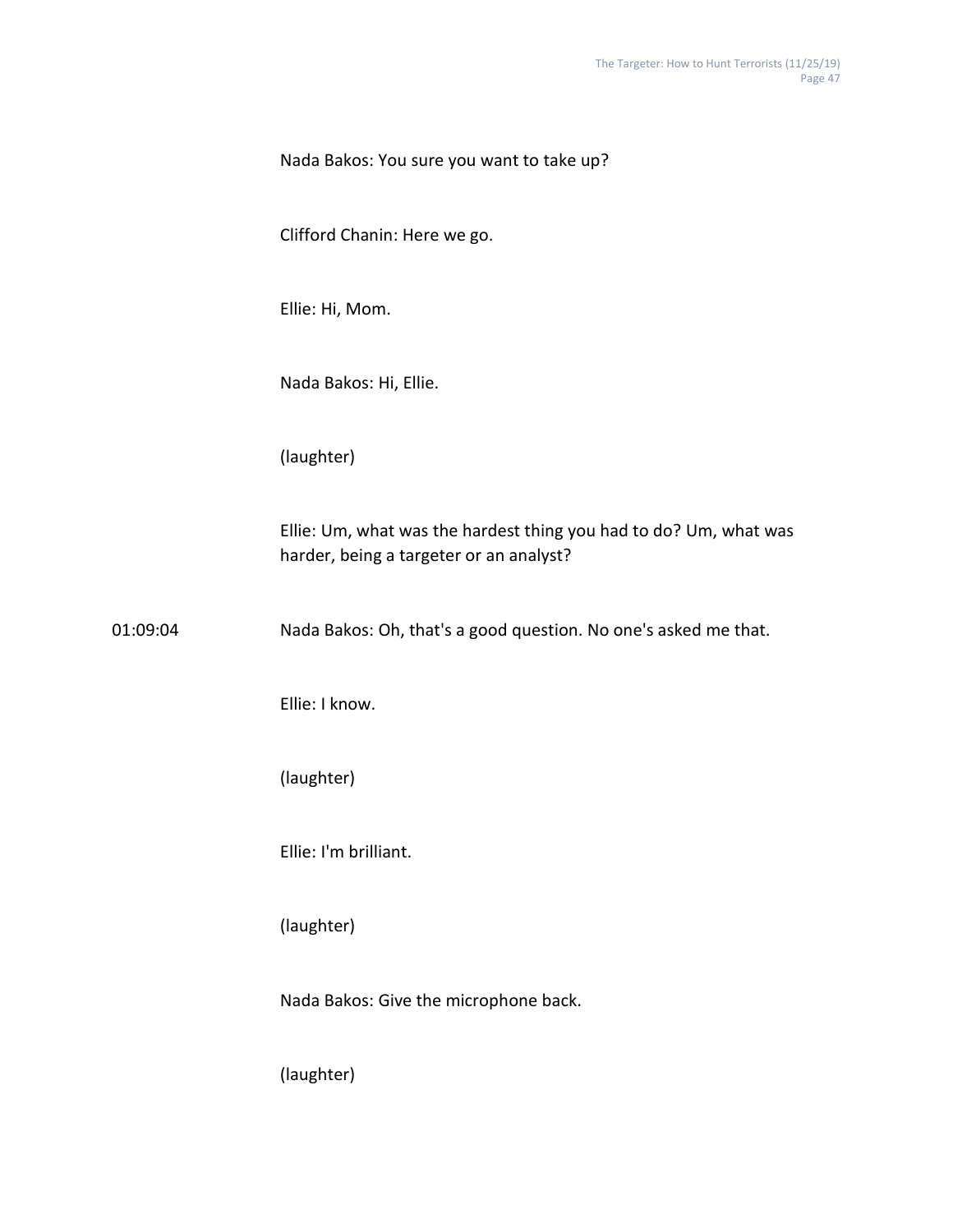|          | Nada Bakos: You sure you want to take up?                                                                    |
|----------|--------------------------------------------------------------------------------------------------------------|
|          | Clifford Chanin: Here we go.                                                                                 |
|          | Ellie: Hi, Mom.                                                                                              |
|          | Nada Bakos: Hi, Ellie.                                                                                       |
|          | (laughter)                                                                                                   |
|          | Ellie: Um, what was the hardest thing you had to do? Um, what was<br>harder, being a targeter or an analyst? |
| 01:09:04 | Nada Bakos: Oh, that's a good question. No one's asked me that.                                              |
|          | Ellie: I know.                                                                                               |
|          | (laughter)                                                                                                   |
|          | Ellie: I'm brilliant.                                                                                        |
|          | (laughter)                                                                                                   |
|          | Nada Bakos: Give the microphone back.                                                                        |
|          | (laughter)                                                                                                   |